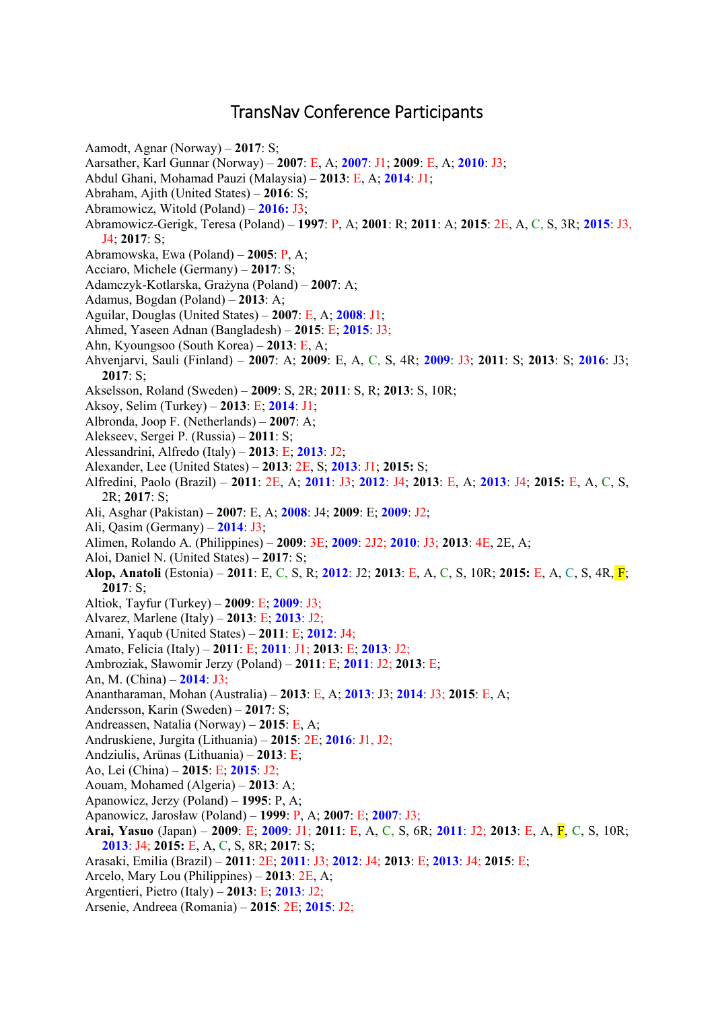## TransNav Conference Participants

Aamodt, Agnar (Norway) – **2017**: S;

- Aarsather, Karl Gunnar (Norway) **2007**: E, A; **2007**: J1; **2009**: E, A; **2010**: J3;
- Abdul Ghani, Mohamad Pauzi (Malaysia) **2013**: E, A; **2014**: J1;
- Abraham, Ajith (United States) **2016**: S;
- Abramowicz, Witold (Poland) **2016:** J3;
- Abramowicz-Gerigk, Teresa (Poland) **1997**: P, A; **2001**: R; **2011**: A; **2015**: 2E, A, C, S, 3R; **2015**: J3, J4; **2017**: S;
- Abramowska, Ewa (Poland) **2005**: P, A;
- Acciaro, Michele (Germany) **2017**: S;
- Adamczyk-Kotlarska, Grażyna (Poland) **2007**: A;
- Adamus, Bogdan (Poland) **2013**: A;
- Aguilar, Douglas (United States) **2007**: E, A; **2008**: J1;
- Ahmed, Yaseen Adnan (Bangladesh) **2015**: E; **2015**: J3;
- Ahn, Kyoungsoo (South Korea) **2013**: E, A;
- Ahvenjarvi, Sauli (Finland) **2007**: A; **2009**: E, A, C, S, 4R; **2009**: J3; **2011**: S; **2013**: S; **2016**: J3; **2017**: S;
- Akselsson, Roland (Sweden) **2009**: S, 2R; **2011**: S, R; **2013**: S, 10R;
- Aksoy, Selim (Turkey) **2013**: E; **2014**: J1;
- Albronda, Joop F. (Netherlands) **2007**: A;
- Alekseev, Sergei P. (Russia) **2011**: S;
- Alessandrini, Alfredo (Italy) **2013**: E; **2013**: J2;
- Alexander, Lee (United States) **2013**: 2E, S; **2013**: J1; **2015:** S;
- Alfredini, Paolo (Brazil) **2011**: 2E, A; **2011**: J3; **2012**: J4; **2013**: E, A; **2013**: J4; **2015:** E, A, C, S, 2R; **2017**: S;
- Ali, Asghar (Pakistan) **2007**: E, A; **2008**: J4; **2009**: E; **2009**: J2;
- Ali, Qasim (Germany) **2014**: J3;
- Alimen, Rolando A. (Philippines) **2009**: 3E; **2009**: 2J2; **2010**: J3; **2013**: 4E, 2E, A;
- Aloi, Daniel N. (United States) **2017**: S;
- **Alop, Anatoli** (Estonia) **2011**: E, C, S, R; **2012**: J2; **2013**: E, A, C, S, 10R; **2015:** E, A, C, S, 4R, F; **2017**: S;
- Altiok, Tayfur (Turkey) **2009**: E; **2009**: J3;
- Alvarez, Marlene (Italy) **2013**: E; **2013**: J2;
- Amani, Yaqub (United States) **2011**: E; **2012**: J4;
- Amato, Felicia (Italy) **2011**: E; **2011**: J1; **2013**: E; **2013**: J2;
- Ambroziak, Sławomir Jerzy (Poland) **2011**: E; **2011**: J2; **2013**: E;
- An, M. (China) **2014**: J3;
- Anantharaman, Mohan (Australia) **2013**: E, A; **2013**: J3; **2014**: J3; **2015**: E, A;
- Andersson, Karin (Sweden) **2017**: S;
- Andreassen, Natalia (Norway) **2015**: E, A;
- Andruskiene, Jurgita (Lithuania) **2015**: 2E; **2016**: J1, J2;
- Andziulis, Arünas (Lithuania) **2013**: E;
- Ao, Lei (China) **2015**: E; **2015**: J2;
- Aouam, Mohamed (Algeria) **2013**: A;
- Apanowicz, Jerzy (Poland) **1995**: P, A;
- Apanowicz, Jarosław (Poland) **1999**: P, A; **2007**: E; **2007**: J3;
- **Arai, Yasuo** (Japan) **2009**: E; **2009**: J1; **2011**: E, A, C, S, 6R; **2011**: J2; **2013**: E, A, F, C, S, 10R; **2013**: J4; **2015:** E, A, C, S, 8R; **2017**: S;
- Arasaki, Emilia (Brazil) **2011**: 2E; **2011**: J3; **2012**: J4; **2013**: E; **2013**: J4; **2015**: E;
- Arcelo, Mary Lou (Philippines) **2013**: 2E, A;
- Argentieri, Pietro (Italy) **2013**: E; **2013**: J2;
- Arsenie, Andreea (Romania) **2015**: 2E; **2015**: J2;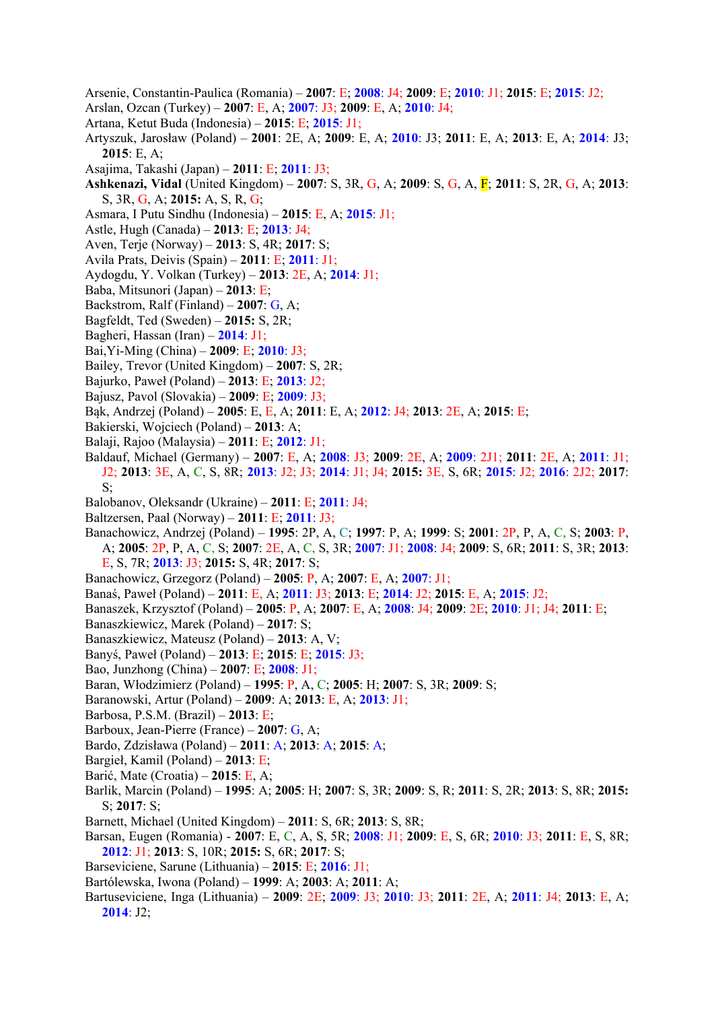- Arsenie, Constantin-Paulica (Romania) **2007**: E; **2008**: J4; **2009**: E; **2010**: J1; **2015**: E; **2015**: J2;
- Arslan, Ozcan (Turkey) **2007**: E, A; **2007**: J3; **2009**: E, A; **2010**: J4;
- Artana, Ketut Buda (Indonesia) **2015**: E; **2015**: J1;
- Artyszuk, Jarosław (Poland) **2001**: 2E, A; **2009**: E, A; **2010**: J3; **2011**: E, A; **2013**: E, A; **2014**: J3; **2015**: E, A;
- Asajima, Takashi (Japan) **2011**: E; **2011**: J3;
- **Ashkenazi, Vidal** (United Kingdom) **2007**: S, 3R, G, A; **2009**: S, G, A, F; **2011**: S, 2R, G, A; **2013**: S, 3R, G, A; **2015:** A, S, R, G;
- Asmara, I Putu Sindhu (Indonesia) **2015**: E, A; **2015**: J1;
- Astle, Hugh (Canada) **2013**: E; **2013**: J4;
- Aven, Terje (Norway) **2013**: S, 4R; **2017**: S;
- Avila Prats, Deivis (Spain) **2011**: E; **2011**: J1;
- Aydogdu, Y. Volkan (Turkey) **2013**: 2E, A; **2014**: J1;
- Baba, Mitsunori (Japan) **2013**: E;
- Backstrom, Ralf (Finland) **2007**: G, A;
- Bagfeldt, Ted (Sweden) **2015:** S, 2R;
- Bagheri, Hassan (Iran) **2014**: J1;
- Bai,Yi-Ming (China) **2009**: E; **2010**: J3;
- Bailey, Trevor (United Kingdom) **2007**: S, 2R;
- Bajurko, Paweł (Poland) **2013**: E; **2013**: J2;
- Bajusz, Pavol (Slovakia) **2009**: E; **2009**: J3;
- Bąk, Andrzej (Poland) **2005**: E, E, A; **2011**: E, A; **2012**: J4; **2013**: 2E, A; **2015**: E;
- Bakierski, Wojciech (Poland) **2013**: A;
- Balaji, Rajoo (Malaysia) **2011**: E; **2012**: J1;
- Baldauf, Michael (Germany) **2007**: E, A; **2008**: J3; **2009**: 2E, A; **2009**: 2J1; **2011**: 2E, A; **2011**: J1; J2; **2013**: 3E, A, C, S, 8R; **2013**: J2; J3; **2014**: J1; J4; **2015:** 3E, S, 6R; **2015**: J2; **2016**: 2J2; **2017**: S;
- Balobanov, Oleksandr (Ukraine) **2011**: E; **2011**: J4;
- Baltzersen, Paal (Norway) **2011**: E; **2011**: J3;
- Banachowicz, Andrzej (Poland) **1995**: 2P, A, C; **1997**: P, A; **1999**: S; **2001**: 2P, P, A, C, S; **2003**: P, A; **2005**: 2P, P, A, C, S; **2007**: 2E, A, C, S, 3R; **2007**: J1; **2008**: J4; **2009**: S, 6R; **2011**: S, 3R; **2013**:
	- E, S, 7R; **2013**: J3; **2015:** S, 4R; **2017**: S;
- Banachowicz, Grzegorz (Poland) **2005**: P, A; **2007**: E, A; **2007**: J1;
- Banaś, Paweł (Poland) **2011**: E, A; **2011**: J3; **2013**: E; **2014**: J2; **2015**: E, A; **2015**: J2;
- Banaszek, Krzysztof (Poland) **2005**: P, A; **2007**: E, A; **2008**: J4; **2009**: 2E; **2010**: J1; J4; **2011**: E;
- Banaszkiewicz, Marek (Poland) **2017**: S;
- Banaszkiewicz, Mateusz (Poland) **2013**: A, V;
- Banyś, Paweł (Poland) **2013**: E; **2015**: E; **2015**: J3;
- Bao, Junzhong (China) **2007**: E; **2008**: J1;
- Baran, Włodzimierz (Poland) **1995**: P, A, C; **2005**: H; **2007**: S, 3R; **2009**: S;
- Baranowski, Artur (Poland) **2009**: A; **2013**: E, A; **2013**: J1;
- Barbosa, P.S.M. (Brazil) **2013**: E;
- Barboux, Jean-Pierre (France) **2007**: G, A;
- Bardo, Zdzisława (Poland) **2011**: A; **2013**: A; **2015**: A;
- Bargieł, Kamil (Poland) **2013**: E;
- Barić, Mate (Croatia) **2015**: E, A;
- Barlik, Marcin (Poland) **1995**: A; **2005**: H; **2007**: S, 3R; **2009**: S, R; **2011**: S, 2R; **2013**: S, 8R; **2015:** S; **2017**: S;
- Barnett, Michael (United Kingdom) **2011**: S, 6R; **2013**: S, 8R;
- Barsan, Eugen (Romania) **2007**: E, C, A, S, 5R; **2008**: J1; **2009**: E, S, 6R; **2010**: J3; **2011**: E, S, 8R; **2012**: J1; **2013**: S, 10R; **2015:** S, 6R; **2017**: S;
- Barseviciene, Sarune (Lithuania) **2015**: E; **2016**: J1;
- Bartólewska, Iwona (Poland) **1999**: A; **2003**: A; **2011**: A;
- Bartuseviciene, Inga (Lithuania) **2009**: 2E; **2009**: J3; **2010**: J3; **2011**: 2E, A; **2011**: J4; **2013**: E, A; **2014**: J2;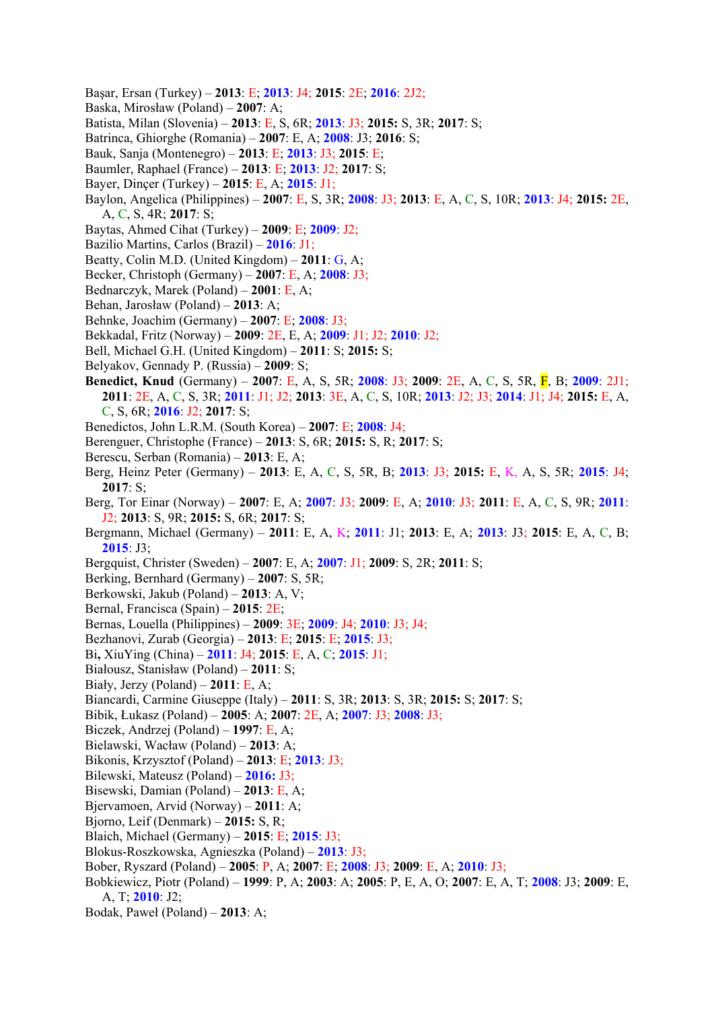- Başar, Ersan (Turkey) **2013**: E; **2013**: J4; **2015**: 2E; **2016**: 2J2;
- Baska, Mirosław (Poland) **2007**: A;
- Batista, Milan (Slovenia) **2013**: E, S, 6R; **2013**: J3; **2015:** S, 3R; **2017**: S;
- Batrinca, Ghiorghe (Romania) **2007**: E, A; **2008**: J3; **2016**: S;
- Bauk, Sanja (Montenegro) **2013**: E; **2013**: J3; **2015**: E;
- Baumler, Raphael (France) **2013**: E; **2013**: J2; **2017**: S;
- Bayer, Dinçer (Turkey) **2015**: E, A; **2015**: J1;
- Baylon, Angelica (Philippines) **2007**: E, S, 3R; **2008**: J3; **2013**: E, A, C, S, 10R; **2013**: J4; **2015:** 2E, A, C, S, 4R; **2017**: S;
- Baytas, Ahmed Cihat (Turkey) **2009**: E; **2009**: J2;
- Bazilio Martins, Carlos (Brazil) **2016**: J1;
- Beatty, Colin M.D. (United Kingdom) **2011**: G, A;
- Becker, Christoph (Germany) **2007**: E, A; **2008**: J3;
- Bednarczyk, Marek (Poland) **2001**: E, A;
- Behan, Jarosław (Poland) **2013**: A;
- Behnke, Joachim (Germany) **2007**: E; **2008**: J3;
- Bekkadal, Fritz (Norway) **2009**: 2E, E, A; **2009**: J1; J2; **2010**: J2;
- Bell, Michael G.H. (United Kingdom) **2011**: S; **2015:** S;
- Belyakov, Gennady P. (Russia) **2009**: S;
- **Benedict, Knud** (Germany) **2007**: E, A, S, 5R; **2008**: J3; **2009**: 2E, A, C, S, 5R, F, B; **2009**: 2J1; **2011**: 2E, A, C, S, 3R; **2011**: J1; J2; **2013**: 3E, A, C, S, 10R; **2013**: J2; J3; **2014**: J1; J4; **2015:** E, A, C, S, 6R; **2016**: J2; **2017**: S;
- Benedictos, John L.R.M. (South Korea) **2007**: E; **2008**: J4;
- Berenguer, Christophe (France) **2013**: S, 6R; **2015:** S, R; **2017**: S;
- Berescu, Serban (Romania) **2013**: E, A;
- Berg, Heinz Peter (Germany) **2013**: E, A, C, S, 5R, B; **2013**: J3; **2015:** E, K, A, S, 5R; **2015**: J4; **2017**: S;
- Berg, Tor Einar (Norway) **2007**: E, A; **2007**: J3; **2009**: E, A; **2010**: J3; **2011**: E, A, C, S, 9R; **2011**: J2; **2013**: S, 9R; **2015:** S, 6R; **2017**: S;
- Bergmann, Michael (Germany) **2011**: E, A, K; **2011**: J1; **2013**: E, A; **2013**: J3; **2015**: E, A, C, B; **2015**: J3;
- Bergquist, Christer (Sweden) **2007**: E, A; **2007**: J1; **2009**: S, 2R; **2011**: S;
- Berking, Bernhard (Germany) **2007**: S, 5R;
- Berkowski, Jakub (Poland) **2013**: A, V;
- Bernal, Francisca (Spain) **2015**: 2E;
- Bernas, Louella (Philippines) **2009**: 3E; **2009**: J4; **2010**: J3; J4;
- Bezhanovi, Zurab (Georgia) **2013**: E; **2015**: E; **2015**: J3;
- Bi**,** XiuYing (China) **2011**: J4; **2015**: E, A, C; **2015**: J1;
- Białousz, Stanisław (Poland) **2011**: S;
- Biały, Jerzy (Poland) **2011**: E, A;
- Biancardi, Carmine Giuseppe (Italy) **2011**: S, 3R; **2013**: S, 3R; **2015:** S; **2017**: S;
- Bibik, Łukasz (Poland) **2005**: A; **2007**: 2E, A; **2007**: J3; **2008**: J3;
- Biczek, Andrzej (Poland) **1997**: E, A;
- Bielawski, Wacław (Poland) **2013**: A;
- Bikonis, Krzysztof (Poland) **2013**: E; **2013**: J3;
- Bilewski, Mateusz (Poland) **2016:** J3;
- Bisewski, Damian (Poland) **2013**: E, A;
- Bjervamoen, Arvid (Norway) **2011**: A;
- Bjorno, Leif (Denmark) **2015:** S, R;
- Blaich, Michael (Germany) **2015**: E; **2015**: J3;
- Blokus-Roszkowska, Agnieszka (Poland) **2013**: J3;
- Bober, Ryszard (Poland) **2005**: P, A; **2007**: E; **2008**: J3; **2009**: E, A; **2010**: J3;
- Bobkiewicz, Piotr (Poland) **1999**: P, A; **2003**: A; **2005**: P, E, A, O; **2007**: E, A, T; **2008**: J3; **2009**: E, A, T; **2010**: J2;
- Bodak, Paweł (Poland) **2013**: A;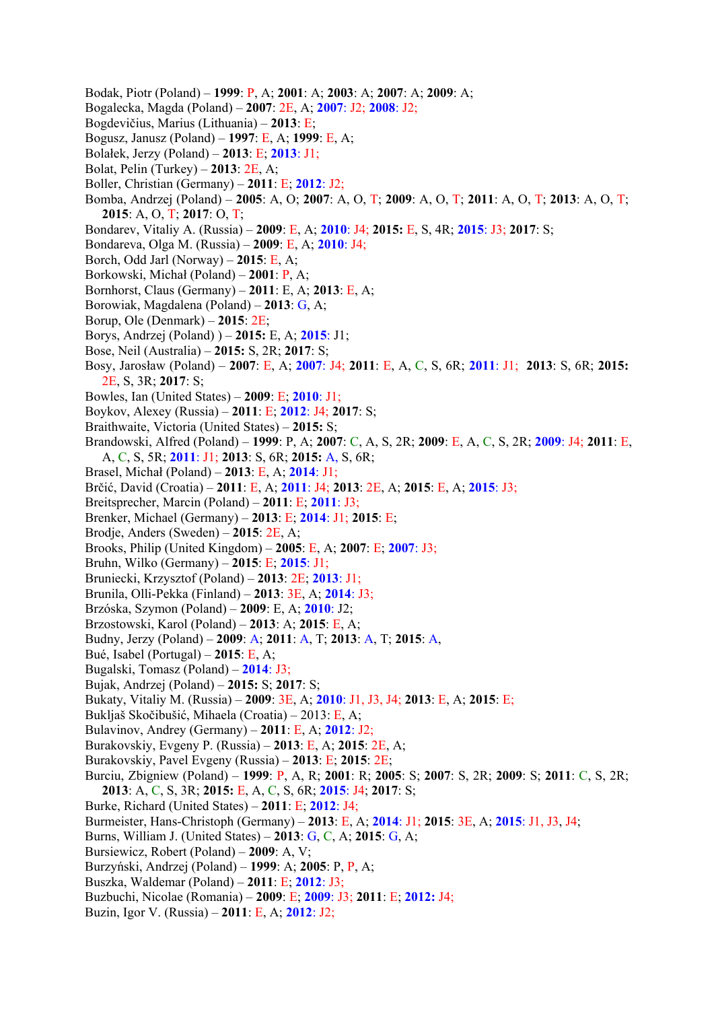- Bodak, Piotr (Poland) **1999**: P, A; **2001**: A; **2003**: A; **2007**: A; **2009**: A;
- Bogalecka, Magda (Poland) **2007**: 2E, A; **2007**: J2; **2008**: J2;
- Bogdevičius, Marius (Lithuania) **2013**: E;
- Bogusz, Janusz (Poland) **1997**: E, A; **1999**: E, A;
- Bolałek, Jerzy (Poland) **2013**: E; **2013**: J1;
- Bolat, Pelin (Turkey) **2013**: 2E, A;
- Boller, Christian (Germany) **2011**: E; **2012**: J2;
- Bomba, Andrzej (Poland) **2005**: A, O; **2007**: A, O, T; **2009**: A, O, T; **2011**: A, O, T; **2013**: A, O, T; **2015**: A, O, T; **2017**: O, T;
- Bondarev, Vitaliy A. (Russia) **2009**: E, A; **2010**: J4; **2015:** E, S, 4R; **2015**: J3; **2017**: S;
- Bondareva, Olga M. (Russia) **2009**: E, A; **2010**: J4;
- Borch, Odd Jarl (Norway) **2015**: E, A;
- Borkowski, Michał (Poland) **2001**: P, A;
- Bornhorst, Claus (Germany) **2011**: E, A; **2013**: E, A;
- Borowiak, Magdalena (Poland) **2013**: G, A;
- Borup, Ole (Denmark) **2015**: 2E;
- Borys, Andrzej (Poland) ) **2015:** E, A; **2015**: J1;
- Bose, Neil (Australia) **2015:** S, 2R; **2017**: S;
- Bosy, Jarosław (Poland) **2007**: E, A; **2007**: J4; **2011**: E, A, C, S, 6R; **2011**: J1; **2013**: S, 6R; **2015:** 2E, S, 3R; **2017**: S;
- Bowles, Ian (United States) **2009**: E; **2010**: J1;
- Boykov, Alexey (Russia) **2011**: E; **2012**: J4; **2017**: S;
- Braithwaite, Victoria (United States) **2015:** S;
- Brandowski, Alfred (Poland) **1999**: P, A; **2007**: C, A, S, 2R; **2009**: E, A, C, S, 2R; **2009**: J4; **2011**: E, A, C, S, 5R; **2011**: J1; **2013**: S, 6R; **2015:** A, S, 6R;
- Brasel, Michał (Poland) **2013**: E, A; **2014**: J1;
- Brčić, David (Croatia) **2011**: E, A; **2011**: J4; **2013**: 2E, A; **2015**: E, A; **2015**: J3;
- Breitsprecher, Marcin (Poland) **2011**: E; **2011**: J3;
- Brenker, Michael (Germany) **2013**: E; **2014**: J1; **2015**: E;
- Brodje, Anders (Sweden) **2015**: 2E, A;
- Brooks, Philip (United Kingdom) **2005**: E, A; **2007**: E; **2007**: J3;
- Bruhn, Wilko (Germany) **2015**: E; **2015**: J1;
- Bruniecki, Krzysztof (Poland) **2013**: 2E; **2013**: J1;
- Brunila, Olli-Pekka (Finland) **2013**: 3E, A; **2014**: J3;
- Brzóska, Szymon (Poland) **2009**: E, A; **2010**: J2;
- Brzostowski, Karol (Poland) **2013**: A; **2015**: E, A;
- Budny, Jerzy (Poland) **2009**: A; **2011**: A, T; **2013**: A, T; **2015**: A,
- Bué, Isabel (Portugal) **2015**: E, A;
- Bugalski, Tomasz (Poland) **2014**: J3;
- Bujak, Andrzej (Poland) **2015:** S; **2017**: S;
- Bukaty, Vitaliy M. (Russia) **2009**: 3E, A; **2010**: J1, J3, J4; **2013**: E, A; **2015**: E;
- Bukljaš Skočibušić, Mihaela (Croatia) 2013: E, A;
- Bulavinov, Andrey (Germany) **2011**: E, A; **2012**: J2;
- Burakovskiy, Evgeny P. (Russia) **2013**: E, A; **2015**: 2E, A;
- Burakovskiy, Pavel Evgeny (Russia) **2013**: E; **2015**: 2E;
- Burciu, Zbigniew (Poland) **1999**: P, A, R; **2001**: R; **2005**: S; **2007**: S, 2R; **2009**: S; **2011**: C, S, 2R;
- **2013**: A, C, S, 3R; **2015:** E, A, C, S, 6R; **2015**: J4; **2017**: S;
- Burke, Richard (United States) **2011**: E; **2012**: J4;
- Burmeister, Hans-Christoph (Germany) **2013**: E, A; **2014**: J1; **2015**: 3E, A; **2015**: J1, J3, J4;
- Burns, William J. (United States) **2013**: G, C, A; **2015**: G, A;
- Bursiewicz, Robert (Poland) **2009**: A, V;
- Burzyński, Andrzej (Poland) **1999**: A; **2005**: P, P, A;
- Buszka, Waldemar (Poland) **2011**: E; **2012**: J3;
- Buzbuchi, Nicolae (Romania) **2009**: E; **2009**: J3; **2011**: E; **2012:** J4;
- Buzin, Igor V. (Russia) **2011**: E, A; **2012**: J2;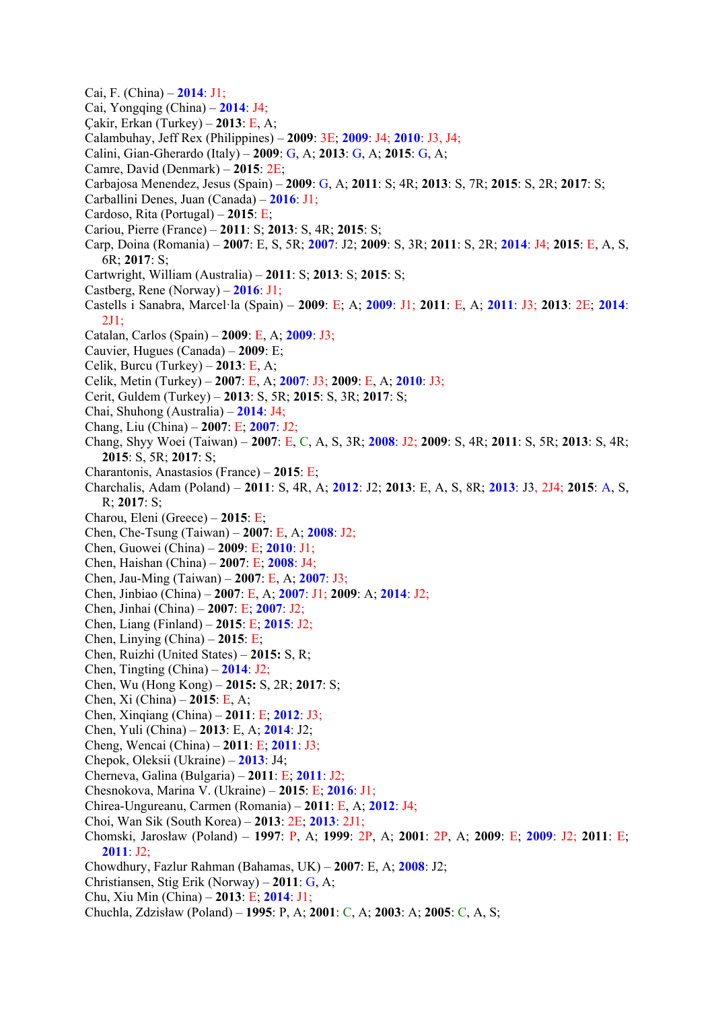- Cai, F. (China) **2014**: J1;
- Cai, Yongqing (China) **2014**: J4;
- Çakir, Erkan (Turkey) **2013**: E, A;
- Calambuhay, Jeff Rex (Philippines) **2009**: 3E; **2009**: J4; **2010**: J3, J4;
- Calini, Gian-Gherardo (Italy) **2009**: G, A; **2013**: G, A; **2015**: G, A;
- Camre, David (Denmark) **2015**: 2E;
- Carbajosa Menendez, Jesus (Spain) **2009**: G, A; **2011**: S; 4R; **2013**: S, 7R; **2015**: S, 2R; **2017**: S;
- Carballini Denes, Juan (Canada) **2016**: J1;
- Cardoso, Rita (Portugal) **2015**: E;
- Cariou, Pierre (France) **2011**: S; **2013**: S, 4R; **2015**: S;
- Carp, Doina (Romania) **2007**: E, S, 5R; **2007**: J2; **2009**: S, 3R; **2011**: S, 2R; **2014**: J4; **2015**: E, A, S, 6R; **2017**: S;
- Cartwright, William (Australia) **2011**: S; **2013**: S; **2015**: S;
- Castberg, Rene (Norway) **2016**: J1;
- Castells i Sanabra, Marcel·la (Spain) **2009**: E; A; **2009**: J1; **2011**: E, A; **2011**: J3; **2013**: 2E; **2014**: 2J1;
- Catalan, Carlos (Spain) **2009**: E, A; **2009**: J3;
- Cauvier, Hugues (Canada) **2009**: E;
- Celik, Burcu (Turkey) **2013**: E, A;
- Celik, Metin (Turkey) **2007**: E, A; **2007**: J3; **2009**: E, A; **2010**: J3;
- Cerit, Guldem (Turkey) **2013**: S, 5R; **2015**: S, 3R; **2017**: S;
- Chai, Shuhong (Australia) **2014**: J4;
- Chang, Liu (China) **2007**: E; **2007**: J2;
- Chang, Shyy Woei (Taiwan) **2007**: E, C, A, S, 3R; **2008**: J2; **2009**: S, 4R; **2011**: S, 5R; **2013**: S, 4R; **2015**: S, 5R; **2017**: S;
- Charantonis, Anastasios (France) **2015**: E;
- Charchalis, Adam (Poland) **2011**: S, 4R, A; **2012**: J2; **2013**: E, A, S, 8R; **2013**: J3, 2J4; **2015**: A, S, R; **2017**: S;
- Charou, Eleni (Greece) **2015**: E;
- Chen, Che-Tsung (Taiwan) **2007**: E, A; **2008**: J2;
- Chen, Guowei (China) **2009**: E; **2010**: J1;
- Chen, Haishan (China) **2007**: E; **2008**: J4;
- Chen, Jau-Ming (Taiwan) **2007**: E, A; **2007**: J3;
- Chen, Jinbiao (China) **2007**: E, A; **2007**: J1; **2009**: A; **2014**: J2;
- Chen, Jinhai (China) **2007**: E; **2007**: J2;
- Chen, Liang (Finland) **2015**: E; **2015**: J2;
- Chen, Linying (China) **2015**: E;
- Chen, Ruizhi (United States) **2015:** S, R;
- Chen, Tingting (China) **2014**: J2;
- Chen, Wu (Hong Kong) **2015:** S, 2R; **2017**: S;
- Chen, Xi (China) **2015**: E, A;
- Chen, Xinqiang (China) **2011**: E; **2012**: J3;
- Chen, Yuli (China) **2013**: E, A; **2014**: J2;
- Cheng, Wencai (China) **2011**: E; **2011**: J3;
- Chepok, Oleksii (Ukraine) **2013**: J4;
- Cherneva, Galina (Bulgaria) **2011**: E; **2011**: J2;
- Chesnokova, Marina V. (Ukraine) **2015**: E; **2016**: J1;
- Chirea-Ungureanu, Carmen (Romania) **2011**: E, A; **2012**: J4;
- Choi, Wan Sik (South Korea) **2013**: 2E; **2013**: 2J1;
- Chomski, Jarosław (Poland) **1997**: P, A; **1999**: 2P, A; **2001**: 2P, A; **2009**: E; **2009**: J2; **2011**: E; **2011**: J2;
- Chowdhury, Fazlur Rahman (Bahamas, UK) **2007**: E, A; **2008**: J2;
- Christiansen, Stig Erik (Norway) **2011**: G, A;
- Chu, Xiu Min (China) **2013**: E; **2014**: J1;
- Chuchla, Zdzisław (Poland) **1995**: P, A; **2001**: C, A; **2003**: A; **2005**: C, A, S;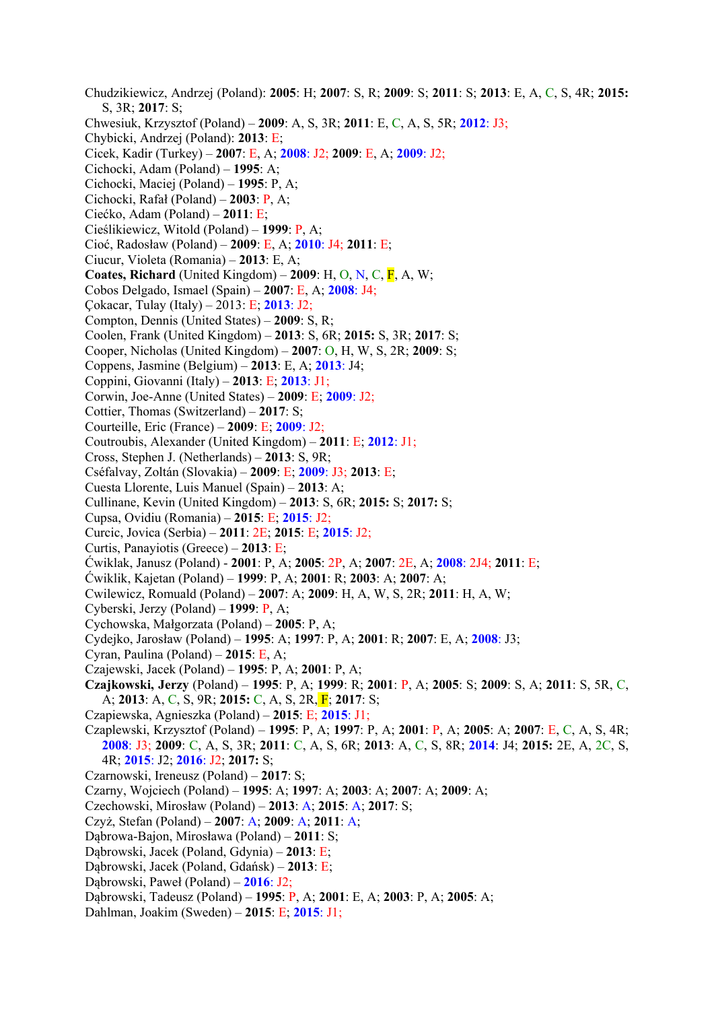Chudzikiewicz, Andrzej (Poland): **2005**: H; **2007**: S, R; **2009**: S; **2011**: S; **2013**: E, A, C, S, 4R; **2015:** S, 3R; **2017**: S; Chwesiuk, Krzysztof (Poland) – **2009**: A, S, 3R; **2011**: E, C, A, S, 5R; **2012**: J3; Chybicki, Andrzej (Poland): **2013**: E; Cicek, Kadir (Turkey) – **2007**: E, A; **2008**: J2; **2009**: E, A; **2009**: J2; Cichocki, Adam (Poland) – **1995**: A; Cichocki, Maciej (Poland) – **1995**: P, A; Cichocki, Rafał (Poland) – **2003**: P, A; Ciećko, Adam (Poland) – **2011**: E; Cieślikiewicz, Witold (Poland) – **1999**: P, A; Cioć, Radosław (Poland) – **2009**: E, A; **2010**: J4; **2011**: E; Ciucur, Violeta (Romania) – **2013**: E, A; **Coates, Richard** (United Kingdom) –  $2009$ : H, O, N, C,  $\overline{F}$ , A, W; Cobos Delgado, Ismael (Spain) – **2007**: E, A; **2008**: J4; Çokacar, Tulay (Italy) – 2013: E; **2013**: J2; Compton, Dennis (United States) – **2009**: S, R; Coolen, Frank (United Kingdom) – **2013**: S, 6R; **2015:** S, 3R; **2017**: S; Cooper, Nicholas (United Kingdom) – **2007**: O, H, W, S, 2R; **2009**: S; Coppens, Jasmine (Belgium) – **2013**: E, A; **2013**: J4; Coppini, Giovanni (Italy) – **2013**: E; **2013**: J1; Corwin, Joe-Anne (United States) – **2009**: E; **2009**: J2; Cottier, Thomas (Switzerland) – **2017**: S; Courteille, Eric (France) – **2009**: E; **2009**: J2; Coutroubis, Alexander (United Kingdom) – **2011**: E; **2012**: J1; Cross, Stephen J. (Netherlands) – **2013**: S, 9R; Cséfalvay, Zoltán (Slovakia) – **2009**: E; **2009**: J3; **2013**: E; Cuesta Llorente, Luis Manuel (Spain) – **2013**: A; Cullinane, Kevin (United Kingdom) – **2013**: S, 6R; **2015:** S; **2017:** S; Cupsa, Ovidiu (Romania) – **2015**: E; **2015**: J2; Curcic, Jovica (Serbia) – **2011**: 2E; **2015**: E; **2015**: J2; Curtis, Panayiotis (Greece) – **2013**: E; Ćwiklak, Janusz (Poland) - **2001**: P, A; **2005**: 2P, A; **2007**: 2E, A; **2008**: 2J4; **2011**: E; Ćwiklik, Kajetan (Poland) – **1999**: P, A; **2001**: R; **2003**: A; **2007**: A; Cwilewicz, Romuald (Poland) – **2007**: A; **2009**: H, A, W, S, 2R; **2011**: H, A, W; Cyberski, Jerzy (Poland) – **1999**: P, A; Cychowska, Małgorzata (Poland) – **2005**: P, A; Cydejko, Jarosław (Poland) – **1995**: A; **1997**: P, A; **2001**: R; **2007**: E, A; **2008**: J3; Cyran, Paulina (Poland) – **2015**: E, A; Czajewski, Jacek (Poland) – **1995**: P, A; **2001**: P, A; **Czajkowski, Jerzy** (Poland) – **1995**: P, A; **1999**: R; **2001**: P, A; **2005**: S; **2009**: S, A; **2011**: S, 5R, C, A; **2013**: A, C, S, 9R; **2015:** C, A, S, 2R, F; **2017**: S; Czapiewska, Agnieszka (Poland) – **2015**: E; **2015**: J1; Czaplewski, Krzysztof (Poland) – **1995**: P, A; **1997**: P, A; **2001**: P, A; **2005**: A; **2007**: E, C, A, S, 4R; **2008**: J3; **2009**: C, A, S, 3R; **2011**: C, A, S, 6R; **2013**: A, C, S, 8R; **2014**: J4; **2015:** 2E, A, 2C, S, 4R; **2015**: J2; **2016**: J2; **2017:** S; Czarnowski, Ireneusz (Poland) – **2017**: S; Czarny, Wojciech (Poland) – **1995**: A; **1997**: A; **2003**: A; **2007**: A; **2009**: A; Czechowski, Mirosław (Poland) – **2013**: A; **2015**: A; **2017**: S; Czyż, Stefan (Poland) – **2007**: A; **2009**: A; **2011**: A; Dąbrowa-Bajon, Mirosława (Poland) – **2011**: S; Dąbrowski, Jacek (Poland, Gdynia) – **2013**: E; Dąbrowski, Jacek (Poland, Gdańsk) – **2013**: E; Dąbrowski, Paweł (Poland) – **2016**: J2; Dąbrowski, Tadeusz (Poland) – **1995**: P, A; **2001**: E, A; **2003**: P, A; **2005**: A;

Dahlman, Joakim (Sweden) – **2015**: E; **2015**: J1;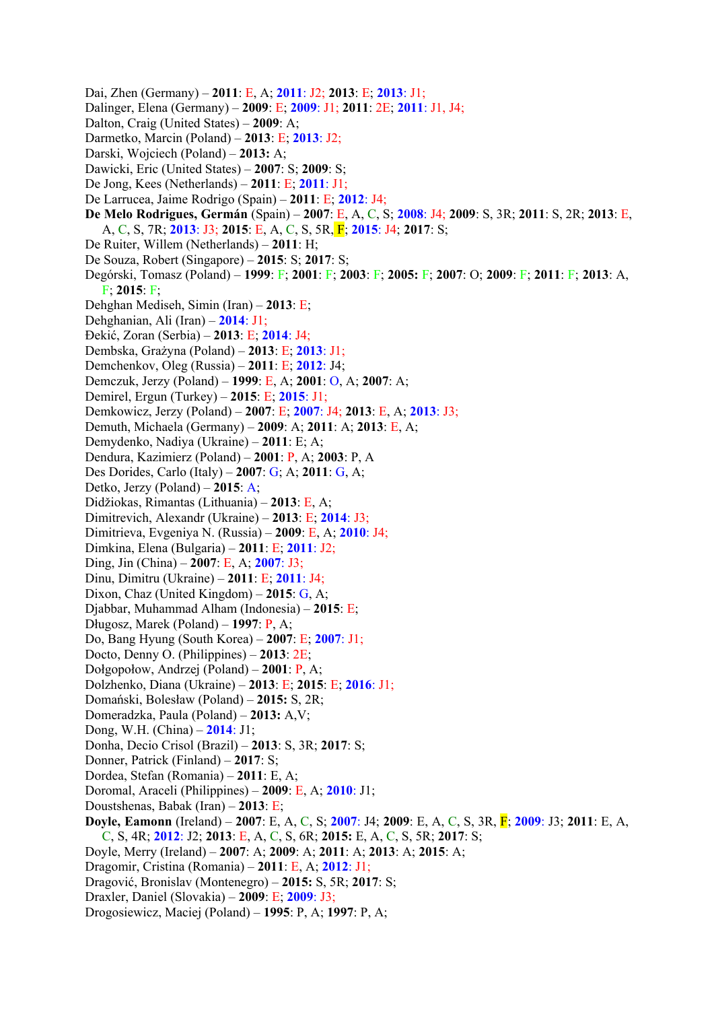Dai, Zhen (Germany) – **2011**: E, A; **2011**: J2; **2013**: E; **2013**: J1; Dalinger, Elena (Germany) – **2009**: E; **2009**: J1; **2011**: 2E; **2011**: J1, J4; Dalton, Craig (United States) – **2009**: A; Darmetko, Marcin (Poland) – **2013**: E; **2013**: J2; Darski, Wojciech (Poland) – **2013:** A; Dawicki, Eric (United States) – **2007**: S; **2009**: S; De Jong, Kees (Netherlands) – **2011**: E; **2011**: J1; De Larrucea, Jaime Rodrigo (Spain) – **2011**: E; **2012**: J4; **De Melo Rodrigues, Germán** (Spain) – **2007**: E, A, C, S; **2008**: J4; **2009**: S, 3R; **2011**: S, 2R; **2013**: E, A, C, S, 7R; **2013**: J3; **2015**: E, A, C, S, 5R, F; **2015**: J4; **2017**: S; De Ruiter, Willem (Netherlands) – **2011**: H; De Souza, Robert (Singapore) – **2015**: S; **2017**: S; Degórski, Tomasz (Poland) – **1999**: F; **2001**: F; **2003**: F; **2005:** F; **2007**: O; **2009**: F; **2011**: F; **2013**: A, F; **2015**: F; Dehghan Mediseh, Simin (Iran) – **2013**: E; Dehghanian, Ali (Iran) – **2014**: J1; Đekić, Zoran (Serbia) – **2013**: E; **2014**: J4; Dembska, Grażyna (Poland) – **2013**: E; **2013**: J1; Demchenkov, Oleg (Russia) – **2011**: E; **2012**: J4; Demczuk, Jerzy (Poland) – **1999**: E, A; **2001**: O, A; **2007**: A; Demirel, Ergun (Turkey) – **2015**: E; **2015**: J1; Demkowicz, Jerzy (Poland) – **2007**: E; **2007**: J4; **2013**: E, A; **2013**: J3; Demuth, Michaela (Germany) – **2009**: A; **2011**: A; **2013**: E, A; Demydenko, Nadiya (Ukraine) – **2011**: E; A; Dendura, Kazimierz (Poland) – **2001**: P, A; **2003**: P, A Des Dorides, Carlo (Italy) – **2007**: G; A; **2011**: G, A; Detko, Jerzy (Poland) – **2015**: A; Didžiokas, Rimantas (Lithuania) – **2013**: E, A; Dimitrevich, Alexandr (Ukraine) – **2013**: E; **2014**: J3; Dimitrieva, Evgeniya N. (Russia) – **2009**: E, A; **2010**: J4; Dimkina, Elena (Bulgaria) – **2011**: E; **2011**: J2; Ding, Jin (China) – **2007**: E, A; **2007**: J3; Dinu, Dimitru (Ukraine) – **2011**: E; **2011**: J4; Dixon, Chaz (United Kingdom) – **2015**: G, A; Djabbar, Muhammad Alham (Indonesia) – **2015**: E; Długosz, Marek (Poland) – **1997**: P, A; Do, Bang Hyung (South Korea) – **2007**: E; **2007**: J1; Docto, Denny O. (Philippines) – **2013**: 2E; Dołgopołow, Andrzej (Poland) – **2001**: P, A; Dolzhenko, Diana (Ukraine) – **2013**: E; **2015**: E; **2016**: J1; Domański, Bolesław (Poland) – **2015:** S, 2R; Domeradzka, Paula (Poland) – **2013:** A,V; Dong, W.H. (China) – **2014**: J1; Donha, Decio Crisol (Brazil) – **2013**: S, 3R; **2017**: S; Donner, Patrick (Finland) – **2017**: S; Dordea, Stefan (Romania) – **2011**: E, A; Doromal, Araceli (Philippines) – **2009**: E, A; **2010**: J1; Doustshenas, Babak (Iran) – **2013**: E; **Doyle, Eamonn** (Ireland) – **2007**: E, A, C, S; **2007**: J4; **2009**: E, A, C, S, 3R, F; **2009**: J3; **2011**: E, A, C, S, 4R; **2012**: J2; **2013**: E, A, C, S, 6R; **2015:** E, A, C, S, 5R; **2017**: S; Doyle, Merry (Ireland) – **2007**: A; **2009**: A; **2011**: A; **2013**: A; **2015**: A; Dragomir, Cristina (Romania) – **2011**: E, A; **2012**: J1; Dragović, Bronislav (Montenegro) – **2015:** S, 5R; **2017**: S; Draxler, Daniel (Slovakia) – **2009**: E; **2009**: J3;

Drogosiewicz, Maciej (Poland) – **1995**: P, A; **1997**: P, A;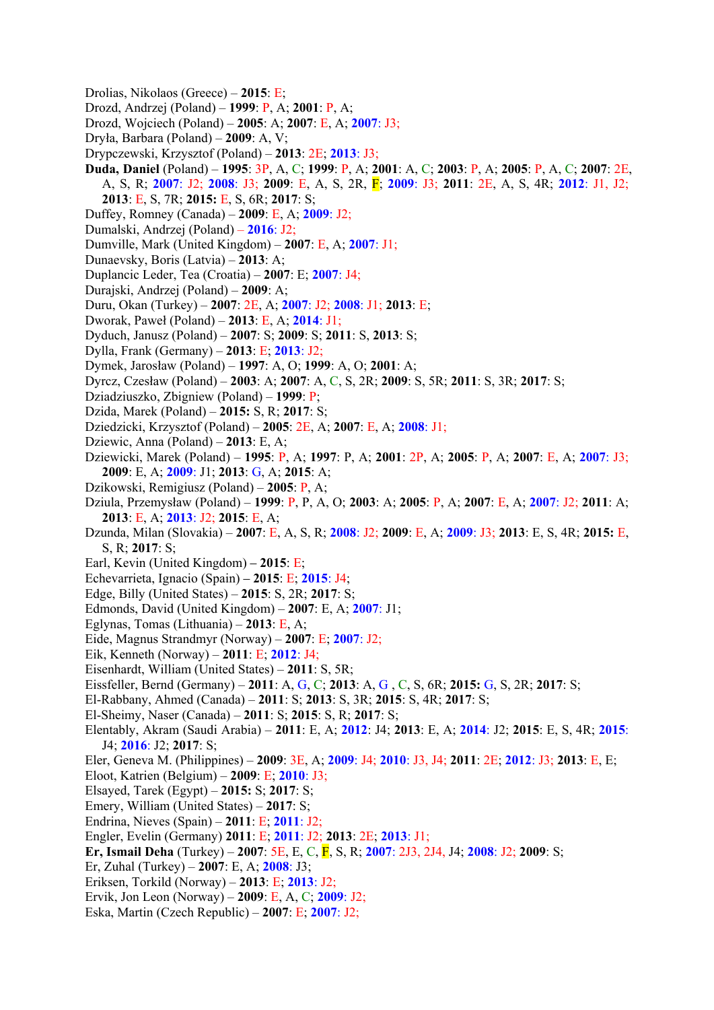- Drolias, Nikolaos (Greece) **2015**: E;
- Drozd, Andrzej (Poland) **1999**: P, A; **2001**: P, A;
- Drozd, Wojciech (Poland) **2005**: A; **2007**: E, A; **2007**: J3;
- Dryła, Barbara (Poland) **2009**: A, V;
- Drypczewski, Krzysztof (Poland) **2013**: 2E; **2013**: J3;
- **Duda, Daniel** (Poland) **1995**: 3P, A, C; **1999**: P, A; **2001**: A, C; **2003**: P, A; **2005**: P, A, C; **2007**: 2E, A, S, R; **2007**: J2; **2008**: J3; **2009**: E, A, S, 2R, F; **2009**: J3; **2011**: 2E, A, S, 4R; **2012**: J1, J2; **2013**: E, S, 7R; **2015:** E, S, 6R; **2017**: S;
- Duffey, Romney (Canada) **2009**: E, A; **2009**: J2;
- Dumalski, Andrzej (Poland) **2016**: J2;
- Dumville, Mark (United Kingdom) **2007**: E, A; **2007**: J1;
- Dunaevsky, Boris (Latvia) **2013**: A;
- Duplancic Leder, Tea (Croatia) **2007**: E; **2007**: J4;
- Durajski, Andrzej (Poland) **2009**: A;
- Duru, Okan (Turkey) **2007**: 2E, A; **2007**: J2; **2008**: J1; **2013**: E;
- Dworak, Paweł (Poland) **2013**: E, A; **2014**: J1;
- Dyduch, Janusz (Poland) **2007**: S; **2009**: S; **2011**: S, **2013**: S;
- Dylla, Frank (Germany) **2013**: E; **2013**: J2;
- Dymek, Jarosław (Poland) **1997**: A, O; **1999**: A, O; **2001**: A;
- Dyrcz, Czesław (Poland) **2003**: A; **2007**: A, C, S, 2R; **2009**: S, 5R; **2011**: S, 3R; **2017**: S;
- Dziadziuszko, Zbigniew (Poland) **1999**: P;
- Dzida, Marek (Poland) **2015:** S, R; **2017**: S;
- Dziedzicki, Krzysztof (Poland) **2005**: 2E, A; **2007**: E, A; **2008**: J1;
- Dziewic, Anna (Poland) **2013**: E, A;
- Dziewicki, Marek (Poland) **1995**: P, A; **1997**: P, A; **2001**: 2P, A; **2005**: P, A; **2007**: E, A; **2007**: J3; **2009**: E, A; **2009**: J1; **2013**: G, A; **2015**: A;
- Dzikowski, Remigiusz (Poland) **2005**: P, A;
- Dziula, Przemysław (Poland) **1999**: P, P, A, O; **2003**: A; **2005**: P, A; **2007**: E, A; **2007**: J2; **2011**: A; **2013**: E, A; **2013**: J2; **2015**: E, A;
- Dzunda, Milan (Slovakia) **2007**: E, A, S, R; **2008**: J2; **2009**: E, A; **2009**: J3; **2013**: E, S, 4R; **2015:** E, S, R; **2017**: S;
- Earl, Kevin (United Kingdom)**2015**: E;
- Echevarrieta, Ignacio (Spain)**2015**: E; **2015**: J4;
- Edge, Billy (United States) **2015**: S, 2R; **2017**: S;
- Edmonds, David (United Kingdom) **2007**: E, A; **2007**: J1;
- Eglynas, Tomas (Lithuania) **2013**: E, A;
- Eide, Magnus Strandmyr (Norway) **2007**: E; **2007**: J2;
- Eik, Kenneth (Norway) **2011**: E; **2012**: J4;
- Eisenhardt, William (United States) **2011**: S, 5R;
- Eissfeller, Bernd (Germany) **2011**: A, G, C; **2013**: A, G , C, S, 6R; **2015:** G, S, 2R; **2017**: S;
- El-Rabbany, Ahmed (Canada) **2011**: S; **2013**: S, 3R; **2015**: S, 4R; **2017**: S;
- El-Sheimy, Naser (Canada) **2011**: S; **2015**: S, R; **2017**: S;
- Elentably, Akram (Saudi Arabia) **2011**: E, A; **2012**: J4; **2013**: E, A; **2014**: J2; **2015**: E, S, 4R; **2015**: J4; **2016**: J2; **2017**: S;
- Eler, Geneva M. (Philippines) **2009**: 3E, A; **2009**: J4; **2010**: J3, J4; **2011**: 2E; **2012**: J3; **2013**: E, E;
- Eloot, Katrien (Belgium) **2009**: E; **2010**: J3;
- Elsayed, Tarek (Egypt) **2015:** S; **2017**: S;
- Emery, William (United States) **2017**: S;
- Endrina, Nieves (Spain) **2011**: E; **2011**: J2;
- Engler, Evelin (Germany) **2011**: E; **2011**: J2; **2013**: 2E; **2013**: J1;
- **Er, Ismail Deha** (Turkey) **2007**: 5E, E, C, F, S, R; **2007**: 2J3, 2J4, J4; **2008**: J2; **2009**: S;
- Er, Zuhal (Turkey) **2007**: E, A; **2008**: J3;
- Eriksen, Torkild (Norway) **2013**: E; **2013**: J2;
- Ervik, Jon Leon (Norway) **2009**: E, A, C; **2009**: J2;
- Eska, Martin (Czech Republic) **2007**: E; **2007**: J2;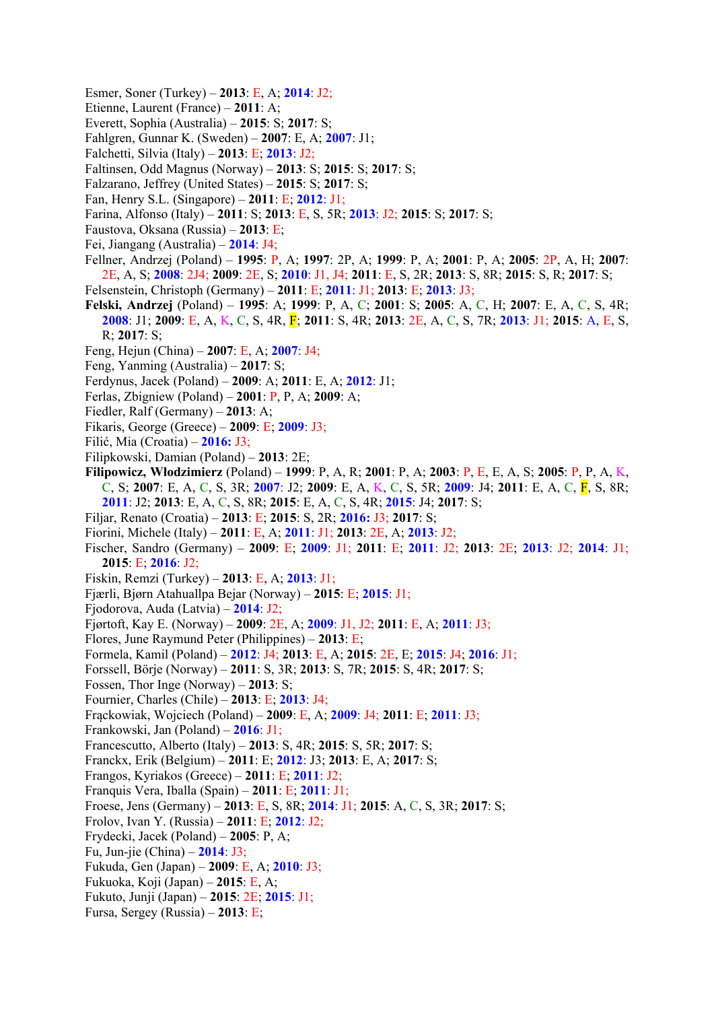- Esmer, Soner (Turkey) **2013**: E, A; **2014**: J2;
- Etienne, Laurent (France) **2011**: A;
- Everett, Sophia (Australia) **2015**: S; **2017**: S;
- Fahlgren, Gunnar K. (Sweden) **2007**: E, A; **2007**: J1;
- Falchetti, Silvia (Italy) **2013**: E; **2013**: J2;
- Faltinsen, Odd Magnus (Norway) **2013**: S; **2015**: S; **2017**: S;
- Falzarano, Jeffrey (United States) **2015**: S; **2017**: S;
- Fan, Henry S.L. (Singapore) **2011**: E; **2012**: J1;
- Farina, Alfonso (Italy) **2011**: S; **2013**: E, S, 5R; **2013**: J2; **2015**: S; **2017**: S;
- Faustova, Oksana (Russia) **2013**: E;
- Fei, Jiangang (Australia) **2014**: J4;
- Fellner, Andrzej (Poland) **1995**: P, A; **1997**: 2P, A; **1999**: P, A; **2001**: P, A; **2005**: 2P, A, H; **2007**: 2E, A, S; **2008**: 2J4; **2009**: 2E, S; **2010**: J1, J4; **2011**: E, S, 2R; **2013**: S, 8R; **2015**: S, R; **2017**: S;
- Felsenstein, Christoph (Germany) **2011**: E; **2011**: J1; **2013**: E; **2013**: J3;
- **Felski, Andrzej** (Poland) **1995**: A; **1999**: P, A, C; **2001**: S; **2005**: A, C, H; **2007**: E, A, C, S, 4R; **2008**: J1; **2009**: E, A, K, C, S, 4R, F; **2011**: S, 4R; **2013**: 2E, A, C, S, 7R; **2013**: J1; **2015**: A, E, S, R; **2017**: S;
- Feng, Hejun (China) **2007**: E, A; **2007**: J4;
- Feng, Yanming (Australia) **2017**: S;
- Ferdynus, Jacek (Poland) **2009**: A; **2011**: E, A; **2012**: J1;
- Ferlas, Zbigniew (Poland) **2001**: P, P, A; **2009**: A;
- Fiedler, Ralf (Germany) **2013**: A;
- Fikaris, George (Greece) **2009**: E; **2009**: J3;
- Filić, Mia (Croatia) **2016:** J3;
- Filipkowski, Damian (Poland) **2013**: 2E;
- **Filipowicz, Włodzimierz** (Poland) **1999**: P, A, R; **2001**: P, A; **2003**: P, E, E, A, S; **2005**: P, P, A, K, C, S; **2007**: E, A, C, S, 3R; **2007**: J2; **2009**: E, A, K, C, S, 5R; **2009**: J4; **2011**: E, A, C, F, S, 8R; **2011**: J2; **2013**: E, A, C, S, 8R; **2015**: E, A, C, S, 4R; **2015**: J4; **2017**: S;
- Filjar, Renato (Croatia) **2013**: E; **2015**: S, 2R; **2016:** J3; **2017**: S;
- Fiorini, Michele (Italy) **2011**: E, A; **2011**: J1; **2013**: 2E, A; **2013**: J2;
- Fischer, Sandro (Germany) **2009**: E; **2009**: J1; **2011**: E; **2011**: J2; **2013**: 2E; **2013**: J2; **2014**: J1; **2015**: E; **2016**: J2;
- Fiskin, Remzi (Turkey) **2013**: E, A; **2013**: J1;
- Fjærli, Bjørn Atahuallpa Bejar (Norway) **2015**: E; **2015**: J1;
- Fjodorova, Auda (Latvia) **2014**: J2;
- Fjørtoft, Kay E. (Norway) **2009**: 2E, A; **2009**: J1, J2; **2011**: E, A; **2011**: J3;
- Flores, June Raymund Peter (Philippines) **2013**: E;
- Formela, Kamil (Poland) **2012**: J4; **2013**: E, A; **2015**: 2E, E; **2015**: J4; **2016**: J1;
- Forssell, Börje (Norway) **2011**: S, 3R; **2013**: S, 7R; **2015**: S, 4R; **2017**: S;
- Fossen, Thor Inge (Norway) **2013**: S;
- Fournier, Charles (Chile) **2013**: E; **2013**: J4;
- Frąckowiak, Wojciech (Poland) **2009**: E, A; **2009**: J4; **2011**: E; **2011**: J3;
- Frankowski, Jan (Poland) **2016**: J1;
- Francescutto, Alberto (Italy) **2013**: S, 4R; **2015**: S, 5R; **2017**: S;
- Franckx, Erik (Belgium) **2011**: E; **2012**: J3; **2013**: E, A; **2017**: S;
- Frangos, Kyriakos (Greece) **2011**: E; **2011**: J2;
- Franquis Vera, Iballa (Spain) **2011**: E; **2011**: J1;
- Froese, Jens (Germany) **2013**: E, S, 8R; **2014**: J1; **2015**: A, C, S, 3R; **2017**: S;
- Frolov, Ivan Y. (Russia) **2011**: E; **2012**: J2;
- Frydecki, Jacek (Poland) **2005**: P, A;
- Fu, Jun-jie (China) **2014**: J3;
- Fukuda, Gen (Japan) **2009**: E, A; **2010**: J3;
- Fukuoka, Koji (Japan) **2015**: E, A;
- Fukuto, Junji (Japan) **2015**: 2E; **2015**: J1;
- Fursa, Sergey (Russia) **2013**: E;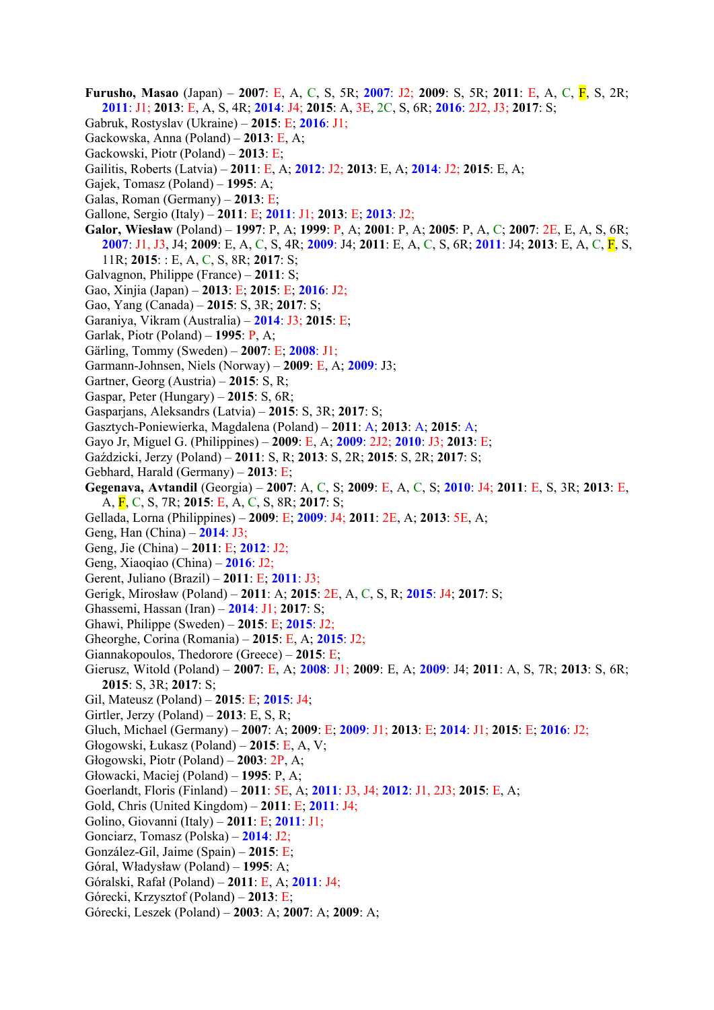- **Furusho, Masao** (Japan) **2007**: E, A, C, S, 5R; **2007**: J2; **2009**: S, 5R; **2011**: E, A, C, F, S, 2R; **2011**: J1; **2013**: E, A, S, 4R; **2014**: J4; **2015**: A, 3E, 2C, S, 6R; **2016**: 2J2, J3; **2017**: S;
- Gabruk, Rostyslav (Ukraine) **2015**: E; **2016**: J1;
- Gackowska, Anna (Poland) **2013**: E, A;
- Gackowski, Piotr (Poland) **2013**: E;
- Gailitis, Roberts (Latvia) **2011**: E, A; **2012**: J2; **2013**: E, A; **2014**: J2; **2015**: E, A;
- Gajek, Tomasz (Poland) **1995**: A;
- Galas, Roman (Germany) **2013**: E;
- Gallone, Sergio (Italy) **2011**: E; **2011**: J1; **2013**: E; **2013**: J2;
- **Galor, Wiesław** (Poland) **1997**: P, A; **1999**: P, A; **2001**: P, A; **2005**: P, A, C; **2007**: 2E, E, A, S, 6R; **2007**: J1, J3, J4; **2009**: E, A, C, S, 4R; **2009**: J4; **2011**: E, A, C, S, 6R; **2011**: J4; **2013**: E, A, C, F, S, 11R; **2015**: : E, A, C, S, 8R; **2017**: S;
- Galvagnon, Philippe (France) **2011**: S;
- Gao, Xinjia (Japan) **2013**: E; **2015**: E; **2016**: J2;
- Gao, Yang (Canada) **2015**: S, 3R; **2017**: S;
- Garaniya, Vikram (Australia) **2014**: J3; **2015**: E;
- Garlak, Piotr (Poland) **1995**: P, A;
- Gärling, Tommy (Sweden) **2007**: E; **2008**: J1;
- Garmann-Johnsen, Niels (Norway) **2009**: E, A; **2009**: J3;
- Gartner, Georg (Austria) **2015**: S, R;
- Gaspar, Peter (Hungary) **2015**: S, 6R;
- Gasparjans, Aleksandrs (Latvia) **2015**: S, 3R; **2017**: S;
- Gasztych-Poniewierka, Magdalena (Poland) **2011**: A; **2013**: A; **2015**: A;
- Gayo Jr, Miguel G. (Philippines) **2009**: E, A; **2009**: 2J2; **2010**: J3; **2013**: E;
- Gaździcki, Jerzy (Poland) **2011**: S, R; **2013**: S, 2R; **2015**: S, 2R; **2017**: S;
- Gebhard, Harald (Germany) **2013**: E;
- **Gegenava, Avtandil** (Georgia) **2007**: A, C, S; **2009**: E, A, C, S; **2010**: J4; **2011**: E, S, 3R; **2013**: E, A, F, C, S, 7R; **2015**: E, A, C, S, 8R; **2017**: S;
- Gellada, Lorna (Philippines) **2009**: E; **2009**: J4; **2011**: 2E, A; **2013**: 5E, A;
- Geng, Han (China) **2014**: J3;
- Geng, Jie (China) **2011**: E; **2012**: J2;
- Geng, Xiaoqiao (China) **2016**: J2;
- Gerent, Juliano (Brazil) **2011**: E; **2011**: J3;
- Gerigk, Mirosław (Poland) **2011**: A; **2015**: 2E, A, C, S, R; **2015**: J4; **2017**: S;
- Ghassemi, Hassan (Iran) **2014**: J1; **2017**: S;
- Ghawi, Philippe (Sweden) **2015**: E; **2015**: J2;
- Gheorghe, Corina (Romania) **2015**: E, A; **2015**: J2;
- Giannakopoulos, Thedorore (Greece) **2015**: E;
- Gierusz, Witold (Poland) **2007**: E, A; **2008**: J1; **2009**: E, A; **2009**: J4; **2011**: A, S, 7R; **2013**: S, 6R; **2015**: S, 3R; **2017**: S;
- Gil, Mateusz (Poland) **2015**: E; **2015**: J4;
- Girtler, Jerzy (Poland) **2013**: E, S, R;
- Gluch, Michael (Germany) **2007**: A; **2009**: E; **2009**: J1; **2013**: E; **2014**: J1; **2015**: E; **2016**: J2;
- Głogowski, Łukasz (Poland) **2015**: E, A, V;
- Głogowski, Piotr (Poland) **2003**: 2P, A;
- Głowacki, Maciej (Poland) **1995**: P, A;
- Goerlandt, Floris (Finland) **2011**: 5E, A; **2011**: J3, J4; **2012**: J1, 2J3; **2015**: E, A;
- Gold, Chris (United Kingdom) **2011**: E; **2011**: J4;
- Golino, Giovanni (Italy) **2011**: E; **2011**: J1;
- Gonciarz, Tomasz (Polska) **2014**: J2;
- González-Gil, Jaime (Spain) **2015**: E;
- Góral, Władysław (Poland) **1995**: A;
- Góralski, Rafał (Poland) **2011**: E, A; **2011**: J4;
- Górecki, Krzysztof (Poland) **2013**: E;
- Górecki, Leszek (Poland) **2003**: A; **2007**: A; **2009**: A;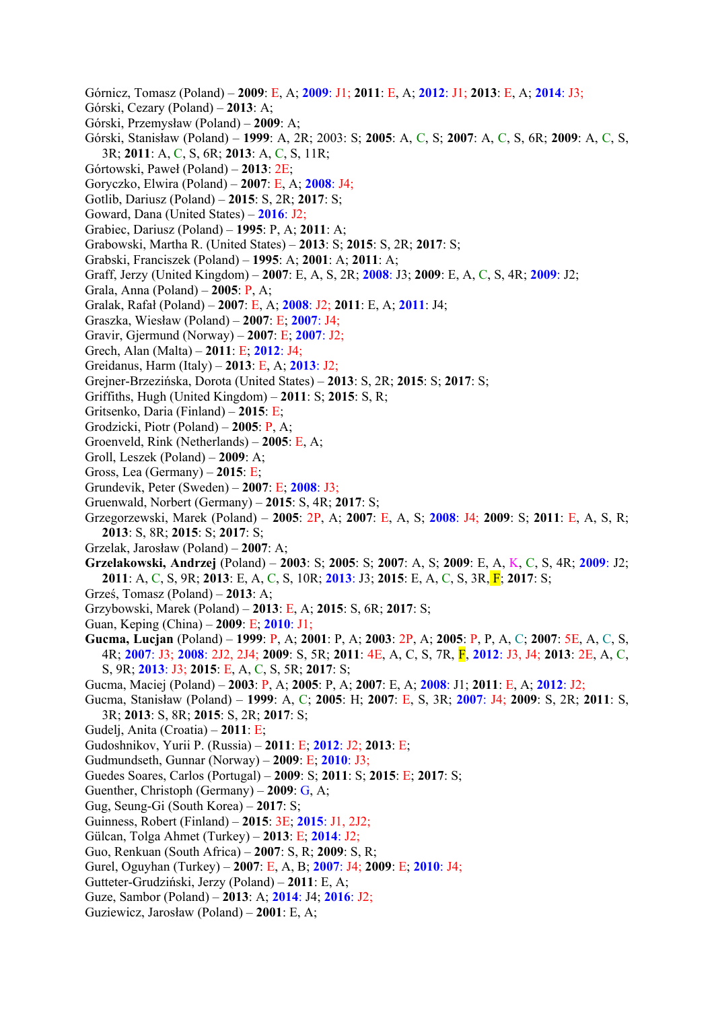- Górnicz, Tomasz (Poland) **2009**: E, A; **2009**: J1; **2011**: E, A; **2012**: J1; **2013**: E, A; **2014**: J3;
- Górski, Cezary (Poland) **2013**: A;
- Górski, Przemysław (Poland) **2009**: A;
- Górski, Stanisław (Poland) **1999**: A, 2R; 2003: S; **2005**: A, C, S; **2007**: A, C, S, 6R; **2009**: A, C, S, 3R; **2011**: A, C, S, 6R; **2013**: A, C, S, 11R;
- Górtowski, Paweł (Poland) **2013**: 2E;
- Goryczko, Elwira (Poland) **2007**: E, A; **2008**: J4;
- Gotlib, Dariusz (Poland) **2015**: S, 2R; **2017**: S;
- Goward, Dana (United States) **2016**: J2;
- Grabiec, Dariusz (Poland) **1995**: P, A; **2011**: A;
- Grabowski, Martha R. (United States) **2013**: S; **2015**: S, 2R; **2017**: S;
- Grabski, Franciszek (Poland) **1995**: A; **2001**: A; **2011**: A;
- Graff, Jerzy (United Kingdom) **2007**: E, A, S, 2R; **2008**: J3; **2009**: E, A, C, S, 4R; **2009**: J2;
- Grala, Anna (Poland) **2005**: P, A;
- Gralak, Rafał (Poland) **2007**: E, A; **2008**: J2; **2011**: E, A; **2011**: J4;
- Graszka, Wiesław (Poland) **2007**: E; **2007**: J4;
- Gravir, Gjermund (Norway) **2007**: E; **2007**: J2;
- Grech, Alan (Malta) **2011**: E; **2012**: J4;
- Greidanus, Harm (Italy) **2013**: E, A; **2013**: J2;
- Grejner-Brzezińska, Dorota (United States) **2013**: S, 2R; **2015**: S; **2017**: S;
- Griffiths, Hugh (United Kingdom) **2011**: S; **2015**: S, R;
- Gritsenko, Daria (Finland) **2015**: E;
- Grodzicki, Piotr (Poland) **2005**: P, A;
- Groenveld, Rink (Netherlands) **2005**: E, A;
- Groll, Leszek (Poland) **2009**: A;
- Gross, Lea (Germany) **2015**: E;
- Grundevik, Peter (Sweden) **2007**: E; **2008**: J3;
- Gruenwald, Norbert (Germany) **2015**: S, 4R; **2017**: S;
- Grzegorzewski, Marek (Poland) **2005**: 2P, A; **2007**: E, A, S; **2008**: J4; **2009**: S; **2011**: E, A, S, R; **2013**: S, 8R; **2015**: S; **2017**: S;
- Grzelak, Jarosław (Poland) **2007**: A;
- **Grzelakowski, Andrzej** (Poland) **2003**: S; **2005**: S; **2007**: A, S; **2009**: E, A, K, C, S, 4R; **2009**: J2; **2011**: A, C, S, 9R; **2013**: E, A, C, S, 10R; **2013**: J3; **2015**: E, A, C, S, 3R, F; **2017**: S;
- Grześ, Tomasz (Poland) **2013**: A;
- Grzybowski, Marek (Poland) **2013**: E, A; **2015**: S, 6R; **2017**: S;
- Guan, Keping (China) **2009**: E; **2010**: J1;
- **Gucma, Lucjan** (Poland) **1999**: P, A; **2001**: P, A; **2003**: 2P, A; **2005**: P, P, A, C; **2007**: 5E, A, C, S, 4R; **2007**: J3; **2008**: 2J2, 2J4; **2009**: S, 5R; **2011**: 4E, A, C, S, 7R, F, **2012**: J3, J4; **2013**: 2E, A, C, S, 9R; **2013**: J3; **2015**: E, A, C, S, 5R; **2017**: S;
- Gucma, Maciej (Poland) **2003**: P, A; **2005**: P, A; **2007**: E, A; **2008**: J1; **2011**: E, A; **2012**: J2;
- Gucma, Stanisław (Poland) **1999**: A, C; **2005**: H; **2007**: E, S, 3R; **2007**: J4; **2009**: S, 2R; **2011**: S, 3R; **2013**: S, 8R; **2015**: S, 2R; **2017**: S;
- Gudelj, Anita (Croatia) **2011**: E;
- Gudoshnikov, Yurii P. (Russia) **2011**: E; **2012**: J2; **2013**: E;
- Gudmundseth, Gunnar (Norway) **2009**: E; **2010**: J3;
- Guedes Soares, Carlos (Portugal) **2009**: S; **2011**: S; **2015**: E; **2017**: S;
- Guenther, Christoph (Germany) **2009**: G, A;
- Gug, Seung-Gi (South Korea) **2017**: S;
- Guinness, Robert (Finland) **2015**: 3E; **2015**: J1, 2J2;
- Gülcan, Tolga Ahmet (Turkey) **2013**: E; **2014**: J2;
- Guo, Renkuan (South Africa) **2007**: S, R; **2009**: S, R;
- Gurel, Oguyhan (Turkey) **2007**: E, A, B; **2007**: J4; **2009**: E; **2010**: J4;
- Gutteter-Grudziński, Jerzy (Poland) **2011**: E, A;
- Guze, Sambor (Poland) **2013**: A; **2014**: J4; **2016**: J2;
- Guziewicz, Jarosław (Poland) **2001**: E, A;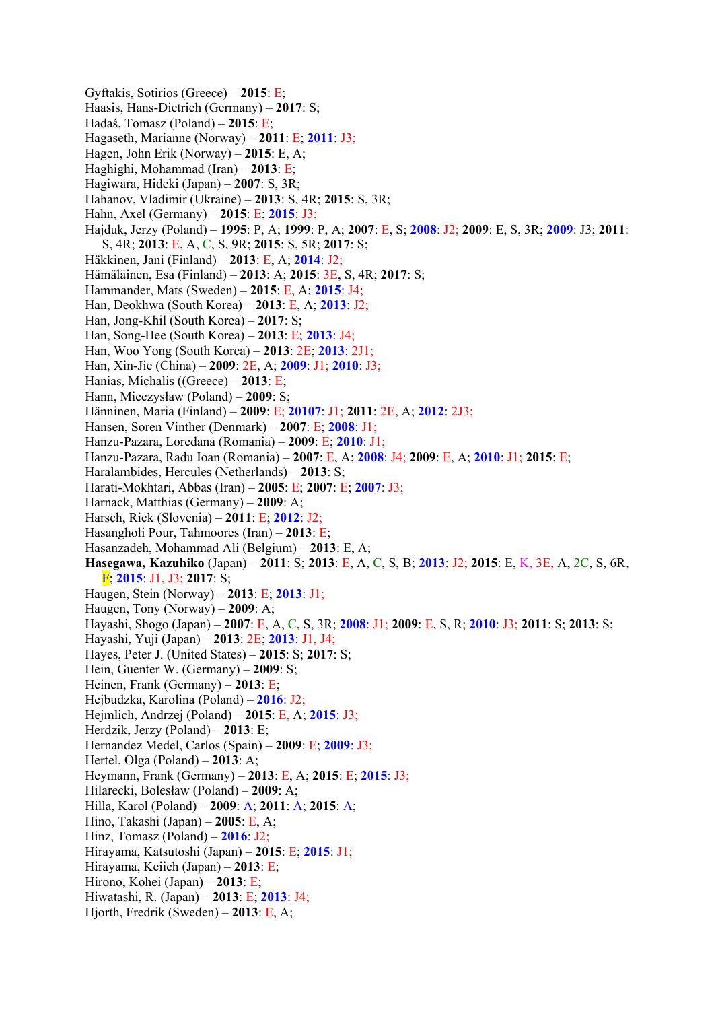Gyftakis, Sotirios (Greece) – **2015**: E; Haasis, Hans-Dietrich (Germany) – **2017**: S; Hadaś, Tomasz (Poland) – **2015**: E; Hagaseth, Marianne (Norway) – **2011**: E; **2011**: J3; Hagen, John Erik (Norway) – **2015**: E, A; Haghighi, Mohammad (Iran) – **2013**: E; Hagiwara, Hideki (Japan) – **2007**: S, 3R; Hahanov, Vladimir (Ukraine) – **2013**: S, 4R; **2015**: S, 3R; Hahn, Axel (Germany) – **2015**: E; **2015**: J3; Hajduk, Jerzy (Poland) – **1995**: P, A; **1999**: P, A; **2007**: E, S; **2008**: J2; **2009**: E, S, 3R; **2009**: J3; **2011**: S, 4R; **2013**: E, A, C, S, 9R; **2015**: S, 5R; **2017**: S; Häkkinen, Jani (Finland) – **2013**: E, A; **2014**: J2; Hämäläinen, Esa (Finland) – **2013**: A; **2015**: 3E, S, 4R; **2017**: S; Hammander, Mats (Sweden) – **2015**: E, A; **2015**: J4; Han, Deokhwa (South Korea) – **2013**: E, A; **2013**: J2; Han, Jong-Khil (South Korea) – **2017**: S; Han, Song-Hee (South Korea) – **2013**: E; **2013**: J4; Han, Woo Yong (South Korea) – **2013**: 2E; **2013**: 2J1; Han, Xin-Jie (China) – **2009**: 2E, A; **2009**: J1; **2010**: J3; Hanias, Michalis ((Greece) – **2013**: E; Hann, Mieczysław (Poland) – **2009**: S; Hänninen, Maria (Finland) – **2009**: E; **20107**: J1; **2011**: 2E, A; **2012**: 2J3; Hansen, Soren Vinther (Denmark) – **2007**: E; **2008**: J1; Hanzu-Pazara, Loredana (Romania) – **2009**: E; **2010**: J1; Hanzu-Pazara, Radu Ioan (Romania) – **2007**: E, A; **2008**: J4; **2009**: E, A; **2010**: J1; **2015**: E; Haralambides, Hercules (Netherlands) – **2013**: S; Harati-Mokhtari, Abbas (Iran) – **2005**: E; **2007**: E; **2007**: J3; Harnack, Matthias (Germany) – **2009**: A; Harsch, Rick (Slovenia) – **2011**: E; **2012**: J2; Hasangholi Pour, Tahmoores (Iran) – **2013**: E; Hasanzadeh, Mohammad Ali (Belgium) – **2013**: E, A; **Hasegawa, Kazuhiko** (Japan) – **2011**: S; **2013**: E, A, C, S, B; **2013**: J2; **2015**: E, K, 3E, A, 2C, S, 6R, F; **2015**: J1, J3; **2017**: S; Haugen, Stein (Norway) – **2013**: E; **2013**: J1; Haugen, Tony (Norway) – **2009**: A; Hayashi, Shogo (Japan) – **2007**: E, A, C, S, 3R; **2008**: J1; **2009**: E, S, R; **2010**: J3; **2011**: S; **2013**: S; Hayashi, Yuji (Japan) – **2013**: 2E; **2013**: J1, J4; Hayes, Peter J. (United States) – **2015**: S; **2017**: S; Hein, Guenter W. (Germany) – **2009**: S; Heinen, Frank (Germany) – **2013**: E; Hejbudzka, Karolina (Poland) – **2016**: J2; Hejmlich, Andrzej (Poland) – **2015**: E, A; **2015**: J3; Herdzik, Jerzy (Poland) – **2013**: E; Hernandez Medel, Carlos (Spain) – **2009**: E; **2009**: J3; Hertel, Olga (Poland) – **2013**: A; Heymann, Frank (Germany) – **2013**: E, A; **2015**: E; **2015**: J3; Hilarecki, Bolesław (Poland) – **2009**: A; Hilla, Karol (Poland) – **2009**: A; **2011**: A; **2015**: A; Hino, Takashi (Japan) – **2005**: E, A; Hinz, Tomasz (Poland) – **2016**: J2; Hirayama, Katsutoshi (Japan) – **2015**: E; **2015**: J1; Hirayama, Keiich (Japan) – **2013**: E; Hirono, Kohei (Japan) – **2013**: E; Hiwatashi, R. (Japan) – **2013**: E; **2013**: J4; Hjorth, Fredrik (Sweden) – **2013**: E, A;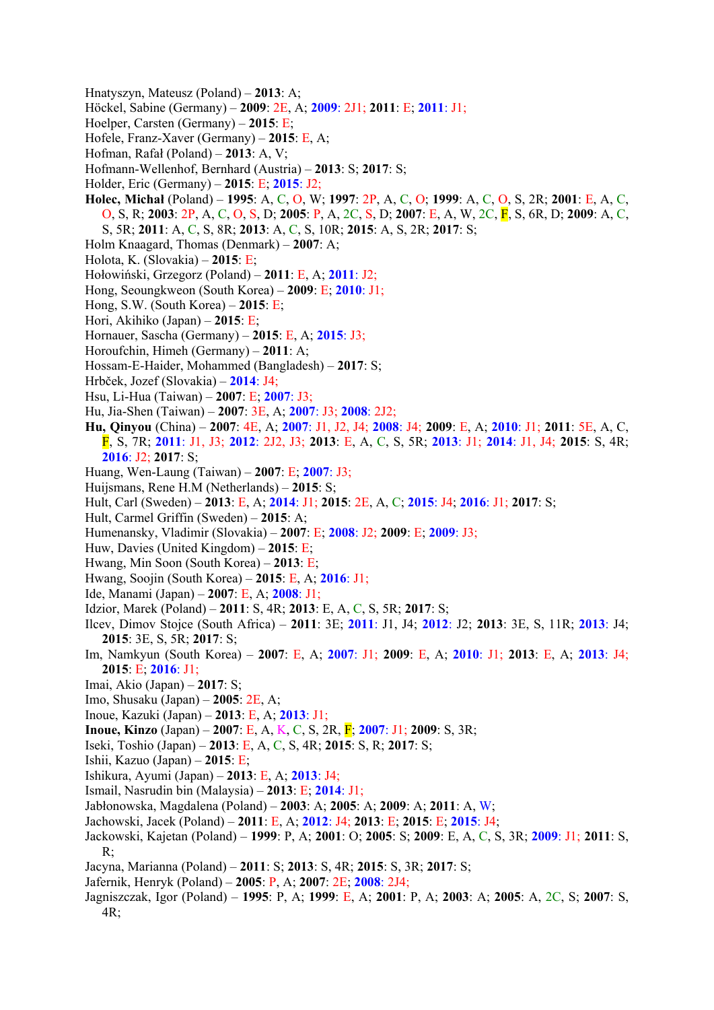- Hnatyszyn, Mateusz (Poland) **2013**: A;
- Höckel, Sabine (Germany) **2009**: 2E, A; **2009**: 2J1; **2011**: E; **2011**: J1;
- Hoelper, Carsten (Germany) **2015**: E;
- Hofele, Franz-Xaver (Germany) **2015**: E, A;
- Hofman, Rafał (Poland) **2013**: A, V;
- Hofmann-Wellenhof, Bernhard (Austria) **2013**: S; **2017**: S;
- Holder, Eric (Germany) **2015**: E; **2015**: J2;
- **Holec, Michał** (Poland) **1995**: A, C, O, W; **1997**: 2P, A, C, O; **1999**: A, C, O, S, 2R; **2001**: E, A, C, O, S, R; **2003**: 2P, A, C, O, S, D; **2005**: P, A, 2C, S, D; **2007**: E, A, W, 2C, F, S, 6R, D; **2009**: A, C, S, 5R; **2011**: A, C, S, 8R; **2013**: A, C, S, 10R; **2015**: A, S, 2R; **2017**: S;
- Holm Knaagard, Thomas (Denmark) **2007**: A;
- Holota, K. (Slovakia) **2015**: E;
- Hołowiński, Grzegorz (Poland) **2011**: E, A; **2011**: J2;
- Hong, Seoungkweon (South Korea) **2009**: E; **2010**: J1;
- Hong, S.W. (South Korea) **2015**: E;
- Hori, Akihiko (Japan) **2015**: E;
- Hornauer, Sascha (Germany) **2015**: E, A; **2015**: J3;
- Horoufchin, Himeh (Germany) **2011**: A;
- Hossam-E-Haider, Mohammed (Bangladesh) **2017**: S;
- Hrbček, Jozef (Slovakia) **2014**: J4;
- Hsu, Li-Hua (Taiwan) **2007**: E; **2007**: J3;
- Hu, Jia-Shen (Taiwan) **2007**: 3E, A; **2007**: J3; **2008**: 2J2;
- **Hu, Qinyou** (China) **2007**: 4E, A; **2007**: J1, J2, J4; **2008**: J4; **2009**: E, A; **2010**: J1; **2011**: 5E, A, C, F, S, 7R; **2011**: J1, J3; **2012**: 2J2, J3; **2013**: E, A, C, S, 5R; **2013**: J1; **2014**: J1, J4; **2015**: S, 4R; **2016**: J2; **2017**: S;
- Huang, Wen-Laung (Taiwan) **2007**: E; **2007**: J3;
- Huijsmans, Rene H.M (Netherlands) **2015**: S;
- Hult, Carl (Sweden) **2013**: E, A; **2014**: J1; **2015**: 2E, A, C; **2015**: J4; **2016**: J1; **2017**: S;
- Hult, Carmel Griffin (Sweden) **2015**: A;
- Humenansky, Vladimir (Slovakia) **2007**: E; **2008**: J2; **2009**: E; **2009**: J3;
- Huw, Davies (United Kingdom) **2015**: E;
- Hwang, Min Soon (South Korea) **2013**: E;
- Hwang, Soojin (South Korea) **2015**: E, A; **2016**: J1;
- Ide, Manami (Japan) **2007**: E, A; **2008**: J1;
- Idzior, Marek (Poland) **2011**: S, 4R; **2013**: E, A, C, S, 5R; **2017**: S;
- Ilcev, Dimov Stojce (South Africa) **2011**: 3E; **2011**: J1, J4; **2012**: J2; **2013**: 3E, S, 11R; **2013**: J4; **2015**: 3E, S, 5R; **2017**: S;
- Im, Namkyun (South Korea) **2007**: E, A; **2007**: J1; **2009**: E, A; **2010**: J1; **2013**: E, A; **2013**: J4; **2015**: E; **2016**: J1;
- Imai, Akio (Japan) **2017**: S;
- Imo, Shusaku (Japan) **2005**: 2E, A;
- Inoue, Kazuki (Japan) **2013**: E, A; **2013**: J1;
- **Inoue, Kinzo** (Japan) **2007**: E, A, K, C, S, 2R, F; **2007**: J1; **2009**: S, 3R;
- Iseki, Toshio (Japan) **2013**: E, A, C, S, 4R; **2015**: S, R; **2017**: S;
- Ishii, Kazuo (Japan) **2015**: E;
- Ishikura, Ayumi (Japan) **2013**: E, A; **2013**: J4;
- Ismail, Nasrudin bin (Malaysia) **2013**: E; **2014**: J1;
- Jabłonowska, Magdalena (Poland) **2003**: A; **2005**: A; **2009**: A; **2011**: A, W;
- Jachowski, Jacek (Poland) **2011**: E, A; **2012**: J4; **2013**: E; **2015**: E; **2015**: J4;
- Jackowski, Kajetan (Poland) **1999**: P, A; **2001**: O; **2005**: S; **2009**: E, A, C, S, 3R; **2009**: J1; **2011**: S, R;
- Jacyna, Marianna (Poland) **2011**: S; **2013**: S, 4R; **2015**: S, 3R; **2017**: S;
- Jafernik, Henryk (Poland) **2005**: P, A; **2007**: 2E; **2008**: 2J4;
- Jagniszczak, Igor (Poland) **1995**: P, A; **1999**: E, A; **2001**: P, A; **2003**: A; **2005**: A, 2C, S; **2007**: S, 4R;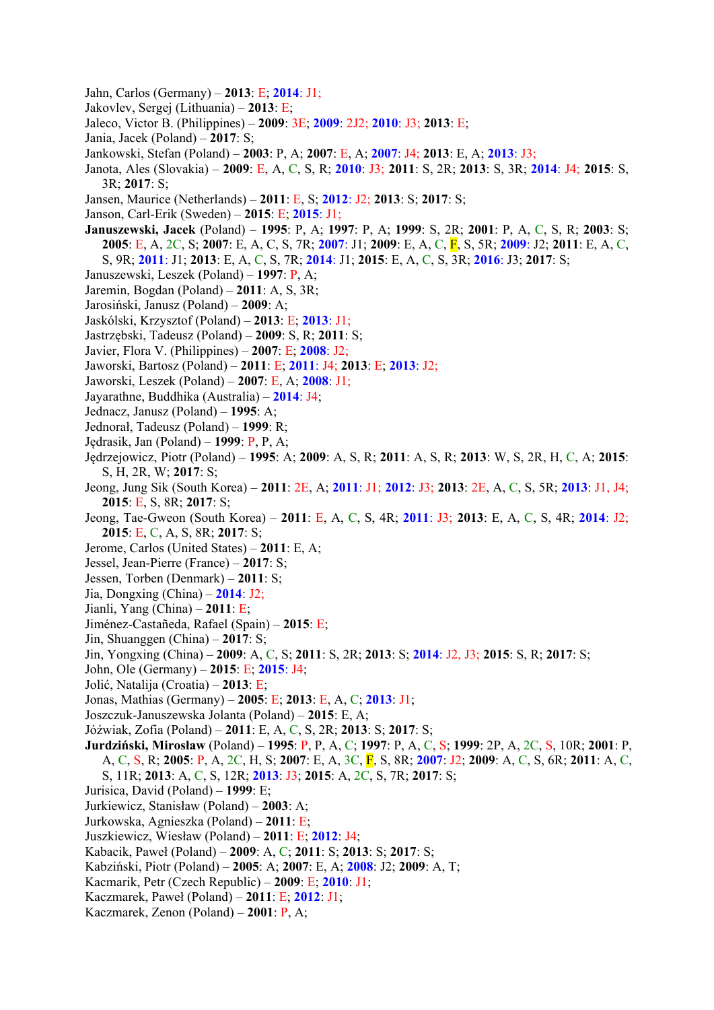- Jahn, Carlos (Germany) **2013**: E; **2014**: J1;
- Jakovlev, Sergej (Lithuania) **2013**: E;
- Jaleco, Victor B. (Philippines) **2009**: 3E; **2009**: 2J2; **2010**: J3; **2013**: E;
- Jania, Jacek (Poland) **2017**: S;
- Jankowski, Stefan (Poland) **2003**: P, A; **2007**: E, A; **2007**: J4; **2013**: E, A; **2013**: J3;
- Janota, Ales (Slovakia) **2009**: E, A, C, S, R; **2010**: J3; **2011**: S, 2R; **2013**: S, 3R; **2014**: J4; **2015**: S, 3R; **2017**: S;
- Jansen, Maurice (Netherlands) **2011**: E, S; **2012**: J2; **2013**: S; **2017**: S;
- Janson, Carl-Erik (Sweden) **2015**: E; **2015**: J1;
- **Januszewski, Jacek** (Poland) **1995**: P, A; **1997**: P, A; **1999**: S, 2R; **2001**: P, A, C, S, R; **2003**: S; **2005**: E, A, 2C, S; **2007**: E, A, C, S, 7R; **2007**: J1; **2009**: E, A, C, F, S, 5R; **2009**: J2; **2011**: E, A, C, S, 9R; **2011**: J1; **2013**: E, A, C, S, 7R; **2014**: J1; **2015**: E, A, C, S, 3R; **2016**: J3; **2017**: S;
- Januszewski, Leszek (Poland) **1997**: P, A;
- Jaremin, Bogdan (Poland) **2011**: A, S, 3R;
- Jarosiński, Janusz (Poland) **2009**: A;
- Jaskólski, Krzysztof (Poland) **2013**: E; **2013**: J1;
- Jastrzębski, Tadeusz (Poland) **2009**: S, R; **2011**: S;
- Javier, Flora V. (Philippines) **2007**: E; **2008**: J2;
- Jaworski, Bartosz (Poland) **2011**: E; **2011**: J4; **2013**: E; **2013**: J2;
- Jaworski, Leszek (Poland) **2007**: E, A; **2008**: J1;
- Jayarathne, Buddhika (Australia) **2014**: J4;
- Jednacz, Janusz (Poland) **1995**: A;
- Jednorał, Tadeusz (Poland) **1999**: R;
- Jędrasik, Jan (Poland) **1999**: P, P, A;
- Jędrzejowicz, Piotr (Poland) **1995**: A; **2009**: A, S, R; **2011**: A, S, R; **2013**: W, S, 2R, H, C, A; **2015**: S, H, 2R, W; **2017**: S;
- Jeong, Jung Sik (South Korea) **2011**: 2E, A; **2011**: J1; **2012**: J3; **2013**: 2E, A, C, S, 5R; **2013**: J1, J4; **2015**: E, S, 8R; **2017**: S;
- Jeong, Tae-Gweon (South Korea) **2011**: E, A, C, S, 4R; **2011**: J3; **2013**: E, A, C, S, 4R; **2014**: J2; **2015**: E, C, A, S, 8R; **2017**: S;
- Jerome, Carlos (United States) **2011**: E, A;
- Jessel, Jean-Pierre (France) **2017**: S;
- Jessen, Torben (Denmark) **2011**: S;
- Jia, Dongxing (China) **2014**: J2;
- Jianli, Yang (China) **2011**: E;
- Jiménez-Castañeda, Rafael (Spain) **2015**: E;
- Jin, Shuanggen (China) **2017**: S;
- Jin, Yongxing (China) **2009**: A, C, S; **2011**: S, 2R; **2013**: S; **2014**: J2, J3; **2015**: S, R; **2017**: S;
- John, Ole (Germany) **2015**: E; **2015**: J4;
- Jolić, Natalija (Croatia) **2013**: E;
- Jonas, Mathias (Germany) **2005**: E; **2013**: E, A, C; **2013**: J1;
- Joszczuk-Januszewska Jolanta (Poland) **2015**: E, A;
- Jóźwiak, Zofia (Poland) **2011**: E, A, C, S, 2R; **2013**: S; **2017**: S;
- **Jurdziński, Mirosław** (Poland) **1995**: P, P, A, C; **1997**: P, A, C, S; **1999**: 2P, A, 2C, S, 10R; **2001**: P, A, C, S, R; **2005**: P, A, 2C, H, S; **2007**: E, A, 3C, F, S, 8R; **2007**: J2; **2009**: A, C, S, 6R; **2011**: A, C, S, 11R; **2013**: A, C, S, 12R; **2013**: J3; **2015**: A, 2C, S, 7R; **2017**: S;
- Jurisica, David (Poland) **1999**: E;
- Jurkiewicz, Stanisław (Poland) **2003**: A;
- Jurkowska, Agnieszka (Poland) **2011**: E;
- Juszkiewicz, Wiesław (Poland) **2011**: E; **2012**: J4;
- Kabacik, Paweł (Poland) **2009**: A, C; **2011**: S; **2013**: S; **2017**: S;
- Kabziński, Piotr (Poland) **2005**: A; **2007**: E, A; **2008**: J2; **2009**: A, T;
- Kacmarik, Petr (Czech Republic) **2009**: E; **2010**: J1;
- Kaczmarek, Paweł (Poland) **2011**: E; **2012**: J1;
- Kaczmarek, Zenon (Poland) **2001**: P, A;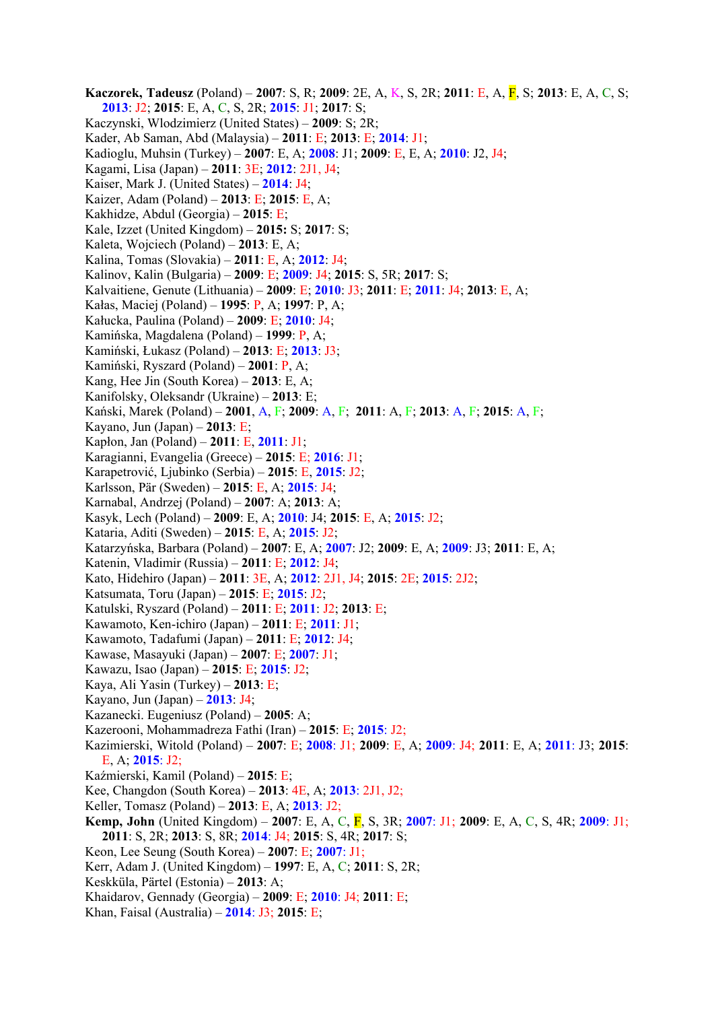**Kaczorek, Tadeusz** (Poland) – **2007**: S, R; **2009**: 2E, A, K, S, 2R; **2011**: E, A, F, S; **2013**: E, A, C, S; **2013**: J2; **2015**: E, A, C, S, 2R; **2015**: J1; **2017**: S; Kaczynski, Wlodzimierz (United States) – **2009**: S; 2R; Kader, Ab Saman, Abd (Malaysia) – **2011**: E; **2013**: E; **2014**: J1; Kadioglu, Muhsin (Turkey) – **2007**: E, A; **2008**: J1; **2009**: E, E, A; **2010**: J2, J4; Kagami, Lisa (Japan) – **2011**: 3E; **2012**: 2J1, J4; Kaiser, Mark J. (United States) – **2014**: J4; Kaizer, Adam (Poland) – **2013**: E; **2015**: E, A; Kakhidze, Abdul (Georgia) – **2015**: E; Kale, Izzet (United Kingdom) – **2015:** S; **2017**: S; Kaleta, Wojciech (Poland) – **2013**: E, A; Kalina, Tomas (Slovakia) – **2011**: E, A; **2012**: J4; Kalinov, Kalin (Bulgaria) – **2009**: E; **2009**: J4; **2015**: S, 5R; **2017**: S; Kalvaitiene, Genute (Lithuania) – **2009**: E; **2010**: J3; **2011**: E; **2011**: J4; **2013**: E, A; Kałas, Maciej (Poland) – **1995**: P, A; **1997**: P, A; Kałucka, Paulina (Poland) – **2009**: E; **2010**: J4; Kamińska, Magdalena (Poland) – **1999**: P, A; Kamiński, Łukasz (Poland) – **2013**: E; **2013**: J3; Kamiński, Ryszard (Poland) – **2001**: P, A; Kang, Hee Jin (South Korea) – **2013**: E, A; Kanifolsky, Oleksandr (Ukraine) – **2013**: E; Kański, Marek (Poland) – **2001**, A, F; **2009**: A, F; **2011**: A, F; **2013**: A, F; **2015**: A, F; Kayano, Jun (Japan) – **2013**: E; Kapłon, Jan (Poland) – **2011**: E, **2011**: J1; Karagianni, Evangelia (Greece) – **2015**: E; **2016**: J1; Karapetrović, Ljubinko (Serbia) – **2015**: E, **2015**: J2; Karlsson, Pär (Sweden) – **2015**: E, A; **2015**: J4; Karnabal, Andrzej (Poland) – **2007**: A; **2013**: A; Kasyk, Lech (Poland) – **2009**: E, A; **2010**: J4; **2015**: E, A; **2015**: J2; Kataria, Aditi (Sweden) – **2015**: E, A; **2015**: J2; Katarzyńska, Barbara (Poland) – **2007**: E, A; **2007**: J2; **2009**: E, A; **2009**: J3; **2011**: E, A; Katenin, Vladimir (Russia) – **2011**: E; **2012**: J4; Kato, Hidehiro (Japan) – **2011**: 3E, A; **2012**: 2J1, J4; **2015**: 2E; **2015**: 2J2; Katsumata, Toru (Japan) – **2015**: E; **2015**: J2; Katulski, Ryszard (Poland) – **2011**: E; **2011**: J2; **2013**: E; Kawamoto, Ken-ichiro (Japan) – **2011**: E; **2011**: J1; Kawamoto, Tadafumi (Japan) – **2011**: E; **2012**: J4; Kawase, Masayuki (Japan) – **2007**: E; **2007**: J1; Kawazu, Isao (Japan) – **2015**: E; **2015**: J2; Kaya, Ali Yasin (Turkey) – **2013**: E; Kayano, Jun (Japan) – **2013**: J4; Kazanecki. Eugeniusz (Poland) – **2005**: A; Kazerooni, Mohammadreza Fathi (Iran) – **2015**: E; **2015**: J2; Kazimierski, Witold (Poland) – **2007**: E; **2008**: J1; **2009**: E, A; **2009**: J4; **2011**: E, A; **2011**: J3; **2015**: E, A; **2015**: J2; Kaźmierski, Kamil (Poland) – **2015**: E; Kee, Changdon (South Korea) – **2013**: 4E, A; **2013**: 2J1, J2; Keller, Tomasz (Poland) – **2013**: E, A; **2013**: J2; **Kemp, John** (United Kingdom) – **2007**: E, A, C, F, S, 3R; **2007**: J1; **2009**: E, A, C, S, 4R; **2009**: J1; **2011**: S, 2R; **2013**: S, 8R; **2014**: J4; **2015**: S, 4R; **2017**: S; Keon, Lee Seung (South Korea) – **2007**: E; **2007**: J1; Kerr, Adam J. (United Kingdom) – **1997**: E, A, C; **2011**: S, 2R; Keskküla, Pärtel (Estonia) – **2013**: A; Khaidarov, Gennady (Georgia) – **2009**: E; **2010**: J4; **2011**: E; Khan, Faisal (Australia) – **2014**: J3; **2015**: E;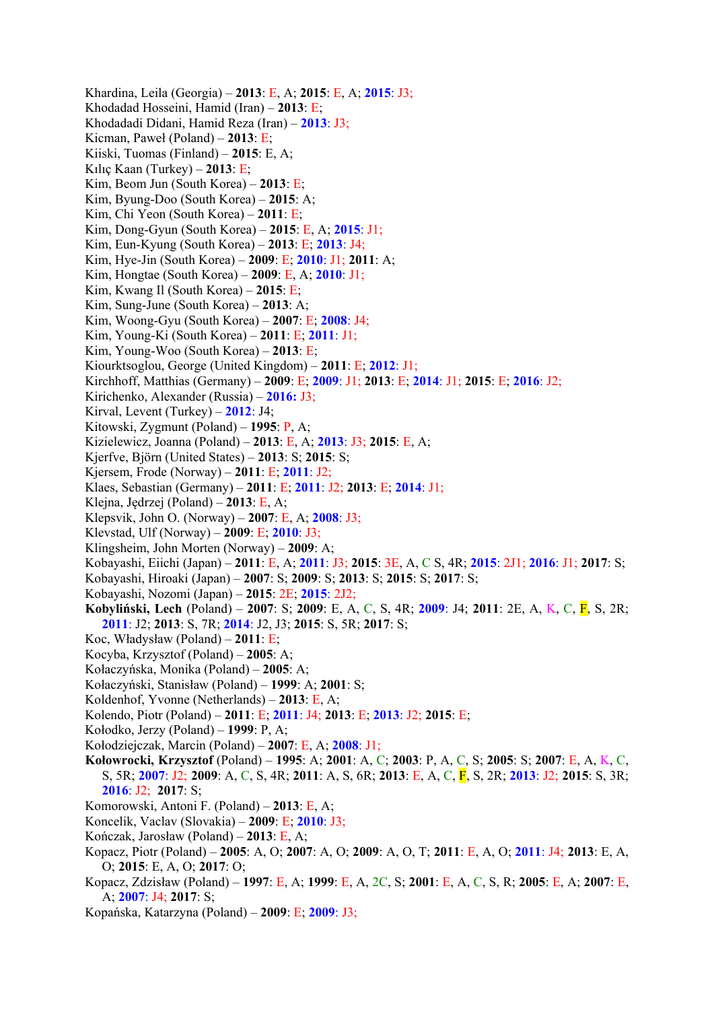Khardina, Leila (Georgia) – **2013**: E, A; **2015**: E, A; **2015**: J3; Khodadad Hosseini, Hamid (Iran) – **2013**: E; Khodadadi Didani, Hamid Reza (Iran) – **2013**: J3; Kicman, Paweł (Poland) – **2013**: E; Kiiski, Tuomas (Finland) – **2015**: E, A; Kılıç Kaan (Turkey) – **2013**: E; Kim, Beom Jun (South Korea) – **2013**: E; Kim, Byung-Doo (South Korea) – **2015**: A; Kim, Chi Yeon (South Korea) – **2011**: E; Kim, Dong-Gyun (South Korea) – **2015**: E, A; **2015**: J1; Kim, Eun-Kyung (South Korea) – **2013**: E; **2013**: J4; Kim, Hye-Jin (South Korea) – **2009**: E; **2010**: J1; **2011**: A; Kim, Hongtae (South Korea) – **2009**: E, A; **2010**: J1; Kim, Kwang Il (South Korea) – **2015**: E; Kim, Sung-June (South Korea) – **2013**: A; Kim, Woong-Gyu (South Korea) – **2007**: E; **2008**: J4; Kim, Young-Ki (South Korea) – **2011**: E; **2011**: J1; Kim, Young-Woo (South Korea) – **2013**: E; Kiourktsoglou, George (United Kingdom) – **2011**: E; **2012**: J1; Kirchhoff, Matthias (Germany) – **2009**: E; **2009**: J1; **2013**: E; **2014**: J1; **2015**: E; **2016**: J2; Kirichenko, Alexander (Russia) – **2016:** J3; Kirval, Levent (Turkey) – **2012**: J4; Kitowski, Zygmunt (Poland) – **1995**: P, A; Kizielewicz, Joanna (Poland) – **2013**: E, A; **2013**: J3; **2015**: E, A; Kjerfve, Björn (United States) – **2013**: S; **2015**: S; Kjersem, Frode (Norway) – **2011**: E; **2011**: J2; Klaes, Sebastian (Germany) – **2011**: E; **2011**: J2; **2013**: E; **2014**: J1; Klejna, Jędrzej (Poland) – **2013**: E, A; Klepsvik, John O. (Norway) – **2007**: E, A; **2008**: J3; Klevstad, Ulf (Norway) – **2009**: E; **2010**: J3; Klingsheim, John Morten (Norway) – **2009**: A; Kobayashi, Eiichi (Japan) – **2011**: E, A; **2011**: J3; **2015**: 3E, A, C S, 4R; **2015**: 2J1; **2016**: J1; **2017**: S; Kobayashi, Hiroaki (Japan) – **2007**: S; **2009**: S; **2013**: S; **2015**: S; **2017**: S; Kobayashi, Nozomi (Japan) – **2015**: 2E; **2015**: 2J2; **Kobyliński, Lech** (Poland) – **2007**: S; **2009**: E, A, C, S, 4R; **2009**: J4; **2011**: 2E, A, K, C, F, S, 2R; **2011**: J2; **2013**: S, 7R; **2014**: J2, J3; **2015**: S, 5R; **2017**: S; Koc, Władysław (Poland) – **2011**: E; Kocyba, Krzysztof (Poland) – **2005**: A; Kołaczyńska, Monika (Poland) – **2005**: A; Kołaczyński, Stanisław (Poland) – **1999**: A; **2001**: S; Koldenhof, Yvonne (Netherlands) – **2013**: E, A; Kolendo, Piotr (Poland) – **2011**: E; **2011**: J4; **2013**: E; **2013**: J2; **2015**: E; Kołodko, Jerzy (Poland) – **1999**: P, A; Kołodziejczak, Marcin (Poland) – **2007**: E, A; **2008**: J1; **Kołowrocki, Krzysztof** (Poland) – **1995**: A; **2001**: A, C; **2003**: P, A, C, S; **2005**: S; **2007**: E, A, K, C, S, 5R; **2007**: J2; **2009**: A, C, S, 4R; **2011**: A, S, 6R; **2013**: E, A, C, F, S, 2R; **2013**: J2; **2015**: S, 3R; **2016**: J2; **2017**: S; Komorowski, Antoni F. (Poland) – **2013**: E, A; Koncelik, Vaclav (Slovakia) – **2009**: E; **2010**: J3; Kończak, Jarosław (Poland) – **2013**: E, A; Kopacz, Piotr (Poland) – **2005**: A, O; **2007**: A, O; **2009**: A, O, T; **2011**: E, A, O; **2011**: J4; **2013**: E, A, O; **2015**: E, A, O; **2017**: O;

- Kopacz, Zdzisław (Poland) **1997**: E, A; **1999**: E, A, 2C, S; **2001**: E, A, C, S, R; **2005**: E, A; **2007**: E, A; **2007**: J4; **2017**: S;
- Kopańska, Katarzyna (Poland) **2009**: E; **2009**: J3;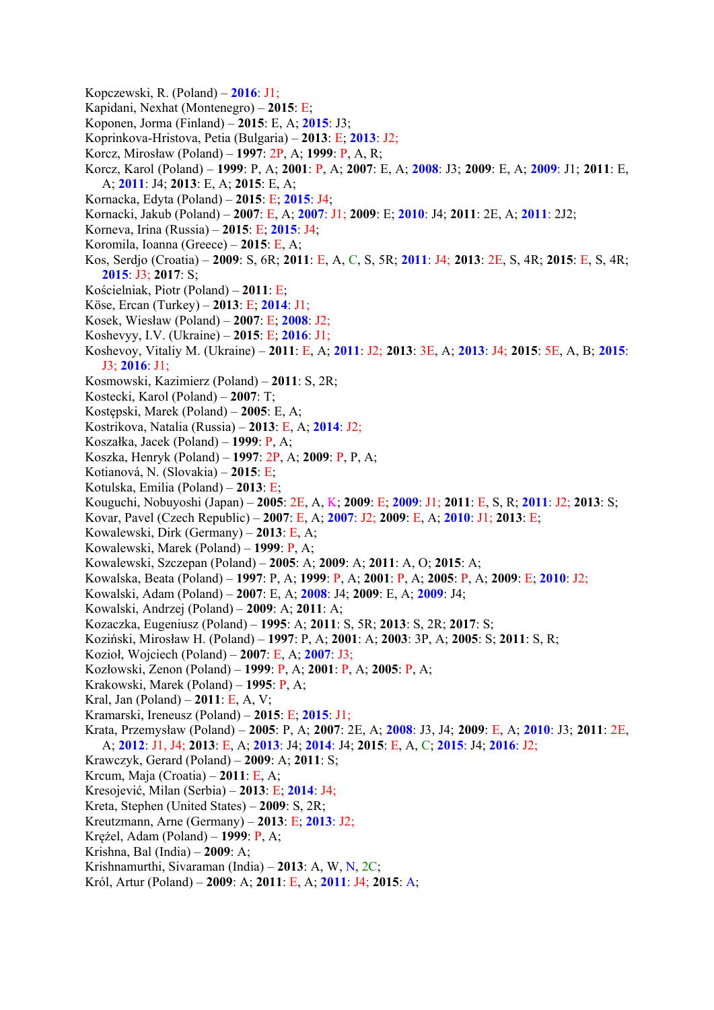- Kopczewski, R. (Poland) **2016**: J1;
- Kapidani, Nexhat (Montenegro) **2015**: E;
- Koponen, Jorma (Finland) **2015**: E, A; **2015**: J3;
- Koprinkova-Hristova, Petia (Bulgaria) **2013**: E; **2013**: J2;
- Korcz, Mirosław (Poland) **1997**: 2P, A; **1999**: P, A, R;
- Korcz, Karol (Poland) **1999**: P, A; **2001**: P, A; **2007**: E, A; **2008**: J3; **2009**: E, A; **2009**: J1; **2011**: E, A; **2011**: J4; **2013**: E, A; **2015**: E, A;
- Kornacka, Edyta (Poland) **2015**: E; **2015**: J4;
- Kornacki, Jakub (Poland) **2007**: E, A; **2007**: J1; **2009**: E; **2010**: J4; **2011**: 2E, A; **2011**: 2J2;
- Korneva, Irina (Russia) **2015**: E; **2015**: J4;
- Koromila, Ioanna (Greece) **2015**: E, A;
- Kos, Serdjo (Croatia) **2009**: S, 6R; **2011**: E, A, C, S, 5R; **2011**: J4; **2013**: 2E, S, 4R; **2015**: E, S, 4R; **2015**: J3; **2017**: S;
- Kościelniak, Piotr (Poland) **2011**: E;
- Köse, Ercan (Turkey) **2013**: E; **2014**: J1;
- Kosek, Wiesław (Poland) **2007**: E; **2008**: J2;
- Koshevyy, I.V. (Ukraine) **2015**: E; **2016**: J1;
- Koshevoy, Vitaliy M. (Ukraine) **2011**: E, A; **2011**: J2; **2013**: 3E, A; **2013**: J4; **2015**: 5E, A, B; **2015**: J3; **2016**: J1;
- Kosmowski, Kazimierz (Poland) **2011**: S, 2R;
- Kostecki, Karol (Poland) **2007**: T;
- Kostępski, Marek (Poland) **2005**: E, A;
- Kostrikova, Natalia (Russia) **2013**: E, A; **2014**: J2;
- Koszałka, Jacek (Poland) **1999**: P, A;
- Koszka, Henryk (Poland) **1997**: 2P, A; **2009**: P, P, A;
- Kotianová, N. (Slovakia) **2015**: E;
- Kotulska, Emilia (Poland) **2013**: E;
- Kouguchi, Nobuyoshi (Japan) **2005**: 2E, A, K; **2009**: E; **2009**: J1; **2011**: E, S, R; **2011**: J2; **2013**: S;
- Kovar, Pavel (Czech Republic) **2007**: E, A; **2007**: J2; **2009**: E, A; **2010**: J1; **2013**: E;
- Kowalewski, Dirk (Germany) **2013**: E, A;
- Kowalewski, Marek (Poland) **1999**: P, A;
- Kowalewski, Szczepan (Poland) **2005**: A; **2009**: A; **2011**: A, O; **2015**: A;
- Kowalska, Beata (Poland) **1997**: P, A; **1999**: P, A; **2001**: P, A; **2005**: P, A; **2009**: E; **2010**: J2;
- Kowalski, Adam (Poland) **2007**: E, A; **2008**: J4; **2009**: E, A; **2009**: J4;
- Kowalski, Andrzej (Poland) **2009**: A; **2011**: A;
- Kozaczka, Eugeniusz (Poland) **1995**: A; **2011**: S, 5R; **2013**: S, 2R; **2017**: S;
- Koziński, Mirosław H. (Poland) **1997**: P, A; **2001**: A; **2003**: 3P, A; **2005**: S; **2011**: S, R;
- Kozioł, Wojciech (Poland) **2007**: E, A; **2007**: J3;
- Kozłowski, Zenon (Poland) **1999**: P, A; **2001**: P, A; **2005**: P, A;
- Krakowski, Marek (Poland) **1995**: P, A;
- Kral, Jan (Poland) **2011**: E, A, V;
- Kramarski, Ireneusz (Poland) **2015**: E; **2015**: J1;
- Krata, Przemysław (Poland) **2005**: P, A; **2007**: 2E, A; **2008**: J3, J4; **2009**: E, A; **2010**: J3; **2011**: 2E, A; **2012**: J1, J4; **2013**: E, A; **2013**: J4; **2014**: J4; **2015**: E, A, C; **2015**: J4; **2016**: J2;
- Krawczyk, Gerard (Poland) **2009**: A; **2011**: S;
- Krcum, Maja (Croatia) **2011**: E, A;
- Kresojević, Milan (Serbia) **2013**: E; **2014**: J4;
- Kreta, Stephen (United States) **2009**: S, 2R;
- Kreutzmann, Arne (Germany) **2013**: E; **2013**: J2;
- Krężel, Adam (Poland) **1999**: P, A;
- Krishna, Bal (India) **2009**: A;
- Krishnamurthi, Sivaraman (India) **2013**: A, W, N, 2C;
- Król, Artur (Poland) **2009**: A; **2011**: E, A; **2011**: J4; **2015**: A;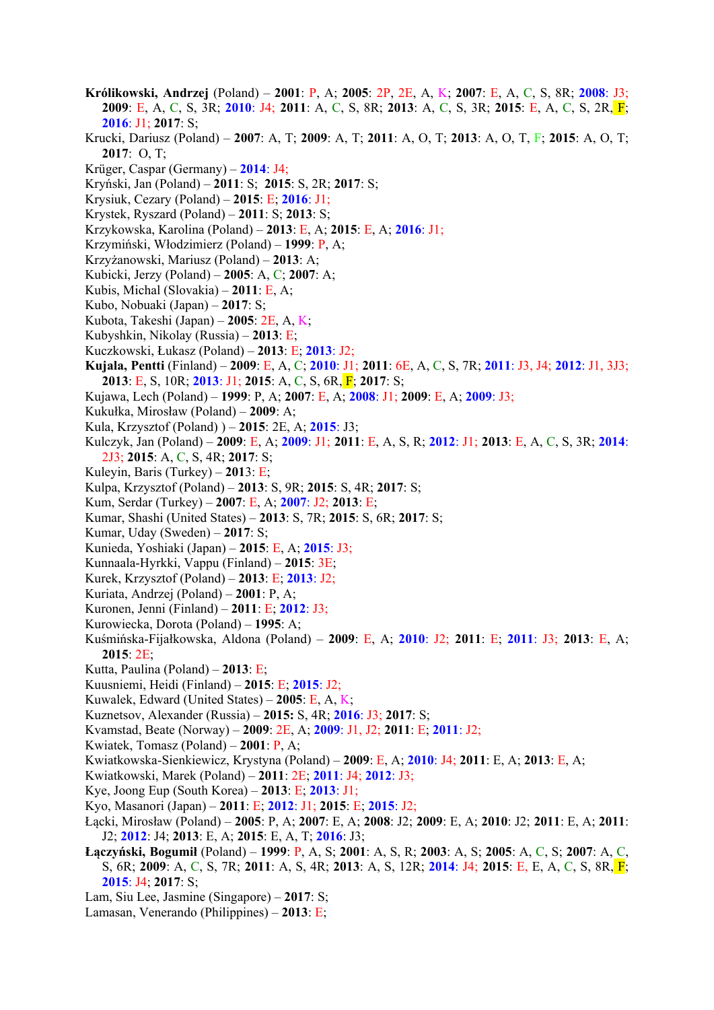- **Królikowski, Andrzej** (Poland) **2001**: P, A; **2005**: 2P, 2E, A, K; **2007**: E, A, C, S, 8R; **2008**: J3; **2009**: E, A, C, S, 3R; **2010**: J4; **2011**: A, C, S, 8R; **2013**: A, C, S, 3R; **2015**: E, A, C, S, 2R, F; **2016**: J1; **2017**: S;
- Krucki, Dariusz (Poland) **2007**: A, T; **2009**: A, T; **2011**: A, O, T; **2013**: A, O, T, F; **2015**: A, O, T; **2017**: O, T;
- Krüger, Caspar (Germany) **2014**: J4;
- Kryński, Jan (Poland) **2011**: S; **2015**: S, 2R; **2017**: S;
- Krysiuk, Cezary (Poland) **2015**: E; **2016**: J1;
- Krystek, Ryszard (Poland) **2011**: S; **2013**: S;
- Krzykowska, Karolina (Poland) **2013**: E, A; **2015**: E, A; **2016**: J1;
- Krzymiński, Włodzimierz (Poland) **1999**: P, A;
- Krzyżanowski, Mariusz (Poland) **2013**: A;
- Kubicki, Jerzy (Poland) **2005**: A, C; **2007**: A;
- Kubis, Michal (Slovakia) **2011**: E, A;
- Kubo, Nobuaki (Japan) **2017**: S;
- Kubota, Takeshi (Japan) **2005**: 2E, A, K;
- Kubyshkin, Nikolay (Russia) **2013**: E;
- Kuczkowski, Łukasz (Poland) **2013**: E; **2013**: J2;
- **Kujala, Pentti** (Finland) **2009**: E, A, C; **2010**: J1; **2011**: 6E, A, C, S, 7R; **2011**: J3, J4; **2012**: J1, 3J3; **2013**: E, S, 10R; **2013**: J1; **2015**: A, C, S, 6R, F; **2017**: S;
- Kujawa, Lech (Poland) **1999**: P, A; **2007**: E, A; **2008**: J1; **2009**: E, A; **2009**: J3;
- Kukułka, Mirosław (Poland) **2009**: A;
- Kula, Krzysztof (Poland) ) **2015**: 2E, A; **2015**: J3;
- Kulczyk, Jan (Poland) **2009**: E, A; **2009**: J1; **2011**: E, A, S, R; **2012**: J1; **2013**: E, A, C, S, 3R; **2014**: 2J3; **2015**: A, C, S, 4R; **2017**: S;
- Kuleyin, Baris (Turkey) **201**3: E;
- Kulpa, Krzysztof (Poland) **2013**: S, 9R; **2015**: S, 4R; **2017**: S;
- Kum, Serdar (Turkey) **2007**: E, A; **2007**: J2; **2013**: E;
- Kumar, Shashi (United States) **2013**: S, 7R; **2015**: S, 6R; **2017**: S;
- Kumar, Uday (Sweden) **2017**: S;
- Kunieda, Yoshiaki (Japan) **2015**: E, A; **2015**: J3;
- Kunnaala-Hyrkki, Vappu (Finland) **2015**: 3E;
- Kurek, Krzysztof (Poland) **2013**: E; **2013**: J2;
- Kuriata, Andrzej (Poland) **2001**: P, A;
- Kuronen, Jenni (Finland) **2011**: E; **2012**: J3;
- Kurowiecka, Dorota (Poland) **1995**: A;
- Kuśmińska-Fijałkowska, Aldona (Poland) **2009**: E, A; **2010**: J2; **2011**: E; **2011**: J3; **2013**: E, A; **2015**: 2E;
- Kutta, Paulina (Poland) **2013**: E;
- Kuusniemi, Heidi (Finland) **2015**: E; **2015**: J2;
- Kuwalek, Edward (United States) **2005**: E, A, K;
- Kuznetsov, Alexander (Russia) **2015:** S, 4R; **2016**: J3; **2017**: S;
- Kvamstad, Beate (Norway) **2009**: 2E, A; **2009**: J1, J2; **2011**: E; **2011**: J2;
- Kwiatek, Tomasz (Poland) **2001**: P, A;
- Kwiatkowska-Sienkiewicz, Krystyna (Poland) **2009**: E, A; **2010**: J4; **2011**: E, A; **2013**: E, A;
- Kwiatkowski, Marek (Poland) **2011**: 2E; **2011**: J4; **2012**: J3;
- Kye, Joong Eup (South Korea) **2013**: E; **2013**: J1;
- Kyo, Masanori (Japan) **2011**: E; **2012**: J1; **2015**: E; **2015**: J2;
- Łącki, Mirosław (Poland) **2005**: P, A; **2007**: E, A; **2008**: J2; **2009**: E, A; **2010**: J2; **2011**: E, A; **2011**: J2; **2012**: J4; **2013**: E, A; **2015**: E, A, T; **2016**: J3;
- **Łączyński, Bogumił** (Poland) **1999**: P, A, S; **2001**: A, S, R; **2003**: A, S; **2005**: A, C, S; **2007**: A, C, S, 6R; **2009**: A, C, S, 7R; **2011**: A, S, 4R; **2013**: A, S, 12R; **2014**: J4; **2015**: E, E, A, C, S, 8R, F; **2015**: J4; **2017**: S;
- Lam, Siu Lee, Jasmine (Singapore) – **2017**: S;
- Lamasan, Venerando (Philippines) **2013**: E;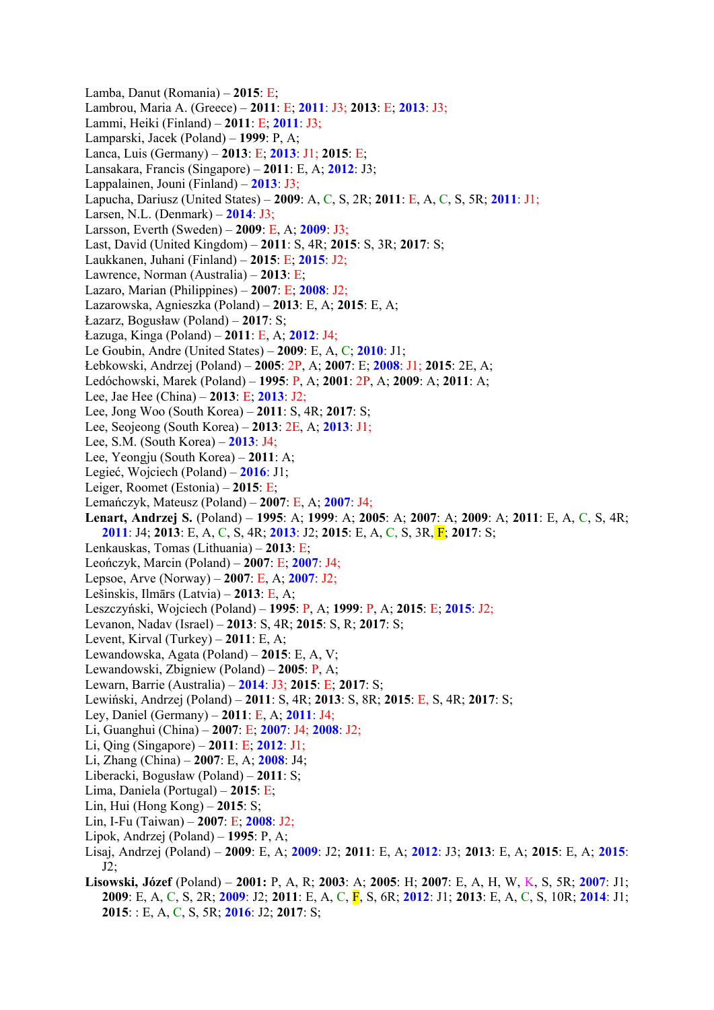Lamba, Danut (Romania) – **2015**: E; Lambrou, Maria A. (Greece) – **2011**: E; **2011**: J3; **2013**: E; **2013**: J3; Lammi, Heiki (Finland) – **2011**: E; **2011**: J3; Lamparski, Jacek (Poland) – **1999**: P, A; Lanca, Luis (Germany) – **2013**: E; **2013**: J1; **2015**: E; Lansakara, Francis (Singapore) – **2011**: E, A; **2012**: J3; Lappalainen, Jouni (Finland) – **2013**: J3; Lapucha, Dariusz (United States) – **2009**: A, C, S, 2R; **2011**: E, A, C, S, 5R; **2011**: J1; Larsen, N.L. (Denmark) – **2014**: J3; Larsson, Everth (Sweden) – **2009**: E, A; **2009**: J3; Last, David (United Kingdom) – **2011**: S, 4R; **2015**: S, 3R; **2017**: S; Laukkanen, Juhani (Finland) – **2015**: E; **2015**: J2; Lawrence, Norman (Australia) – **2013**: E; Lazaro, Marian (Philippines) – **2007**: E; **2008**: J2; Lazarowska, Agnieszka (Poland) – **2013**: E, A; **2015**: E, A; Łazarz, Bogusław (Poland) – **2017**: S; Łazuga, Kinga (Poland) – **2011**: E, A; **2012**: J4; Le Goubin, Andre (United States) – **2009**: E, A, C; **2010**: J1; Łebkowski, Andrzej (Poland) – **2005**: 2P, A; **2007**: E; **2008**: J1; **2015**: 2E, A; Ledóchowski, Marek (Poland) – **1995**: P, A; **2001**: 2P, A; **2009**: A; **2011**: A; Lee, Jae Hee (China) – **2013**: E; **2013**: J2; Lee, Jong Woo (South Korea) – **2011**: S, 4R; **2017**: S; Lee, Seojeong (South Korea) – **2013**: 2E, A; **2013**: J1; Lee, S.M. (South Korea) – **2013**: J4; Lee, Yeongju (South Korea) – **2011**: A; Legieć, Wojciech (Poland) – **2016**: J1; Leiger, Roomet (Estonia) – **2015**: E; Lemańczyk, Mateusz (Poland) – **2007**: E, A; **2007**: J4; **Lenart, Andrzej S.** (Poland) – **1995**: A; **1999**: A; **2005**: A; **2007**: A; **2009**: A; **2011**: E, A, C, S, 4R; **2011**: J4; **2013**: E, A, C, S, 4R; **2013**: J2; **2015**: E, A, C, S, 3R, F; **2017**: S; Lenkauskas, Tomas (Lithuania) – **2013**: E; Leończyk, Marcin (Poland) – **2007**: E; **2007**: J4; Lepsoe, Arve (Norway) – **2007**: E, A; **2007**: J2; Lešinskis, Ilmārs (Latvia) – **2013**: E, A; Leszczyński, Wojciech (Poland) – **1995**: P, A; **1999**: P, A; **2015**: E; **2015**: J2; Levanon, Nadav (Israel) – **2013**: S, 4R; **2015**: S, R; **2017**: S; Levent, Kirval (Turkey) – **2011**: E, A; Lewandowska, Agata (Poland) – **2015**: E, A, V; Lewandowski, Zbigniew (Poland) – **2005**: P, A; Lewarn, Barrie (Australia) – **2014**: J3; **2015**: E; **2017**: S; Lewiński, Andrzej (Poland) – **2011**: S, 4R; **2013**: S, 8R; **2015**: E, S, 4R; **2017**: S; Ley, Daniel (Germany) – **2011**: E, A; **2011**: J4; Li, Guanghui (China) – **2007**: E; **2007**: J4; **2008**: J2; Li, Qing (Singapore) – **2011**: E; **2012**: J1; Li, Zhang (China) – **2007**: E, A; **2008**: J4; Liberacki, Bogusław (Poland) – **2011**: S; Lima, Daniela (Portugal) – **2015**: E; Lin, Hui (Hong Kong) – **2015**: S; Lin, I-Fu (Taiwan) – **2007**: E; **2008**: J2; Lipok, Andrzej (Poland) – **1995**: P, A; Lisaj, Andrzej (Poland) – **2009**: E, A; **2009**: J2; **2011**: E, A; **2012**: J3; **2013**: E, A; **2015**: E, A; **2015**:  $J2$ :

**Lisowski, Józef** (Poland) – **2001:** P, A, R; **2003**: A; **2005**: H; **2007**: E, A, H, W, K, S, 5R; **2007**: J1; **2009**: E, A, C, S, 2R; **2009**: J2; **2011**: E, A, C, F, S, 6R; **2012**: J1; **2013**: E, A, C, S, 10R; **2014**: J1; **2015**: : E, A, C, S, 5R; **2016**: J2; **2017**: S;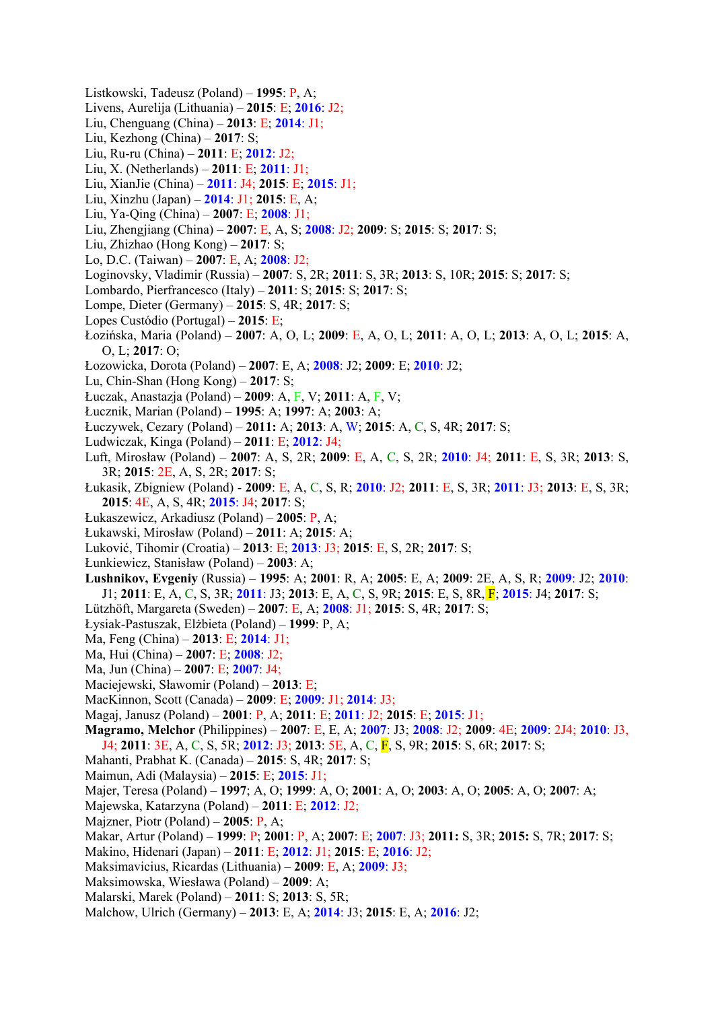- Listkowski, Tadeusz (Poland) **1995**: P, A;
- Livens, Aurelija (Lithuania) **2015**: E; **2016**: J2;
- Liu, Chenguang (China) **2013**: E; **2014**: J1;
- Liu, Kezhong (China) **2017**: S;
- Liu, Ru-ru (China) **2011**: E; **2012**: J2;
- Liu, X. (Netherlands) **2011**: E; **2011**: J1;
- Liu, XianJie (China) **2011**: J4; **2015**: E; **2015**: J1;
- Liu, Xinzhu (Japan) **2014**: J1; **2015**: E, A;
- Liu, Ya-Qing (China) **2007**: E; **2008**: J1;
- Liu, Zhengjiang (China) **2007**: E, A, S; **2008**: J2; **2009**: S; **2015**: S; **2017**: S;
- Liu, Zhizhao (Hong Kong) **2017**: S;
- Lo, D.C. (Taiwan) **2007**: E, A; **2008**: J2;
- Loginovsky, Vladimir (Russia) **2007**: S, 2R; **2011**: S, 3R; **2013**: S, 10R; **2015**: S; **2017**: S;
- Lombardo, Pierfrancesco (Italy) **2011**: S; **2015**: S; **2017**: S;
- Lompe, Dieter (Germany) **2015**: S, 4R; **2017**: S;
- Lopes Custódio (Portugal) **2015**: E;
- Łozińska, Maria (Poland) **2007**: A, O, L; **2009**: E, A, O, L; **2011**: A, O, L; **2013**: A, O, L; **2015**: A, O, L; **2017**: O;
- Łozowicka, Dorota (Poland) **2007**: E, A; **2008**: J2; **2009**: E; **2010**: J2;
- Lu, Chin-Shan (Hong Kong) **2017**: S;
- Łuczak, Anastazja (Poland) **2009**: A, F, V; **2011**: A, F, V;
- Łucznik, Marian (Poland) **1995**: A; **1997**: A; **2003**: A;
- Łuczywek, Cezary (Poland) **2011:** A; **2013**: A, W; **2015**: A, C, S, 4R; **2017**: S;
- Ludwiczak, Kinga (Poland) **2011**: E; **2012**: J4;
- Luft, Mirosław (Poland) **2007**: A, S, 2R; **2009**: E, A, C, S, 2R; **2010**: J4; **2011**: E, S, 3R; **2013**: S, 3R; **2015**: 2E, A, S, 2R; **2017**: S;
- Łukasik, Zbigniew (Poland) **2009**: E, A, C, S, R; **2010**: J2; **2011**: E, S, 3R; **2011**: J3; **2013**: E, S, 3R; **2015**: 4E, A, S, 4R; **2015**: J4; **2017**: S;
- Łukaszewicz, Arkadiusz (Poland) **2005**: P, A;
- Łukawski, Mirosław (Poland) **2011**: A; **2015**: A;
- Luković, Tihomir (Croatia) **2013**: E; **2013**: J3; **2015**: E, S, 2R; **2017**: S;
- Łunkiewicz, Stanisław (Poland) **2003**: A;
- **Lushnikov, Evgeniy** (Russia) **1995**: A; **2001**: R, A; **2005**: E, A; **2009**: 2E, A, S, R; **2009**: J2; **2010**: J1; **2011**: E, A, C, S, 3R; **2011**: J3; **2013**: E, A, C, S, 9R; **2015**: E, S, 8R, F; **2015**: J4; **2017**: S;
- Lützhöft, Margareta (Sweden) **2007**: E, A; **2008**: J1; **2015**: S, 4R; **2017**: S;
- Łysiak-Pastuszak, Elżbieta (Poland) **1999**: P, A;
- Ma, Feng (China) **2013**: E; **2014**: J1;
- Ma, Hui (China) **2007**: E; **2008**: J2;
- Ma, Jun (China) **2007**: E; **2007**: J4;
- Maciejewski, Sławomir (Poland) **2013**: E;
- MacKinnon, Scott (Canada) **2009**: E; **2009**: J1; **2014**: J3;
- Magaj, Janusz (Poland) **2001**: P, A; **2011**: E; **2011**: J2; **2015**: E; **2015**: J1;
- **Magramo, Melchor** (Philippines) **2007**: E, E, A; **2007**: J3; **2008**: J2; **2009**: 4E; **2009**: 2J4; **2010**: J3, J4; **2011**: 3E, A, C, S, 5R; **2012**: J3; **2013**: 5E, A, C, F, S, 9R; **2015**: S, 6R; **2017**: S;
- Mahanti, Prabhat K. (Canada) **2015**: S, 4R; **2017**: S;
- Maimun, Adi (Malaysia) **2015**: E; **2015**: J1;
- Majer, Teresa (Poland) **1997**; A, O; **1999**: A, O; **2001**: A, O; **2003**: A, O; **2005**: A, O; **2007**: A;
- Majewska, Katarzyna (Poland) **2011**: E; **2012**: J2;
- Majzner, Piotr (Poland) **2005**: P, A;
- Makar, Artur (Poland) **1999**: P; **2001**: P, A; **2007**: E; **2007**: J3; **2011:** S, 3R; **2015:** S, 7R; **2017**: S;
- Makino, Hidenari (Japan) **2011**: E; **2012**: J1; **2015**: E; **2016**: J2;
- Maksimavicius, Ricardas (Lithuania) **2009**: E, A; **2009**: J3;
- Maksimowska, Wiesława (Poland) **2009**: A;
- Malarski, Marek (Poland) **2011**: S; **2013**: S, 5R;
- Malchow, Ulrich (Germany) **2013**: E, A; **2014**: J3; **2015**: E, A; **2016**: J2;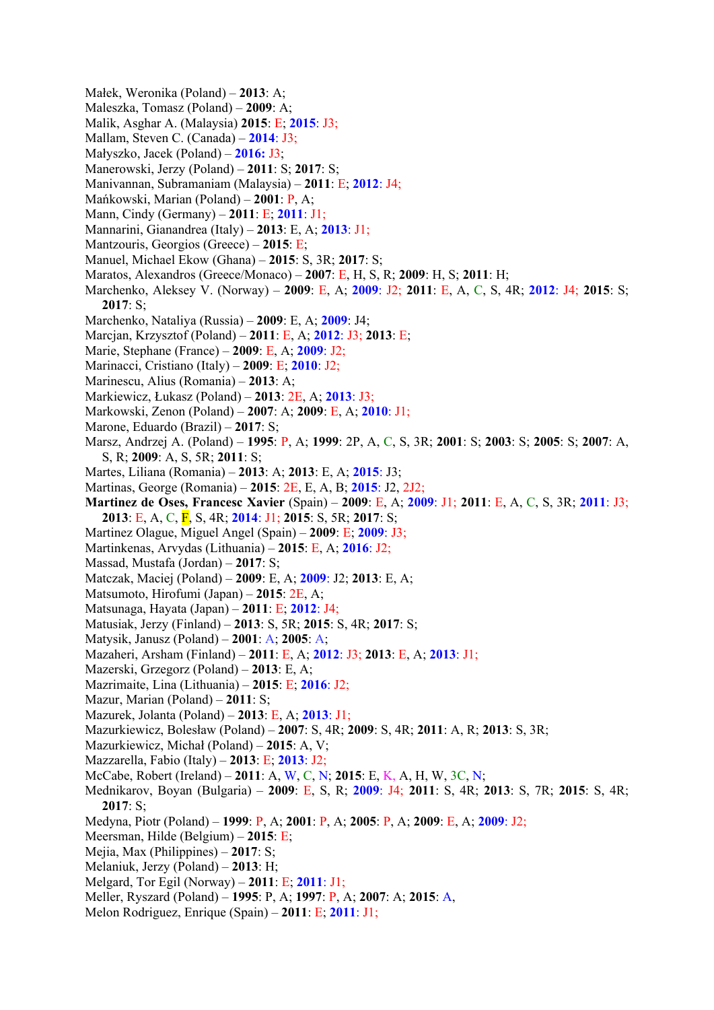- Małek, Weronika (Poland) **2013**: A;
- Maleszka, Tomasz (Poland) **2009**: A;
- Malik, Asghar A. (Malaysia) **2015**: E; **2015**: J3;
- Mallam, Steven C. (Canada) **2014**: J3;
- Małyszko, Jacek (Poland) **2016:** J3;
- Manerowski, Jerzy (Poland) **2011**: S; **2017**: S;
- Manivannan, Subramaniam (Malaysia) **2011**: E; **2012**: J4;
- Mańkowski, Marian (Poland) **2001**: P, A;
- Mann, Cindy (Germany) **2011**: E; **2011**: J1;
- Mannarini, Gianandrea (Italy) **2013**: E, A; **2013**: J1;
- Mantzouris, Georgios (Greece) **2015**: E;
- Manuel, Michael Ekow (Ghana) **2015**: S, 3R; **2017**: S;
- Maratos, Alexandros (Greece/Monaco) **2007**: E, H, S, R; **2009**: H, S; **2011**: H;
- Marchenko, Aleksey V. (Norway) **2009**: E, A; **2009**: J2; **2011**: E, A, C, S, 4R; **2012**: J4; **2015**: S; **2017**: S;
- Marchenko, Nataliya (Russia) **2009**: E, A; **2009**: J4;
- Marcjan, Krzysztof (Poland) **2011**: E, A; **2012**: J3; **2013**: E;
- Marie, Stephane (France) **2009**: E, A; **2009**: J2;
- Marinacci, Cristiano (Italy) **2009**: E; **2010**: J2;
- Marinescu, Alius (Romania) **2013**: A;
- Markiewicz, Łukasz (Poland) **2013**: 2E, A; **2013**: J3;
- Markowski, Zenon (Poland) **2007**: A; **2009**: E, A; **2010**: J1;
- Marone, Eduardo (Brazil) **2017**: S;
- Marsz, Andrzej A. (Poland) **1995**: P, A; **1999**: 2P, A, C, S, 3R; **2001**: S; **2003**: S; **2005**: S; **2007**: A, S, R; **2009**: A, S, 5R; **2011**: S;
- Martes, Liliana (Romania) **2013**: A; **2013**: E, A; **2015**: J3;
- Martinas, George (Romania) **2015**: 2E, E, A, B; **2015**: J2, 2J2;
- **Martinez de Oses, Francesc Xavier** (Spain) **2009**: E, A; **2009**: J1; **2011**: E, A, C, S, 3R; **2011**: J3; **2013**: E, A, C, F, S, 4R; **2014**: J1; **2015**: S, 5R; **2017**: S;
- Martinez Olague, Miguel Angel (Spain) **2009**: E; **2009**: J3;
- Martinkenas, Arvydas (Lithuania) **2015**: E, A; **2016**: J2;
- Massad, Mustafa (Jordan) **2017**: S;
- Matczak, Maciej (Poland) **2009**: E, A; **2009**: J2; **2013**: E, A;
- Matsumoto, Hirofumi (Japan) **2015**: 2E, A;
- Matsunaga, Hayata (Japan) **2011**: E; **2012**: J4;
- Matusiak, Jerzy (Finland) **2013**: S, 5R; **2015**: S, 4R; **2017**: S;
- Matysik, Janusz (Poland) **2001**: A; **2005**: A;
- Mazaheri, Arsham (Finland) **2011**: E, A; **2012**: J3; **2013**: E, A; **2013**: J1;
- Mazerski, Grzegorz (Poland) **2013**: E, A;
- Mazrimaite, Lina (Lithuania) **2015**: E; **2016**: J2;
- Mazur, Marian (Poland) **2011**: S;
- Mazurek, Jolanta (Poland) **2013**: E, A; **2013**: J1;
- Mazurkiewicz, Bolesław (Poland) **2007**: S, 4R; **2009**: S, 4R; **2011**: A, R; **2013**: S, 3R;
- Mazurkiewicz, Michał (Poland) **2015**: A, V;
- Mazzarella, Fabio (Italy) **2013**: E; **2013**: J2;
- McCabe, Robert (Ireland) **2011**: A, W, C, N; **2015**: E, K, A, H, W, 3C, N;
- Mednikarov, Boyan (Bulgaria) **2009**: E, S, R; **2009**: J4; **2011**: S, 4R; **2013**: S, 7R; **2015**: S, 4R; **2017**: S;
- Medyna, Piotr (Poland) **1999**: P, A; **2001**: P, A; **2005**: P, A; **2009**: E, A; **2009**: J2;
- Meersman, Hilde (Belgium) **2015**: E;
- Mejia, Max (Philippines) **2017**: S;
- Melaniuk, Jerzy (Poland) **2013**: H;
- Melgard, Tor Egil (Norway) **2011**: E; **2011**: J1;
- Meller, Ryszard (Poland) **1995**: P, A; **1997**: P, A; **2007**: A; **2015**: A,
- Melon Rodriguez, Enrique (Spain) **2011**: E; **2011**: J1;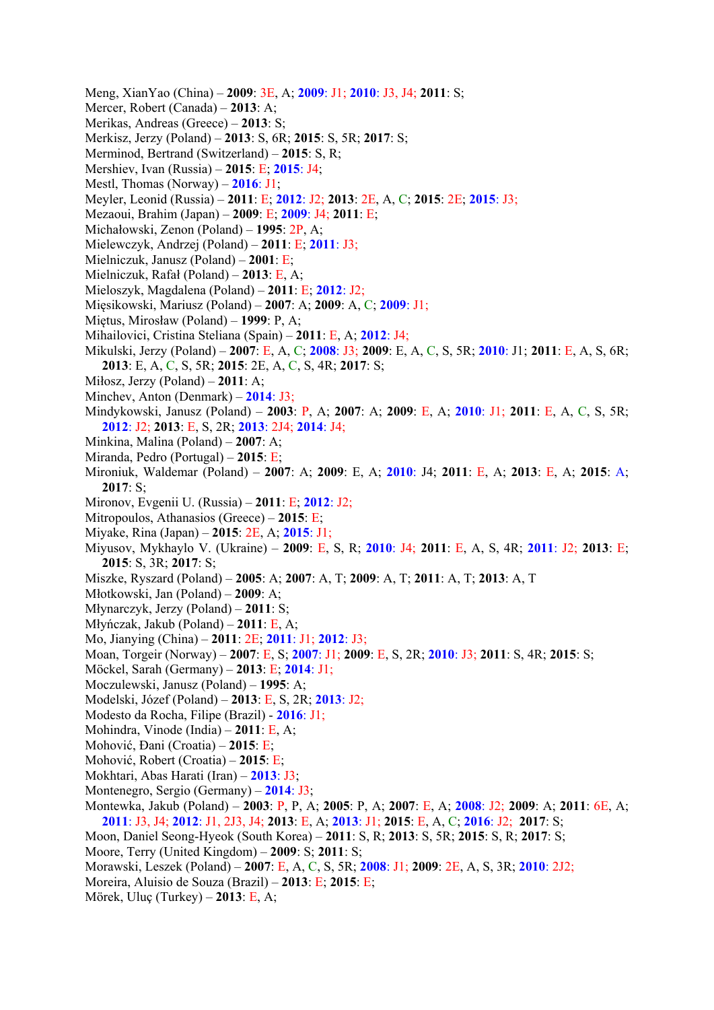- Meng, XianYao (China) **2009**: 3E, A; **2009**: J1; **2010**: J3, J4; **2011**: S;
- Mercer, Robert (Canada) **2013**: A;
- Merikas, Andreas (Greece) **2013**: S;
- Merkisz, Jerzy (Poland) **2013**: S, 6R; **2015**: S, 5R; **2017**: S;
- Merminod, Bertrand (Switzerland) **2015**: S, R;
- Mershiev, Ivan (Russia) **2015**: E; **2015**: J4;
- Mestl, Thomas (Norway) **2016**: J1;
- Meyler, Leonid (Russia) **2011**: E; **2012**: J2; **2013**: 2E, A, C; **2015**: 2E; **2015**: J3;
- Mezaoui, Brahim (Japan) **2009**: E; **2009**: J4; **2011**: E;
- Michałowski, Zenon (Poland) **1995**: 2P, A;
- Mielewczyk, Andrzej (Poland) **2011**: E; **2011**: J3;
- Mielniczuk, Janusz (Poland) **2001**: E;
- Mielniczuk, Rafał (Poland) **2013**: E, A;
- Mieloszyk, Magdalena (Poland) **2011**: E; **2012**: J2;
- Mięsikowski, Mariusz (Poland) **2007**: A; **2009**: A, C; **2009**: J1;
- Miętus, Mirosław (Poland) **1999**: P, A;
- Mihailovici, Cristina Steliana (Spain) **2011**: E, A; **2012**: J4;
- Mikulski, Jerzy (Poland) **2007**: E, A, C; **2008**: J3; **2009**: E, A, C, S, 5R; **2010**: J1; **2011**: E, A, S, 6R; **2013**: E, A, C, S, 5R; **2015**: 2E, A, C, S, 4R; **2017**: S;
- Miłosz, Jerzy (Poland) **2011**: A;
- Minchev, Anton (Denmark) **2014**: J3;
- Mindykowski, Janusz (Poland) **2003**: P, A; **2007**: A; **2009**: E, A; **2010**: J1; **2011**: E, A, C, S, 5R; **2012**: J2; **2013**: E, S, 2R; **2013**: 2J4; **2014**: J4;
- Minkina, Malina (Poland) **2007**: A;
- Miranda, Pedro (Portugal) **2015**: E;
- Mironiuk, Waldemar (Poland) **2007**: A; **2009**: E, A; **2010**: J4; **2011**: E, A; **2013**: E, A; **2015**: A; **2017**: S;
- Mironov, Evgenii U. (Russia) **2011**: E; **2012**: J2;
- Mitropoulos, Athanasios (Greece) **2015**: E;
- Miyake, Rina (Japan) **2015**: 2E, A; **2015**: J1;
- Miyusov, Mykhaylo V. (Ukraine) **2009**: E, S, R; **2010**: J4; **2011**: E, A, S, 4R; **2011**: J2; **2013**: E; **2015**: S, 3R; **2017**: S;
- Miszke, Ryszard (Poland) – **2005**: A; **2007**: A, T; **2009**: A, T; **2011**: A, T; **2013**: A, T
- Młotkowski, Jan (Poland) **2009**: A;
- Młynarczyk, Jerzy (Poland) **2011**: S;
- Młyńczak, Jakub (Poland) **2011**: E, A;
- Mo, Jianying (China) **2011**: 2E; **2011**: J1; **2012**: J3;
- Moan, Torgeir (Norway) **2007**: E, S; **2007**: J1; **2009**: E, S, 2R; **2010**: J3; **2011**: S, 4R; **2015**: S;
- Möckel, Sarah (Germany) **2013**: E; **2014**: J1;
- Moczulewski, Janusz (Poland) **1995**: A;
- Modelski, Józef (Poland) **2013**: E, S, 2R; **2013**: J2;
- Modesto da Rocha, Filipe (Brazil) **2016**: J1;
- Mohindra, Vinode (India) **2011**: E, A;
- Mohović, Đani (Croatia) **2015**: E;
- Mohović, Robert (Croatia) **2015**: E;
- Mokhtari, Abas Harati (Iran) **2013**: J3;
- Montenegro, Sergio (Germany) **2014**: J3;
- Montewka, Jakub (Poland) **2003**: P, P, A; **2005**: P, A; **2007**: E, A; **2008**: J2; **2009**: A; **2011**: 6E, A; **2011**: J3, J4; **2012**: J1, 2J3, J4; **2013**: E, A; **2013**: J1; **2015**: E, A, C; **2016**: J2; **2017**: S;
- Moon, Daniel Seong-Hyeok (South Korea) **2011**: S, R; **2013**: S, 5R; **2015**: S, R; **2017**: S;
- Moore, Terry (United Kingdom) **2009**: S; **2011**: S;
- Morawski, Leszek (Poland) **2007**: E, A, C, S, 5R; **2008**: J1; **2009**: 2E, A, S, 3R; **2010**: 2J2;
- Moreira, Aluisio de Souza (Brazil) **2013**: E; **2015**: E;
- Mörek, Uluç (Turkey) **2013**: E, A;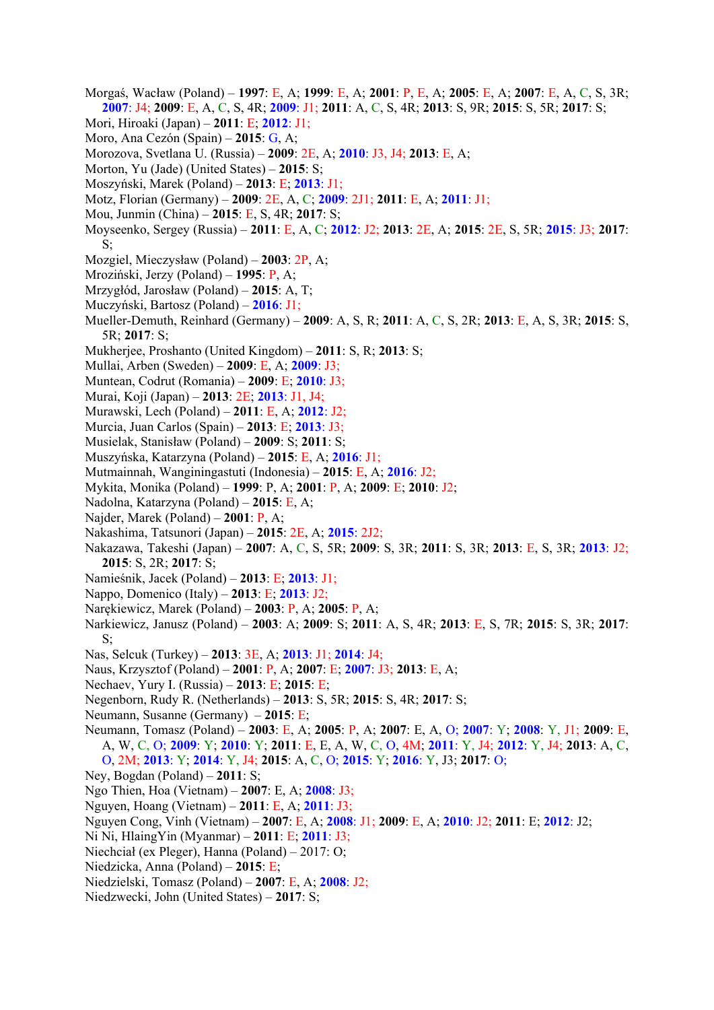- Morgaś, Wacław (Poland) **1997**: E, A; **1999**: E, A; **2001**: P, E, A; **2005**: E, A; **2007**: E, A, C, S, 3R; **2007**: J4; **2009**: E, A, C, S, 4R; **2009**: J1; **2011**: A, C, S, 4R; **2013**: S, 9R; **2015**: S, 5R; **2017**: S;
- Mori, Hiroaki (Japan) **2011**: E; **2012**: J1;
- Moro, Ana Cezón (Spain) **2015**: G, A;
- Morozova, Svetlana U. (Russia) **2009**: 2E, A; **2010**: J3, J4; **2013**: E, A;
- Morton, Yu (Jade) (United States) **2015**: S;
- Moszyński, Marek (Poland) **2013**: E; **2013**: J1;
- Motz, Florian (Germany) **2009**: 2E, A, C; **2009**: 2J1; **2011**: E, A; **2011**: J1;
- Mou, Junmin (China) **2015**: E, S, 4R; **2017**: S;
- Moyseenko, Sergey (Russia) **2011**: E, A, C; **2012**: J2; **2013**: 2E, A; **2015**: 2E, S, 5R; **2015**: J3; **2017**: S;
- Mozgiel, Mieczysław (Poland) **2003**: 2P, A;
- Mroziński, Jerzy (Poland) **1995**: P, A;
- Mrzygłód, Jarosław (Poland) **2015**: A, T;
- Muczyński, Bartosz (Poland) **2016**: J1;
- Mueller-Demuth, Reinhard (Germany) **2009**: A, S, R; **2011**: A, C, S, 2R; **2013**: E, A, S, 3R; **2015**: S, 5R; **2017**: S;
- Mukherjee, Proshanto (United Kingdom) **2011**: S, R; **2013**: S;
- Mullai, Arben (Sweden) **2009**: E, A; **2009**: J3;
- Muntean, Codrut (Romania) **2009**: E; **2010**: J3;
- Murai, Koji (Japan) **2013**: 2E; **2013**: J1, J4;
- Murawski, Lech (Poland) **2011**: E, A; **2012**: J2;
- Murcia, Juan Carlos (Spain) **2013**: E; **2013**: J3;
- Musielak, Stanisław (Poland) **2009**: S; **2011**: S;
- Muszyńska, Katarzyna (Poland) **2015**: E, A; **2016**: J1;
- Mutmainnah, Wanginingastuti (Indonesia) **2015**: E, A; **2016**: J2;
- Mykita, Monika (Poland) **1999**: P, A; **2001**: P, A; **2009**: E; **2010**: J2;
- Nadolna, Katarzyna (Poland) **2015**: E, A;
- Najder, Marek (Poland) **2001**: P, A;
- Nakashima, Tatsunori (Japan) **2015**: 2E, A; **2015**: 2J2;
- Nakazawa, Takeshi (Japan) **2007**: A, C, S, 5R; **2009**: S, 3R; **2011**: S, 3R; **2013**: E, S, 3R; **2013**: J2; **2015**: S, 2R; **2017**: S;
- Namieśnik, Jacek (Poland) **2013**: E; **2013**: J1;
- Nappo, Domenico (Italy) **2013**: E; **2013**: J2;
- Narękiewicz, Marek (Poland) **2003**: P, A; **2005**: P, A;
- Narkiewicz, Janusz (Poland) **2003**: A; **2009**: S; **2011**: A, S, 4R; **2013**: E, S, 7R; **2015**: S, 3R; **2017**:  $S$ :
- Nas, Selcuk (Turkey) **2013**: 3E, A; **2013**: J1; **2014**: J4;
- Naus, Krzysztof (Poland) **2001**: P, A; **2007**: E; **2007**: J3; **2013**: E, A;
- Nechaev, Yury I. (Russia) **2013**: E; **2015**: E;
- Negenborn, Rudy R. (Netherlands) **2013**: S, 5R; **2015**: S, 4R; **2017**: S;
- Neumann, Susanne (Germany) **2015**: E;
- Neumann, Tomasz (Poland) **2003**: E, A; **2005**: P, A; **2007**: E, A, O; **2007**: Y; **2008**: Y, J1; **2009**: E, A, W, C, O; **2009**: Y; **2010**: Y; **2011**: E, E, A, W, C, O, 4M; **2011**: Y, J4; **2012**: Y, J4; **2013**: A, C, O, 2M; **2013**: Y; **2014**: Y, J4; **2015**: A, C, O; **2015**: Y; **2016**: Y, J3; **2017**: O;
- Ney, Bogdan (Poland) **2011**: S;
- Ngo Thien, Hoa (Vietnam) **2007**: E, A; **2008**: J3;
- Nguyen, Hoang (Vietnam) **2011**: E, A; **2011**: J3;
- Nguyen Cong, Vinh (Vietnam) **2007**: E, A; **2008**: J1; **2009**: E, A; **2010**: J2; **2011**: E; **2012**: J2;
- Ni Ni, HlaingYin (Myanmar) **2011**: E; **2011**: J3;
- Niechciał (ex Pleger), Hanna (Poland) 2017: O;
- Niedzicka, Anna (Poland) **2015**: E;
- Niedzielski, Tomasz (Poland) **2007**: E, A; **2008**: J2;
- Niedzwecki, John (United States) **2017**: S;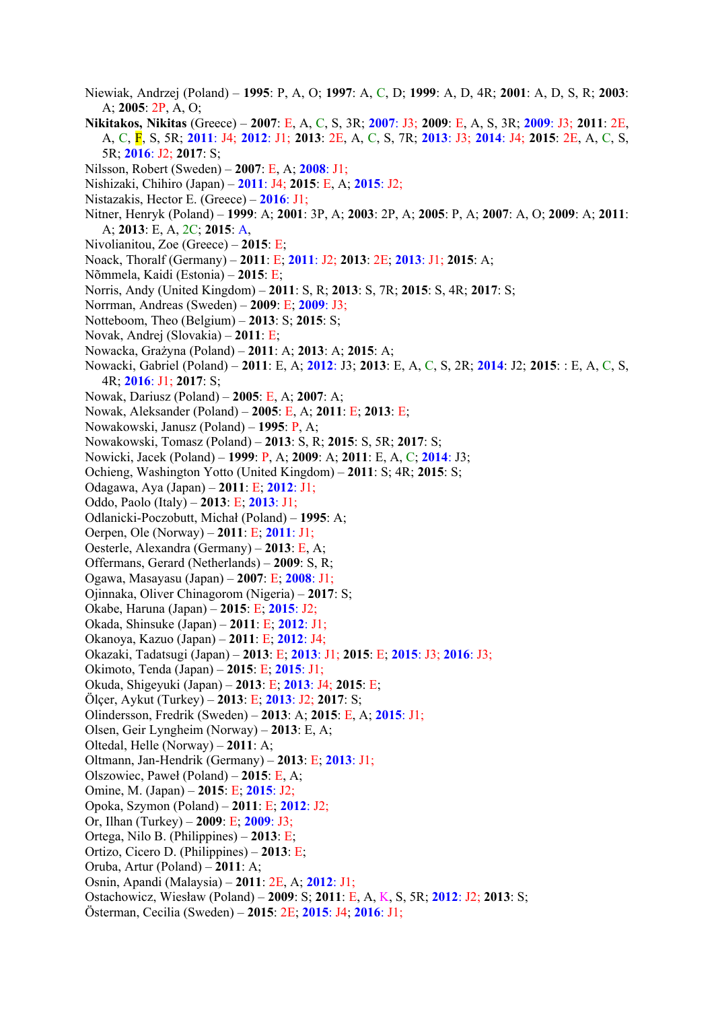- Niewiak, Andrzej (Poland) **1995**: P, A, O; **1997**: A, C, D; **1999**: A, D, 4R; **2001**: A, D, S, R; **2003**: A; **2005**: 2P, A, O;
- **Nikitakos, Nikitas** (Greece) **2007**: E, A, C, S, 3R; **2007**: J3; **2009**: E, A, S, 3R; **2009**: J3; **2011**: 2E, A, C, F, S, 5R; **2011**: J4; **2012**: J1; **2013**: 2E, A, C, S, 7R; **2013**: J3; **2014**: J4; **2015**: 2E, A, C, S, 5R; **2016**: J2; **2017**: S;
- Nilsson, Robert (Sweden) **2007**: E, A; **2008**: J1;
- Nishizaki, Chihiro (Japan) **2011**: J4; **2015**: E, A; **2015**: J2;
- Nistazakis, Hector E. (Greece) **2016**: J1;
- Nitner, Henryk (Poland) **1999**: A; **2001**: 3P, A; **2003**: 2P, A; **2005**: P, A; **2007**: A, O; **2009**: A; **2011**: A; **2013**: E, A, 2C; **2015**: A,
- Nivolianitou, Zoe (Greece) **2015**: E;
- Noack, Thoralf (Germany) **2011**: E; **2011**: J2; **2013**: 2E; **2013**: J1; **2015**: A;
- Nõmmela, Kaidi (Estonia) **2015**: E;
- Norris, Andy (United Kingdom) **2011**: S, R; **2013**: S, 7R; **2015**: S, 4R; **2017**: S;
- Norrman, Andreas (Sweden) **2009**: E; **2009**: J3;
- Notteboom, Theo (Belgium) **2013**: S; **2015**: S;
- Novak, Andrej (Slovakia) **2011**: E;
- Nowacka, Grażyna (Poland) **2011**: A; **2013**: A; **2015**: A;
- Nowacki, Gabriel (Poland) **2011**: E, A; **2012**: J3; **2013**: E, A, C, S, 2R; **2014**: J2; **2015**: : E, A, C, S, 4R; **2016**: J1; **2017**: S;
- Nowak, Dariusz (Poland) **2005**: E, A; **2007**: A;
- Nowak, Aleksander (Poland) **2005**: E, A; **2011**: E; **2013**: E;
- Nowakowski, Janusz (Poland) **1995**: P, A;
- Nowakowski, Tomasz (Poland) **2013**: S, R; **2015**: S, 5R; **2017**: S;
- Nowicki, Jacek (Poland) **1999**: P, A; **2009**: A; **2011**: E, A, C; **2014**: J3;
- Ochieng, Washington Yotto (United Kingdom) **2011**: S; 4R; **2015**: S;
- Odagawa, Aya (Japan) **2011**: E; **2012**: J1;
- Oddo, Paolo (Italy) **2013**: E; **2013**: J1;
- Odlanicki-Poczobutt, Michał (Poland) **1995**: A;
- Oerpen, Ole (Norway) **2011**: E; **2011**: J1;
- Oesterle, Alexandra (Germany) **2013**: E, A;
- Offermans, Gerard (Netherlands) **2009**: S, R;
- Ogawa, Masayasu (Japan) **2007**: E; **2008**: J1;
- Ojinnaka, Oliver Chinagorom (Nigeria) **2017**: S;
- Okabe, Haruna (Japan) **2015**: E; **2015**: J2;
- Okada, Shinsuke (Japan) **2011**: E; **2012**: J1;
- Okanoya, Kazuo (Japan) **2011**: E; **2012**: J4;
- Okazaki, Tadatsugi (Japan) **2013**: E; **2013**: J1; **2015**: E; **2015**: J3; **2016**: J3;
- Okimoto, Tenda (Japan) **2015**: E; **2015**: J1;
- Okuda, Shigeyuki (Japan) **2013**: E; **2013**: J4; **2015**: E;
- Ölçer, Aykut (Turkey) **2013**: E; **2013**: J2; **2017**: S;
- Olindersson, Fredrik (Sweden) **2013**: A; **2015**: E, A; **2015**: J1;
- Olsen, Geir Lyngheim (Norway) **2013**: E, A;
- Oltedal, Helle (Norway) **2011**: A;
- Oltmann, Jan-Hendrik (Germany) **2013**: E; **2013**: J1;
- Olszowiec, Paweł (Poland) **2015**: E, A;
- Omine, M. (Japan) **2015**: E; **2015**: J2;
- Opoka, Szymon (Poland) **2011**: E; **2012**: J2;
- Or, Ilhan (Turkey) **2009**: E; **2009**: J3;
- Ortega, Nilo B. (Philippines) **2013**: E;
- Ortizo, Cicero D. (Philippines) **2013**: E;
- Oruba, Artur (Poland) **2011**: A;
- Osnin, Apandi (Malaysia) **2011**: 2E, A; **2012**: J1;
- Ostachowicz, Wiesław (Poland) **2009**: S; **2011**: E, A, K, S, 5R; **2012**: J2; **2013**: S;
- Österman, Cecilia (Sweden) **2015**: 2E; **2015**: J4; **2016**: J1;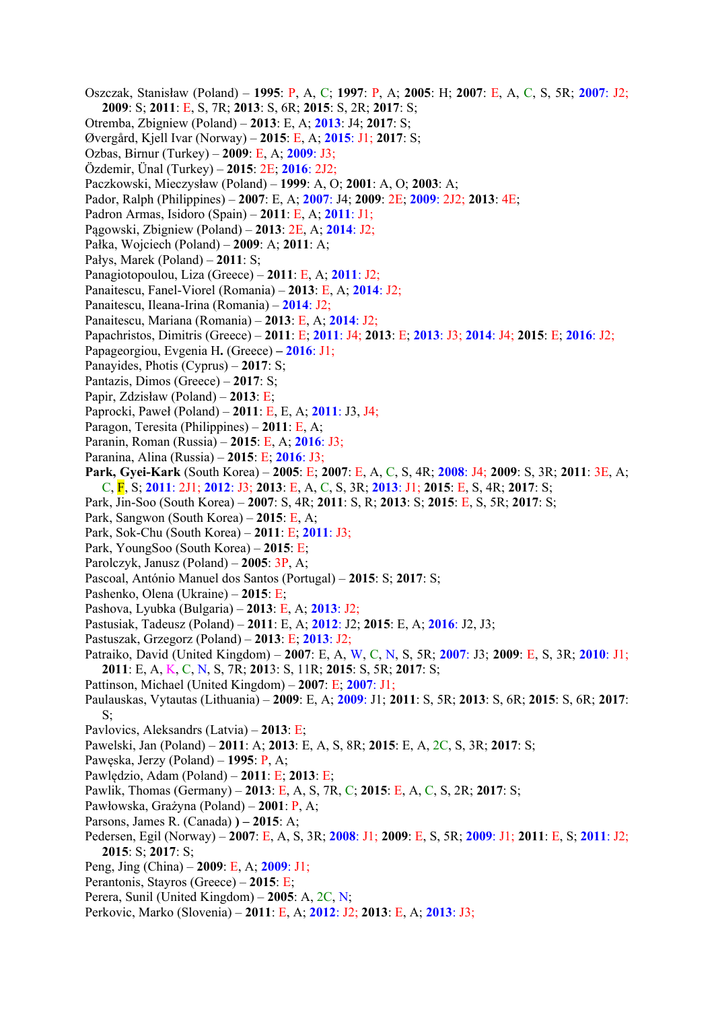- Oszczak, Stanisław (Poland) **1995**: P, A, C; **1997**: P, A; **2005**: H; **2007**: E, A, C, S, 5R; **2007**: J2; **2009**: S; **2011**: E, S, 7R; **2013**: S, 6R; **2015**: S, 2R; **2017**: S;
- Otremba, Zbigniew (Poland) **2013**: E, A; **2013**: J4; **2017**: S;
- Øvergård, Kjell Ivar (Norway) **2015**: E, A; **2015**: J1; **2017**: S;
- Ozbas, Birnur (Turkey) **2009**: E, A; **2009**: J3;
- Özdemir, Ünal (Turkey) **2015**: 2E; **2016**: 2J2;
- Paczkowski, Mieczysław (Poland) **1999**: A, O; **2001**: A, O; **2003**: A;
- Pador, Ralph (Philippines) **2007**: E, A; **2007**: J4; **2009**: 2E; **2009**: 2J2; **2013**: 4E;
- Padron Armas, Isidoro (Spain) **2011**: E, A; **2011**: J1;
- Pągowski, Zbigniew (Poland) **2013**: 2E, A; **2014**: J2;
- Pałka, Wojciech (Poland) **2009**: A; **2011**: A;
- Pałys, Marek (Poland) **2011**: S;
- Panagiotopoulou, Liza (Greece) **2011**: E, A; **2011**: J2;
- Panaitescu, Fanel-Viorel (Romania) **2013**: E, A; **2014**: J2;
- Panaitescu, Ileana-Irina (Romania) **2014**: J2;
- Panaitescu, Mariana (Romania) **2013**: E, A; **2014**: J2;
- Papachristos, Dimitris (Greece) **2011**: E; **2011**: J4; **2013**: E; **2013**: J3; **2014**: J4; **2015**: E; **2016**: J2;
- Papageorgiou, Evgenia H**.** (Greece) **2016**: J1;
- Panayides, Photis (Cyprus) **2017**: S;
- Pantazis, Dimos (Greece) **2017**: S;
- Papir, Zdzisław (Poland) **2013**: E;
- Paprocki, Paweł (Poland) **2011**: E, E, A; **2011**: J3, J4;
- Paragon, Teresita (Philippines) **2011**: E, A;
- Paranin, Roman (Russia) **2015**: E, A; **2016**: J3;
- Paranina, Alina (Russia) **2015**: E; **2016**: J3;
- **Park, Gyei-Kark** (South Korea) **2005**: E; **2007**: E, A, C, S, 4R; **2008**: J4; **2009**: S, 3R; **2011**: 3E, A; C, F, S; **2011**: 2J1; **2012**: J3; **2013**: E, A, C, S, 3R; **2013**: J1; **2015**: E, S, 4R; **2017**: S;
- Park, Jin-Soo (South Korea) **2007**: S, 4R; **2011**: S, R; **2013**: S; **2015**: E, S, 5R; **2017**: S;
- Park, Sangwon (South Korea) **2015**: E, A;
- Park, Sok-Chu (South Korea) **2011**: E; **2011**: J3;
- Park, YoungSoo (South Korea) **2015**: E;
- Parolczyk, Janusz (Poland) **2005**: 3P, A;
- Pascoal, António Manuel dos Santos (Portugal) **2015**: S; **2017**: S;
- Pashenko, Olena (Ukraine) **2015**: E;
- Pashova, Lyubka (Bulgaria) **2013**: E, A; **2013**: J2;
- Pastusiak, Tadeusz (Poland) **2011**: E, A; **2012**: J2; **2015**: E, A; **2016**: J2, J3;
- Pastuszak, Grzegorz (Poland) **2013**: E; **2013**: J2;
- Patraiko, David (United Kingdom) **2007**: E, A, W, C, N, S, 5R; **2007**: J3; **2009**: E, S, 3R; **2010**: J1; **2011**: E, A, K, C, N, S, 7R; **201**3: S, 11R; **2015**: S, 5R; **2017**: S;
- Pattinson, Michael (United Kingdom) **2007**: E; **2007**: J1;
- Paulauskas, Vytautas (Lithuania) **2009**: E, A; **2009**: J1; **2011**: S, 5R; **2013**: S, 6R; **2015**: S, 6R; **2017**: S;
- Pavlovics, Aleksandrs (Latvia) **2013**: E;
- Pawelski, Jan (Poland) **2011**: A; **2013**: E, A, S, 8R; **2015**: E, A, 2C, S, 3R; **2017**: S;
- Pawęska, Jerzy (Poland) **1995**: P, A;
- Pawlędzio, Adam (Poland) **2011**: E; **2013**: E;
- Pawlik, Thomas (Germany) **2013**: E, A, S, 7R, C; **2015**: E, A, C, S, 2R; **2017**: S;
- Pawłowska, Grażyna (Poland) **2001**: P, A;
- Parsons, James R. (Canada) **) – 2015**: A;
- Pedersen, Egil (Norway) **2007**: E, A, S, 3R; **2008**: J1; **2009**: E, S, 5R; **2009**: J1; **2011**: E, S; **2011**: J2; **2015**: S; **2017**: S;
- Peng, Jing (China) **2009**: E, A; **2009**: J1;
- Perantonis, Stayros (Greece) **2015**: E;
- Perera, Sunil (United Kingdom) **2005**: A, 2C, N;
- Perkovic, Marko (Slovenia) **2011**: E, A; **2012**: J2; **2013**: E, A; **2013**: J3;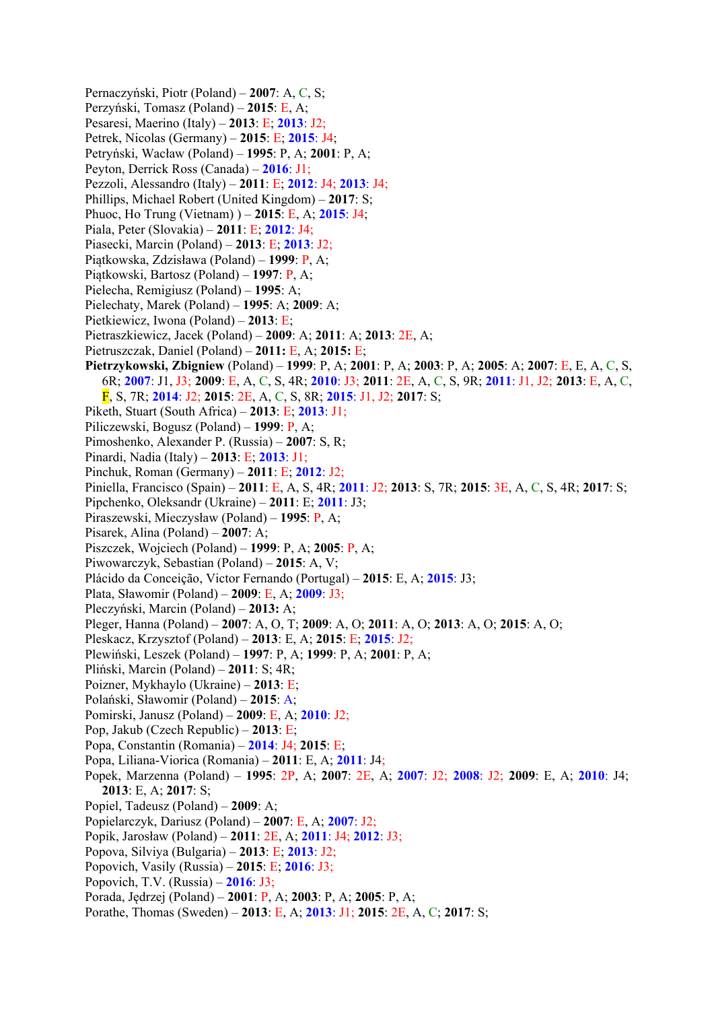Pernaczyński, Piotr (Poland) – **2007**: A, C, S; Perzyński, Tomasz (Poland) – **2015**: E, A; Pesaresi, Maerino (Italy) – **2013**: E; **2013**: J2; Petrek, Nicolas (Germany) – **2015**: E; **2015**: J4; Petryński, Wacław (Poland) – **1995**: P, A; **2001**: P, A; Peyton, Derrick Ross (Canada) – **2016**: J1; Pezzoli, Alessandro (Italy) – **2011**: E; **2012**: J4; **2013**: J4; Phillips, Michael Robert (United Kingdom) – **2017**: S; Phuoc, Ho Trung (Vietnam) ) – **2015**: E, A; **2015**: J4; Piala, Peter (Slovakia) – **2011**: E; **2012**: J4; Piasecki, Marcin (Poland) – **2013**: E; **2013**: J2; Piątkowska, Zdzisława (Poland) – **1999**: P, A; Piątkowski, Bartosz (Poland) – **1997**: P, A; Pielecha, Remigiusz (Poland) – **1995**: A; Pielechaty, Marek (Poland) – **1995**: A; **2009**: A; Pietkiewicz, Iwona (Poland) – **2013**: E; Pietraszkiewicz, Jacek (Poland) – **2009**: A; **2011**: A; **2013**: 2E, A; Pietruszczak, Daniel (Poland) – **2011:** E, A; **2015:** E; **Pietrzykowski, Zbigniew** (Poland) – **1999**: P, A; **2001**: P, A; **2003**: P, A; **2005**: A; **2007**: E, E, A, C, S, 6R; **2007**: J1, J3; **2009**: E, A, C, S, 4R; **2010**: J3; **2011**: 2E, A, C, S, 9R; **2011**: J1, J2; **2013**: E, A, C, F, S, 7R; **2014**: J2; **2015**: 2E, A, C, S, 8R; **2015**: J1, J2; **2017**: S; Piketh, Stuart (South Africa) – **2013**: E; **2013**: J1; Piliczewski, Bogusz (Poland) – **1999**: P, A; Pimoshenko, Alexander P. (Russia) – **2007**: S, R; Pinardi, Nadia (Italy) – **2013**: E; **2013**: J1; Pinchuk, Roman (Germany) – **2011**: E; **2012**: J2; Piniella, Francisco (Spain) – **2011**: E, A, S, 4R; **2011**: J2; **2013**: S, 7R; **2015**: 3E, A, C, S, 4R; **2017**: S; Pipchenko, Oleksandr (Ukraine) – **2011**: E; **2011**: J3; Piraszewski, Mieczysław (Poland) – **1995**: P, A; Pisarek, Alina (Poland) – **2007**: A; Piszczek, Wojciech (Poland) – **1999**: P, A; **2005**: P, A; Piwowarczyk, Sebastian (Poland) – **2015**: A, V; Plácido da Conceição, Victor Fernando (Portugal) – **2015**: E, A; **2015**: J3; Plata, Sławomir (Poland) – **2009**: E, A; **2009**: J3; Pleczyński, Marcin (Poland) – **2013:** A; Pleger, Hanna (Poland) – **2007**: A, O, T; **2009**: A, O; **2011**: A, O; **2013**: A, O; **2015**: A, O; Pleskacz, Krzysztof (Poland) – **2013**: E, A; **2015**: E; **2015**: J2; Plewiński, Leszek (Poland) – **1997**: P, A; **1999**: P, A; **2001**: P, A; Pliński, Marcin (Poland) – **2011**: S; 4R; Poizner, Mykhaylo (Ukraine) – **2013**: E; Polański, Sławomir (Poland) – **2015**: A; Pomirski, Janusz (Poland) – **2009**: E, A; **2010**: J2; Pop, Jakub (Czech Republic) – **2013**: E; Popa, Constantin (Romania) – **2014**: J4; **2015**: E; Popa, Liliana-Viorica (Romania) – **2011**: E, A; **2011**: J4; Popek, Marzenna (Poland) – **1995**: 2P, A; **2007**: 2E, A; **2007**: J2; **2008**: J2; **2009**: E, A; **2010**: J4; **2013**: E, A; **2017**: S; Popiel, Tadeusz (Poland) – **2009**: A; Popielarczyk, Dariusz (Poland) – **2007**: E, A; **2007**: J2; Popik, Jarosław (Poland) – **2011**: 2E, A; **2011**: J4; **2012**: J3; Popova, Silviya (Bulgaria) – **2013**: E; **2013**: J2; Popovich, Vasily (Russia) – **2015**: E; **2016**: J3; Popovich, T.V. (Russia) – **2016**: J3; Porada, Jędrzej (Poland) – **2001**: P, A; **2003**: P, A; **2005**: P, A; Porathe, Thomas (Sweden) – **2013**: E, A; **2013**: J1; **2015**: 2E, A, C; **2017**: S;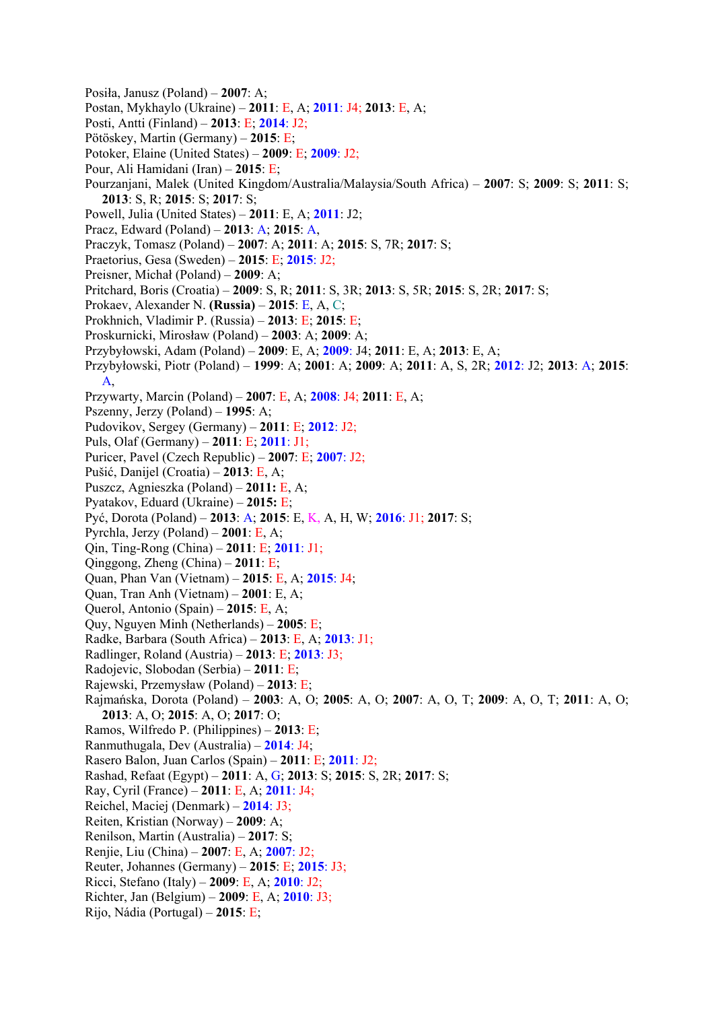Posiła, Janusz (Poland) – **2007**: A; Postan, Mykhaylo (Ukraine) – **2011**: E, A; **2011**: J4; **2013**: E, A; Posti, Antti (Finland) – **2013**: E; **2014**: J2; Pötöskey, Martin (Germany) – **2015**: E; Potoker, Elaine (United States) – **2009**: E; **2009**: J2; Pour, Ali Hamidani (Iran) – **2015**: E; Pourzanjani, Malek (United Kingdom/Australia/Malaysia/South Africa) – **2007**: S; **2009**: S; **2011**: S; **2013**: S, R; **2015**: S; **2017**: S; Powell, Julia (United States) – **2011**: E, A; **2011**: J2; Pracz, Edward (Poland) – **2013**: A; **2015**: A, Praczyk, Tomasz (Poland) – **2007**: A; **2011**: A; **2015**: S, 7R; **2017**: S; Praetorius, Gesa (Sweden) – **2015**: E; **2015**: J2; Preisner, Michał (Poland) – **2009**: A; Pritchard, Boris (Croatia) – **2009**: S, R; **2011**: S, 3R; **2013**: S, 5R; **2015**: S, 2R; **2017**: S; Prokaev, Alexander N. **(Russia)** – **2015**: E, A, C; Prokhnich, Vladimir P. (Russia) – **2013**: E; **2015**: E; Proskurnicki, Mirosław (Poland) – **2003**: A; **2009**: A; Przybyłowski, Adam (Poland) – **2009**: E, A; **2009**: J4; **2011**: E, A; **2013**: E, A; Przybyłowski, Piotr (Poland) – **1999**: A; **2001**: A; **2009**: A; **2011**: A, S, 2R; **2012**: J2; **2013**: A; **2015**: A, Przywarty, Marcin (Poland) – **2007**: E, A; **2008**: J4; **2011**: E, A; Pszenny, Jerzy (Poland) – **1995**: A; Pudovikov, Sergey (Germany) – **2011**: E; **2012**: J2; Puls, Olaf (Germany) – **2011**: E; **2011**: J1; Puricer, Pavel (Czech Republic) – **2007**: E; **2007**: J2; Pušić, Danijel (Croatia) – **2013**: E, A; Puszcz, Agnieszka (Poland) – **2011:** E, A; Pyatakov, Eduard (Ukraine) – **2015:** E; Pyć, Dorota (Poland) – **2013**: A; **2015**: E, K, A, H, W; **2016**: J1; **2017**: S; Pyrchla, Jerzy (Poland) – **2001**: E, A; Qin, Ting-Rong (China) – **2011**: E; **2011**: J1; Qinggong, Zheng (China) – **2011**: E; Quan, Phan Van (Vietnam) – **2015**: E, A; **2015**: J4; Quan, Tran Anh (Vietnam) – **2001**: E, A; Querol, Antonio (Spain) – **2015**: E, A; Quy, Nguyen Minh (Netherlands) – **2005**: E; Radke, Barbara (South Africa) – **2013**: E, A; **2013**: J1; Radlinger, Roland (Austria) – **2013**: E; **2013**: J3; Radojevic, Slobodan (Serbia) – **2011**: E; Rajewski, Przemysław (Poland) – **2013**: E; Rajmańska, Dorota (Poland) – **2003**: A, O; **2005**: A, O; **2007**: A, O, T; **2009**: A, O, T; **2011**: A, O; **2013**: A, O; **2015**: A, O; **2017**: O; Ramos, Wilfredo P. (Philippines) – **2013**: E; Ranmuthugala, Dev (Australia) – **2014**: J4; Rasero Balon, Juan Carlos (Spain) – **2011**: E; **2011**: J2; Rashad, Refaat (Egypt) – **2011**: A, G; **2013**: S; **2015**: S, 2R; **2017**: S; Ray, Cyril (France) – **2011**: E, A; **2011**: J4; Reichel, Maciej (Denmark) – **2014**: J3; Reiten, Kristian (Norway) – **2009**: A; Renilson, Martin (Australia) – **2017**: S; Renjie, Liu (China) – **2007**: E, A; **2007**: J2; Reuter, Johannes (Germany) – **2015**: E; **2015**: J3; Ricci, Stefano (Italy) – **2009**: E, A; **2010**: J2; Richter, Jan (Belgium) – **2009**: E, A; **2010**: J3; Rijo, Nádia (Portugal) – **2015**: E;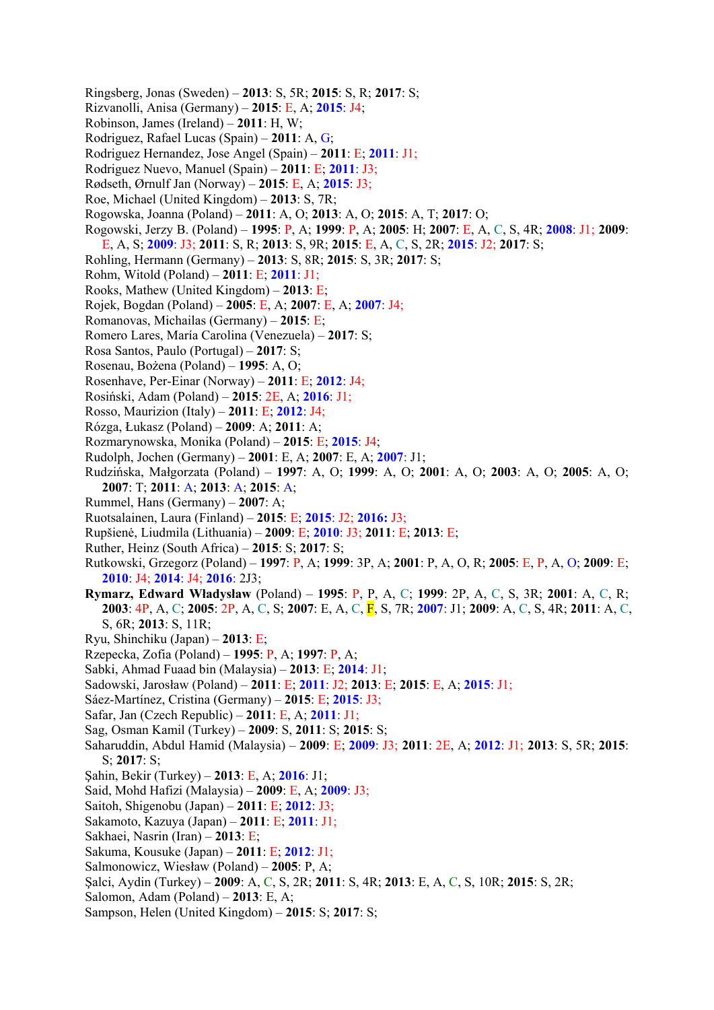- Ringsberg, Jonas (Sweden) **2013**: S, 5R; **2015**: S, R; **2017**: S;
- Rizvanolli, Anisa (Germany) **2015**: E, A; **2015**: J4;
- Robinson, James (Ireland) **2011**: H, W;
- Rodriguez, Rafael Lucas (Spain) **2011**: A, G;
- Rodriguez Hernandez, Jose Angel (Spain) **2011**: E; **2011**: J1;
- Rodriguez Nuevo, Manuel (Spain) **2011**: E; **2011**: J3;
- Rødseth, Ørnulf Jan (Norway) **2015**: E, A; **2015**: J3;
- Roe, Michael (United Kingdom) **2013**: S, 7R;
- Rogowska, Joanna (Poland) **2011**: A, O; **2013**: A, O; **2015**: A, T; **2017**: O;
- Rogowski, Jerzy B. (Poland) **1995**: P, A; **1999**: P, A; **2005**: H; **2007**: E, A, C, S, 4R; **2008**: J1; **2009**:
- E, A, S; **2009**: J3; **2011**: S, R; **2013**: S, 9R; **2015**: E, A, C, S, 2R; **2015**: J2; **2017**: S;
- Rohling, Hermann (Germany) **2013**: S, 8R; **2015**: S, 3R; **2017**: S;
- Rohm, Witold (Poland) **2011**: E; **2011**: J1;
- Rooks, Mathew (United Kingdom) **2013**: E;
- Rojek, Bogdan (Poland) **2005**: E, A; **2007**: E, A; **2007**: J4;
- Romanovas, Michailas (Germany) **2015**: E;
- Romero Lares, María Carolina (Venezuela) **2017**: S;
- Rosa Santos, Paulo (Portugal) **2017**: S;
- Rosenau, Bożena (Poland) **1995**: A, O;
- Rosenhave, Per-Einar (Norway) **2011**: E; **2012**: J4;
- Rosiński, Adam (Poland) **2015**: 2E, A; **2016**: J1;
- Rosso, Maurizion (Italy) **2011**: E; **2012**: J4;
- Rózga, Łukasz (Poland) **2009**: A; **2011**: A;
- Rozmarynowska, Monika (Poland) **2015**: E; **2015**: J4;
- Rudolph, Jochen (Germany) **2001**: E, A; **2007**: E, A; **2007**: J1;
- Rudzińska, Małgorzata (Poland) **1997**: A, O; **1999**: A, O; **2001**: A, O; **2003**: A, O; **2005**: A, O; **2007**: T; **2011**: A; **2013**: A; **2015**: A;
- Rummel, Hans (Germany) **2007**: A;
- Ruotsalainen, Laura (Finland) **2015**: E; **2015**: J2; **2016:** J3;
- Rupšienė, Liudmila (Lithuania) **2009**: E; **2010**: J3; **2011**: E; **2013**: E;
- Ruther, Heinz (South Africa) **2015**: S; **2017**: S;
- Rutkowski, Grzegorz (Poland) **1997**: P, A; **1999**: 3P, A; **2001**: P, A, O, R; **2005**: E, P, A, O; **2009**: E; **2010**: J4; **2014**: J4; **2016**: 2J3;
- **Rymarz, Edward Władysław** (Poland) **1995**: P, P, A, C; **1999**: 2P, A, C, S, 3R; **2001**: A, C, R; **2003**: 4P, A, C; **2005**: 2P, A, C, S; **2007**: E, A, C, F, S, 7R; **2007**: J1; **2009**: A, C, S, 4R; **2011**: A, C, S, 6R; **2013**: S, 11R;
- Ryu, Shinchiku (Japan) **2013**: E;
- Rzepecka, Zofia (Poland) **1995**: P, A; **1997**: P, A;
- Sabki, Ahmad Fuaad bin (Malaysia) **2013**: E; **2014**: J1;
- Sadowski, Jarosław (Poland) **2011**: E; **2011**: J2; **2013**: E; **2015**: E, A; **2015**: J1;
- Sáez-Martínez, Cristina (Germany) **2015**: E; **2015**: J3;
- Safar, Jan (Czech Republic) **2011**: E, A; **2011**: J1;
- Sag, Osman Kamil (Turkey) **2009**: S, **2011**: S; **2015**: S;
- Saharuddin, Abdul Hamid (Malaysia) **2009**: E; **2009**: J3; **2011**: 2E, A; **2012**: J1; **2013**: S, 5R; **2015**: S; **2017**: S;
- Şahin, Bekir (Turkey) **2013**: E, A; **2016**: J1;
- Said, Mohd Hafizi (Malaysia) **2009**: E, A; **2009**: J3;
- Saitoh, Shigenobu (Japan) **2011**: E; **2012**: J3;
- Sakamoto, Kazuya (Japan) **2011**: E; **2011**: J1;
- Sakhaei, Nasrin (Iran) **2013**: E;
- Sakuma, Kousuke (Japan) **2011**: E; **2012**: J1;
- Salmonowicz, Wiesław (Poland) **2005**: P, A;
- Şalci, Aydin (Turkey) **2009**: A, C, S, 2R; **2011**: S, 4R; **2013**: E, A, C, S, 10R; **2015**: S, 2R;
- Salomon, Adam (Poland) **2013**: E, A;
- Sampson, Helen (United Kingdom) **2015**: S; **2017**: S;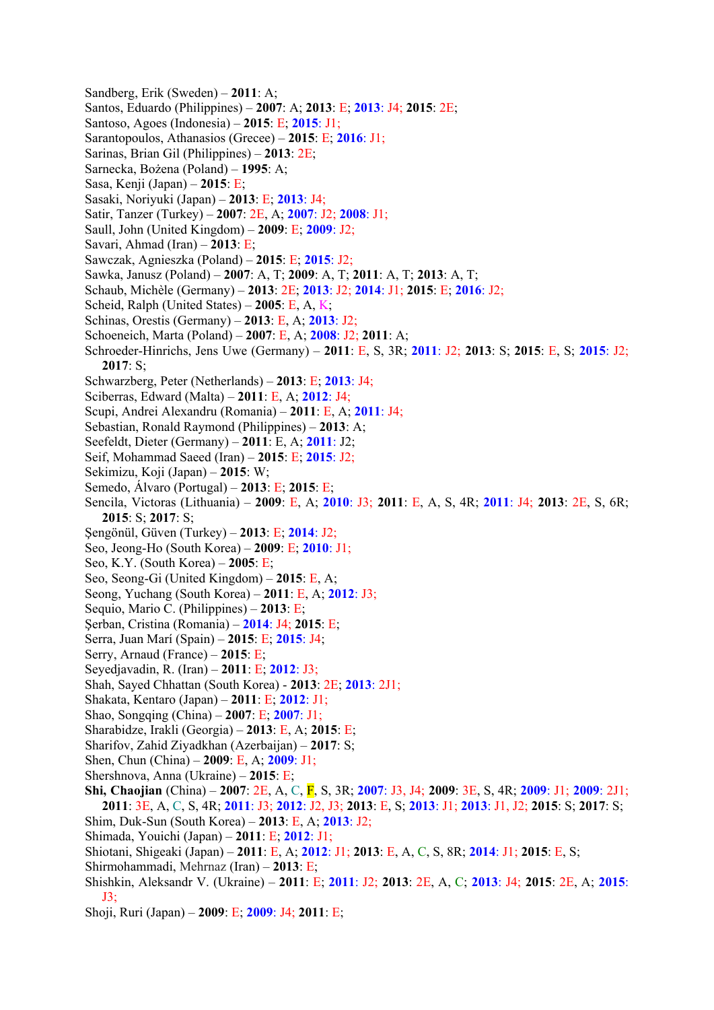- Sandberg, Erik (Sweden) **2011**: A;
- Santos, Eduardo (Philippines) **2007**: A; **2013**: E; **2013**: J4; **2015**: 2E;
- Santoso, Agoes (Indonesia) **2015**: E; **2015**: J1;
- Sarantopoulos, Athanasios (Grecee) **2015**: E; **2016**: J1;
- Sarinas, Brian Gil (Philippines) **2013**: 2E;
- Sarnecka, Bożena (Poland) **1995**: A;
- Sasa, Kenji (Japan) **2015**: E;
- Sasaki, Noriyuki (Japan) **2013**: E; **2013**: J4;
- Satir, Tanzer (Turkey) **2007**: 2E, A; **2007**: J2; **2008**: J1;
- Saull, John (United Kingdom) **2009**: E; **2009**: J2;
- Savari, Ahmad (Iran) **2013**: E;
- Sawczak, Agnieszka (Poland) **2015**: E; **2015**: J2;
- Sawka, Janusz (Poland) **2007**: A, T; **2009**: A, T; **2011**: A, T; **2013**: A, T;
- Schaub, Michèle (Germany) **2013**: 2E; **2013**: J2; **2014**: J1; **2015**: E; **2016**: J2;
- Scheid, Ralph (United States) **2005**: E, A, K;
- Schinas, Orestis (Germany) **2013**: E, A; **2013**: J2;
- Schoeneich, Marta (Poland) **2007**: E, A; **2008**: J2; **2011**: A;
- Schroeder-Hinrichs, Jens Uwe (Germany) **2011**: E, S, 3R; **2011**: J2; **2013**: S; **2015**: E, S; **2015**: J2; **2017**: S;
- Schwarzberg, Peter (Netherlands) **2013**: E; **2013**: J4;
- Sciberras, Edward (Malta) **2011**: E, A; **2012**: J4;
- Scupi, Andrei Alexandru (Romania) **2011**: E, A; **2011**: J4;
- Sebastian, Ronald Raymond (Philippines) **2013**: A;
- Seefeldt, Dieter (Germany) **2011**: E, A; **2011**: J2;
- Seif, Mohammad Saeed (Iran) **2015**: E; **2015**: J2;
- Sekimizu, Koji (Japan) **2015**: W;
- Semedo, Álvaro (Portugal) **2013**: E; **2015**: E;
- Sencila, Victoras (Lithuania) **2009**: E, A; **2010**: J3; **2011**: E, A, S, 4R; **2011**: J4; **2013**: 2E, S, 6R; **2015**: S; **2017**: S;
- Şengönül, Güven (Turkey) **2013**: E; **2014**: J2;
- Seo, Jeong-Ho (South Korea) **2009**: E; **2010**: J1;
- Seo, K.Y. (South Korea) **2005**: E;
- Seo, Seong-Gi (United Kingdom) **2015**: E, A;
- Seong, Yuchang (South Korea) **2011**: E, A; **2012**: J3;
- Sequio, Mario C. (Philippines) **2013**: E;
- Şerban, Cristina (Romania) **2014**: J4; **2015**: E;
- Serra, Juan Marí (Spain) **2015**: E; **2015**: J4;
- Serry, Arnaud (France) **2015**: E;
- Seyedjavadin, R. (Iran) **2011**: E; **2012**: J3;
- Shah, Sayed Chhattan (South Korea) **2013**: 2E; **2013**: 2J1;
- Shakata, Kentaro (Japan) **2011**: E; **2012**: J1;
- Shao, Songqing (China) **2007**: E; **2007**: J1;
- Sharabidze, Irakli (Georgia) **2013**: E, A; **2015**: E;
- Sharifov, Zahid Ziyadkhan (Azerbaijan) **2017**: S;
- Shen, Chun (China) **2009**: E, A; **2009**: J1;
- Shershnova, Anna (Ukraine) **2015**: E;
- **Shi, Chaojian** (China) **2007**: 2E, A, C, F, S, 3R; **2007**: J3, J4; **2009**: 3E, S, 4R; **2009**: J1; **2009**: 2J1; **2011**: 3E, A, C, S, 4R; **2011**: J3; **2012**: J2, J3; **2013**: E, S; **2013**: J1; **2013**: J1, J2; **2015**: S; **2017**: S;
- Shim, Duk-Sun (South Korea) **2013**: E, A; **2013**: J2;
- Shimada, Youichi (Japan) **2011**: E; **2012**: J1;
- Shiotani, Shigeaki (Japan) **2011**: E, A; **2012**: J1; **2013**: E, A, C, S, 8R; **2014**: J1; **2015**: E, S;
- Shirmohammadi, Mehrnaz (Iran) **2013**: E;
- Shishkin, Aleksandr V. (Ukraine) **2011**: E; **2011**: J2; **2013**: 2E, A, C; **2013**: J4; **2015**: 2E, A; **2015**: J3;
- Shoji, Ruri (Japan) **2009**: E; **2009**: J4; **2011**: E;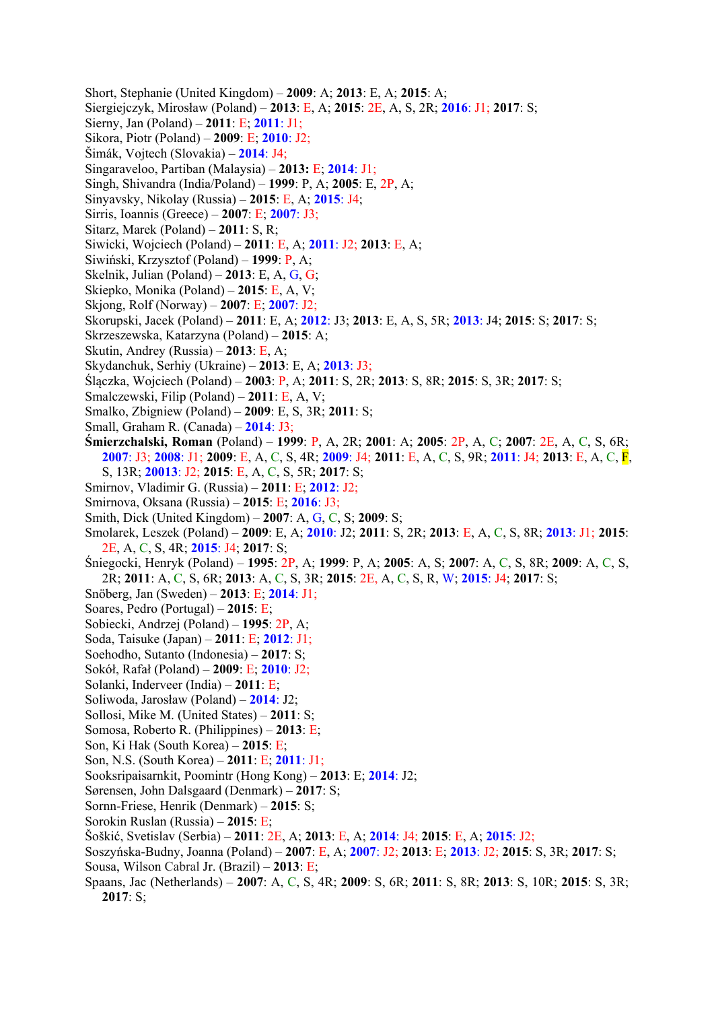- Short, Stephanie (United Kingdom) **2009**: A; **2013**: E, A; **2015**: A;
- Siergiejczyk, Mirosław (Poland) **2013**: E, A; **2015**: 2E, A, S, 2R; **2016**: J1; **2017**: S;
- Sierny, Jan (Poland) **2011**: E; **2011**: J1;
- Sikora, Piotr (Poland) **2009**: E; **2010**: J2;
- Šimák, Vojtech (Slovakia) **2014**: J4;
- Singaraveloo, Partiban (Malaysia) **2013:** E; **2014**: J1;
- Singh, Shivandra (India/Poland) **1999**: P, A; **2005**: E, 2P, A;
- Sinyavsky, Nikolay (Russia) **2015**: E, A; **2015**: J4;
- Sirris, Ioannis (Greece) **2007**: E; **2007**: J3;
- Sitarz, Marek (Poland) **2011**: S, R;
- Siwicki, Wojciech (Poland) **2011**: E, A; **2011**: J2; **2013**: E, A;
- Siwiński, Krzysztof (Poland) **1999**: P, A;
- Skelnik, Julian (Poland) **2013**: E, A, G, G;
- Skiepko, Monika (Poland) **2015**: E, A, V;
- Skjong, Rolf (Norway) **2007**: E; **2007**: J2;
- Skorupski, Jacek (Poland) **2011**: E, A; **2012**: J3; **2013**: E, A, S, 5R; **2013**: J4; **2015**: S; **2017**: S;
- Skrzeszewska, Katarzyna (Poland) **2015**: A;
- Skutin, Andrey (Russia) **2013**: E, A;
- Skydanchuk, Serhiy (Ukraine) **2013**: E, A; **2013**: J3;
- Ślączka, Wojciech (Poland) **2003**: P, A; **2011**: S, 2R; **2013**: S, 8R; **2015**: S, 3R; **2017**: S;
- Smalczewski, Filip (Poland) **2011**: E, A, V;
- Smalko, Zbigniew (Poland) **2009**: E, S, 3R; **2011**: S;
- Small, Graham R. (Canada) **2014**: J3;
- **Śmierzchalski, Roman** (Poland) **1999**: P, A, 2R; **2001**: A; **2005**: 2P, A, C; **2007**: 2E, A, C, S, 6R; **2007**: J3; **2008**: J1; **2009**: E, A, C, S, 4R; **2009**: J4; **2011**: E, A, C, S, 9R; **2011**: J4; **2013**: E, A, C, F, S, 13R; **20013**: J2; **2015**: E, A, C, S, 5R; **2017**: S;
	-
- Smirnov, Vladimir G. (Russia) **2011**: E; **2012**: J2;
- Smirnova, Oksana (Russia) **2015**: E; **2016**: J3;
- Smith, Dick (United Kingdom) **2007**: A, G, C, S; **2009**: S;
- Smolarek, Leszek (Poland) **2009**: E, A; **2010**: J2; **2011**: S, 2R; **2013**: E, A, C, S, 8R; **2013**: J1; **2015**: 2E, A, C, S, 4R; **2015**: J4; **2017**: S;
- Śniegocki, Henryk (Poland) **1995**: 2P, A; **1999**: P, A; **2005**: A, S; **2007**: A, C, S, 8R; **2009**: A, C, S, 2R; **2011**: A, C, S, 6R; **2013**: A, C, S, 3R; **2015**: 2E, A, C, S, R, W; **2015**: J4; **2017**: S;
- Snöberg, Jan (Sweden) **2013**: E; **2014**: J1;
- Soares, Pedro (Portugal) **2015**: E;
- Sobiecki, Andrzej (Poland) **1995**: 2P, A;
- Soda, Taisuke (Japan) **2011**: E; **2012**: J1;
- Soehodho, Sutanto (Indonesia) **2017**: S;
- Sokół, Rafał (Poland) **2009**: E; **2010**: J2;
- Solanki, Inderveer (India) **2011**: E;
- Soliwoda, Jarosław (Poland) **2014**: J2;
- Sollosi, Mike M. (United States) **2011**: S;
- Somosa, Roberto R. (Philippines) **2013**: E;
- Son, Ki Hak (South Korea) **2015**: E;
- Son, N.S. (South Korea) **2011**: E; **2011**: J1;
- Sooksripaisarnkit, Poomintr (Hong Kong) **2013**: E; **2014**: J2;
- Sørensen, John Dalsgaard (Denmark) **2017**: S;
- Sornn-Friese, Henrik (Denmark) **2015**: S;
- Sorokin Ruslan (Russia) **2015**: E;
- Šoškić, Svetislav (Serbia) **2011**: 2E, A; **2013**: E, A; **2014**: J4; **2015**: E, A; **2015**: J2;
- Soszyńska-Budny, Joanna (Poland) **2007**: E, A; **2007**: J2; **2013**: E; **2013**: J2; **2015**: S, 3R; **2017**: S; Sousa, Wilson Cabral Jr. (Brazil) – **2013**: E;
- Spaans, Jac (Netherlands) **2007**: A, C, S, 4R; **2009**: S, 6R; **2011**: S, 8R; **2013**: S, 10R; **2015**: S, 3R; **2017**: S;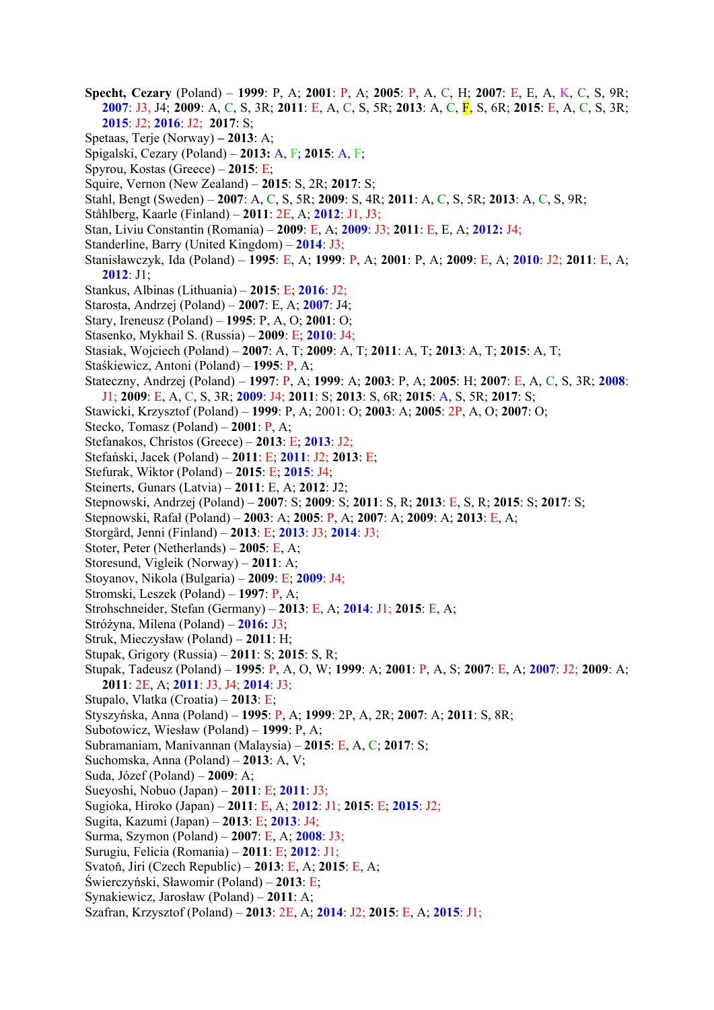- **Specht, Cezary** (Poland) **1999**: P, A; **2001**: P, A; **2005**: P, A, C, H; **2007**: E, E, A, K, C, S, 9R; **2007**: J3, J4; **2009**: A, C, S, 3R; **2011**: E, A, C, S, 5R; **2013**: A, C, F, S, 6R; **2015**: E, A, C, S, 3R; **2015**: J2; **2016**: J2; **2017**: S;
- Spetaas, Terje (Norway) **2013**: A;
- Spigalski, Cezary (Poland) **2013:** A, F; **2015**: A, F;
- Spyrou, Kostas (Greece) **2015**: E;
- Squire, Vernon (New Zealand) **2015**: S, 2R; **2017**: S;
- Stahl, Bengt (Sweden) **2007**: A, C, S, 5R; **2009**: S, 4R; **2011**: A, C, S, 5R; **2013**: A, C, S, 9R;
- Ståhlberg, Kaarle (Finland) **2011**: 2E, A; **2012**: J1, J3;
- Stan, Liviu Constantin (Romania) **2009**: E, A; **2009**: J3; **2011**: E, E, A; **2012:** J4;
- Standerline, Barry (United Kingdom) **2014**: J3;
- Stanisławczyk, Ida (Poland) **1995**: E, A; **1999**: P, A; **2001**: P, A; **2009**: E, A; **2010**: J2; **2011**: E, A; **2012**: J1;
- Stankus, Albinas (Lithuania) **2015**: E; **2016**: J2;
- Starosta, Andrzej (Poland) **2007**: E, A; **2007**: J4;
- Stary, Ireneusz (Poland) **1995**: P, A, O; **2001**: O;
- Stasenko, Mykhail S. (Russia) **2009**: E; **2010**: J4;
- Stasiak, Wojciech (Poland) **2007**: A, T; **2009**: A, T; **2011**: A, T; **2013**: A, T; **2015**: A, T;
- Staśkiewicz, Antoni (Poland) **1995**: P, A;
- Stateczny, Andrzej (Poland) **1997**: P, A; **1999**: A; **2003**: P, A; **2005**: H; **2007**: E, A, C, S, 3R; **2008**: J1; **2009**: E, A, C, S, 3R; **2009**: J4; **2011**: S; **2013**: S, 6R; **2015**: A, S, 5R; **2017**: S;
- Stawicki, Krzysztof (Poland) **1999**: P, A; 2001: O; **2003**: A; **2005**: 2P, A, O; **2007**: O;
- Stecko, Tomasz (Poland) **2001**: P, A;
- Stefanakos, Christos (Greece) **2013**: E; **2013**: J2;
- Stefański, Jacek (Poland) **2011**: E; **2011**: J2; **2013**: E;
- Stefurak, Wiktor (Poland) **2015**: E; **2015**: J4;
- Steinerts, Gunars (Latvia) **2011**: E, A; **2012**: J2;
- Stepnowski, Andrzej (Poland) **2007**: S; **2009**: S; **2011**: S, R; **2013**: E, S, R; **2015**: S; **2017**: S;
- Stepnowski, Rafał (Poland) **2003**: A; **2005**: P, A; **2007**: A; **2009**: A; **2013**: E, A;
- Storgård, Jenni (Finland) **2013**: E; **2013**: J3; **2014**: J3;
- Stoter, Peter (Netherlands) **2005**: E, A;
- Storesund, Vigleik (Norway) **2011**: A;
- Stoyanov, Nikola (Bulgaria) **2009**: E; **2009**: J4;
- Stromski, Leszek (Poland) **1997**: P, A;
- Strohschneider, Stefan (Germany) **2013**: E, A; **2014**: J1; **2015**: E, A;
- Stróżyna, Milena (Poland) **2016:** J3;
- Struk, Mieczysław (Poland) **2011**: H;
- Stupak, Grigory (Russia) **2011**: S; **2015**: S, R;
- Stupak, Tadeusz (Poland) **1995**: P, A, O, W; **1999**: A; **2001**: P, A, S; **2007**: E, A; **2007**: J2; **2009**: A; **2011**: 2E, A; **2011**: J3, J4; **2014**: J3;
- Stupalo, Vlatka (Croatia) **2013**: E;
- Styszyńska, Anna (Poland) **1995**: P, A; **1999**: 2P, A, 2R; **2007**: A; **2011**: S, 8R;
- Subotowicz, Wiesław (Poland) **1999**: P, A;
- Subramaniam, Manivannan (Malaysia) **2015**: E, A, C; **2017**: S;
- Suchomska, Anna (Poland) **2013**: A, V;
- Suda, Józef (Poland) **2009**: A;
- Sueyoshi, Nobuo (Japan) **2011**: E; **2011**: J3;
- Sugioka, Hiroko (Japan) **2011**: E, A; **2012**: J1; **2015**: E; **2015**: J2;
- Sugita, Kazumi (Japan) **2013**: E; **2013**: J4;
- Surma, Szymon (Poland) **2007**: E, A; **2008**: J3;
- Surugiu, Felicia (Romania) **2011**: E; **2012**: J1;
- Svatoň, Jiri (Czech Republic) **2013**: E, A; **2015**: E, A;
- Świerczyński, Sławomir (Poland) **2013**: E;
- Synakiewicz, Jarosław (Poland) **2011**: A;
- Szafran, Krzysztof (Poland) **2013**: 2E, A; **2014**: J2; **2015**: E, A; **2015**: J1;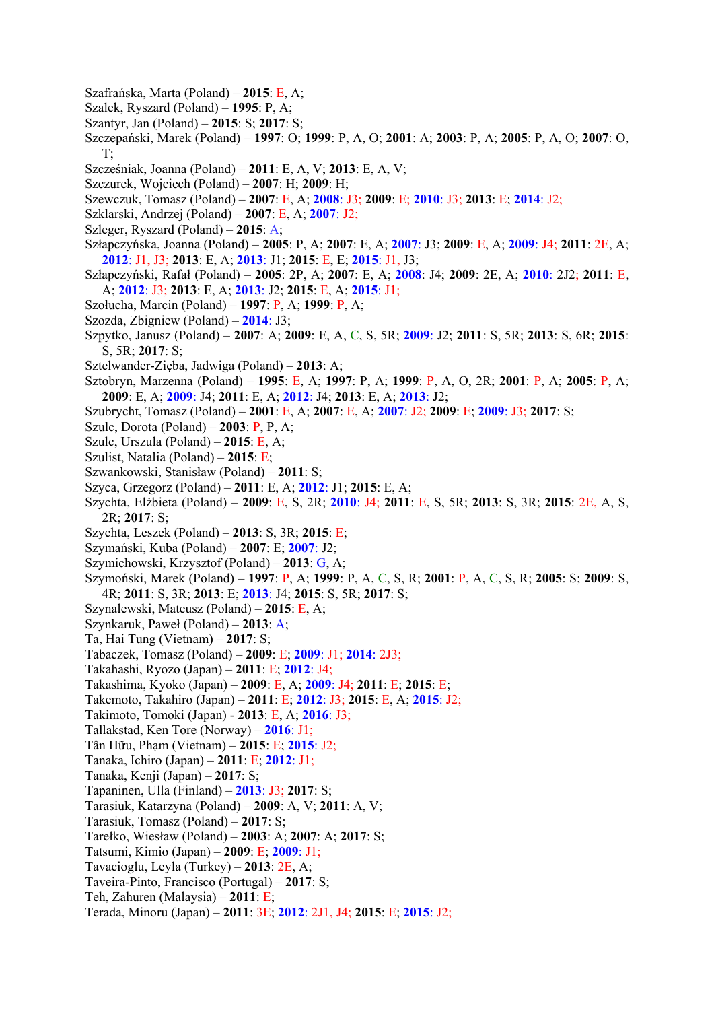- Szafrańska, Marta (Poland) **2015**: E, A;
- Szalek, Ryszard (Poland) **1995**: P, A;
- Szantyr, Jan (Poland) **2015**: S; **2017**: S;
- Szczepański, Marek (Poland) **1997**: O; **1999**: P, A, O; **2001**: A; **2003**: P, A; **2005**: P, A, O; **2007**: O, T;
- Szcześniak, Joanna (Poland) **2011**: E, A, V; **2013**: E, A, V;
- Szczurek, Wojciech (Poland) **2007**: H; **2009**: H;
- Szewczuk, Tomasz (Poland) **2007**: E, A; **2008**: J3; **2009**: E; **2010**: J3; **2013**: E; **2014**: J2;
- Szklarski, Andrzej (Poland) **2007**: E, A; **2007**: J2;
- Szleger, Ryszard (Poland) **2015**: A;
- Szłapczyńska, Joanna (Poland) **2005**: P, A; **2007**: E, A; **2007**: J3; **2009**: E, A; **2009**: J4; **2011**: 2E, A; **2012**: J1, J3; **2013**: E, A; **2013**: J1; **2015**: E, E; **2015**: J1, J3;
- Szłapczyński, Rafał (Poland) **2005**: 2P, A; **2007**: E, A; **2008**: J4; **2009**: 2E, A; **2010**: 2J2; **2011**: E, A; **2012**: J3; **2013**: E, A; **2013**: J2; **2015**: E, A; **2015**: J1;
- Szołucha, Marcin (Poland) **1997**: P, A; **1999**: P, A;
- Szozda, Zbigniew (Poland) **2014**: J3;
- Szpytko, Janusz (Poland) **2007**: A; **2009**: E, A, C, S, 5R; **2009**: J2; **2011**: S, 5R; **2013**: S, 6R; **2015**: S, 5R; **2017**: S;
- Sztelwander-Zięba, Jadwiga (Poland) **2013**: A;
- Sztobryn, Marzenna (Poland) **1995**: E, A; **1997**: P, A; **1999**: P, A, O, 2R; **2001**: P, A; **2005**: P, A; **2009**: E, A; **2009**: J4; **2011**: E, A; **2012**: J4; **2013**: E, A; **2013**: J2;
- Szubrycht, Tomasz (Poland) **2001**: E, A; **2007**: E, A; **2007**: J2; **2009**: E; **2009**: J3; **2017**: S;
- Szulc, Dorota (Poland) **2003**: P, P, A;
- Szulc, Urszula (Poland) **2015**: E, A;
- Szulist, Natalia (Poland) **2015**: E;
- Szwankowski, Stanisław (Poland) **2011**: S;
- Szyca, Grzegorz (Poland) **2011**: E, A; **2012**: J1; **2015**: E, A;
- Szychta, Elżbieta (Poland) **2009**: E, S, 2R; **2010**: J4; **2011**: E, S, 5R; **2013**: S, 3R; **2015**: 2E, A, S, 2R; **2017**: S;
- Szychta, Leszek (Poland) **2013**: S, 3R; **2015**: E;
- Szymański, Kuba (Poland) **2007**: E; **2007**: J2;
- Szymichowski, Krzysztof (Poland) **2013**: G, A;
- Szymoński, Marek (Poland) **1997**: P, A; **1999**: P, A, C, S, R; **2001**: P, A, C, S, R; **2005**: S; **2009**: S, 4R; **2011**: S, 3R; **2013**: E; **2013**: J4; **2015**: S, 5R; **2017**: S;
- Szynalewski, Mateusz (Poland) **2015**: E, A;
- Szynkaruk, Paweł (Poland) **2013**: A;
- Ta, Hai Tung (Vietnam) **2017**: S;
- Tabaczek, Tomasz (Poland) **2009**: E; **2009**: J1; **2014**: 2J3;
- Takahashi, Ryozo (Japan) **2011**: E; **2012**: J4;
- Takashima, Kyoko (Japan) **2009**: E, A; **2009**: J4; **2011**: E; **2015**: E;
- Takemoto, Takahiro (Japan) **2011**: E; **2012**: J3; **2015**: E, A; **2015**: J2;
- Takimoto, Tomoki (Japan) **2013**: E, A; **2016**: J3;
- Tallakstad, Ken Tore (Norway) **2016**: J1;
- Tân Hữu, Phạm (Vietnam) **2015**: E; **2015**: J2;
- Tanaka, Ichiro (Japan) **2011**: E; **2012**: J1;
- Tanaka, Kenji (Japan) **2017**: S;
- Tapaninen, Ulla (Finland) **2013**: J3; **2017**: S;
- Tarasiuk, Katarzyna (Poland) **2009**: A, V; **2011**: A, V;
- Tarasiuk, Tomasz (Poland) **2017**: S;
- Tarełko, Wiesław (Poland) **2003**: A; **2007**: A; **2017**: S;
- Tatsumi, Kimio (Japan) **2009**: E; **2009**: J1;
- Tavacioglu, Leyla (Turkey) **2013**: 2E, A;
- Taveira-Pinto, Francisco (Portugal) **2017**: S;
- Teh, Zahuren (Malaysia) **2011**: E;
- Terada, Minoru (Japan) **2011**: 3E; **2012**: 2J1, J4; **2015**: E; **2015**: J2;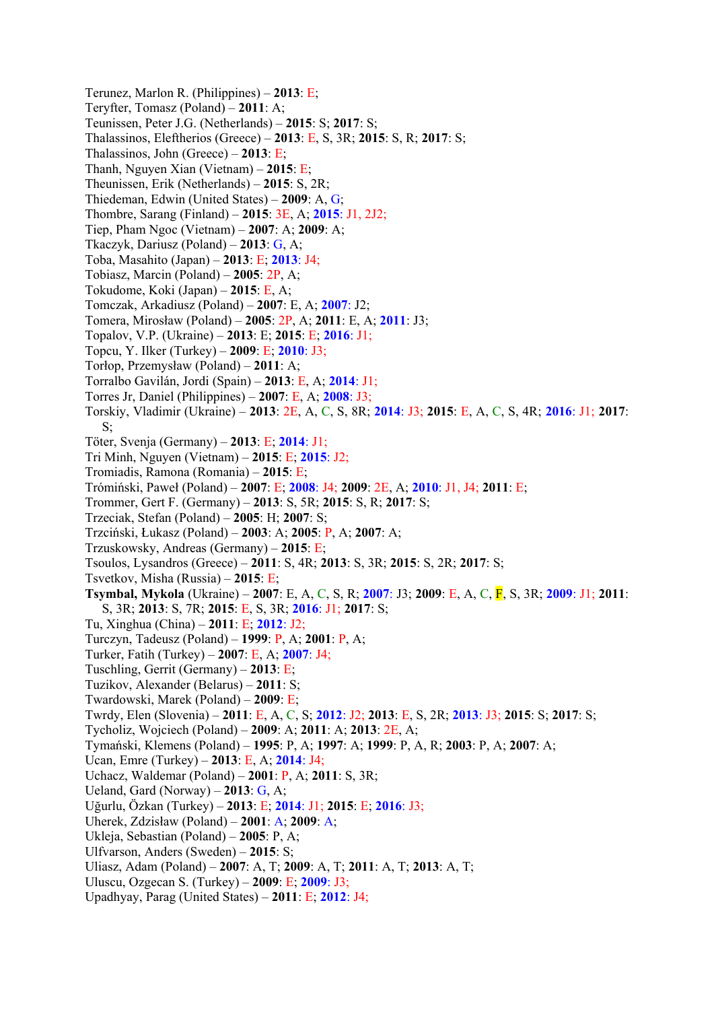Terunez, Marlon R. (Philippines) – **2013**: E; Teryfter, Tomasz (Poland) – **2011**: A; Teunissen, Peter J.G. (Netherlands) – **2015**: S; **2017**: S; Thalassinos, Eleftherios (Greece) – **2013**: E, S, 3R; **2015**: S, R; **2017**: S; Thalassinos, John (Greece) – **2013**: E; Thanh, Nguyen Xian (Vietnam) – **2015**: E; Theunissen, Erik (Netherlands) – **2015**: S, 2R; Thiedeman, Edwin (United States) – **2009**: A, G; Thombre, Sarang (Finland) – **2015**: 3E, A; **2015**: J1, 2J2; Tiep, Pham Ngoc (Vietnam) – **2007**: A; **2009**: A; Tkaczyk, Dariusz (Poland) – **2013**: G, A; Toba, Masahito (Japan) – **2013**: E; **2013**: J4; Tobiasz, Marcin (Poland) – **2005**: 2P, A; Tokudome, Koki (Japan) – **2015**: E, A; Tomczak, Arkadiusz (Poland) – **2007**: E, A; **2007**: J2; Tomera, Mirosław (Poland) – **2005**: 2P, A; **2011**: E, A; **2011**: J3; Topalov, V.P. (Ukraine) – **2013**: E; **2015**: E; **2016**: J1; Topcu, Y. Ilker (Turkey) – **2009**: E; **2010**: J3; Torłop, Przemysław (Poland) – **2011**: A; Torralbo Gavilán, Jordi (Spain) – **2013**: E, A; **2014**: J1; Torres Jr, Daniel (Philippines) – **2007**: E, A; **2008**: J3; Torskiy, Vladimir (Ukraine) – **2013**: 2E, A, C, S, 8R; **2014**: J3; **2015**: E, A, C, S, 4R; **2016**: J1; **2017**: S; Töter, Svenja (Germany) – **2013**: E; **2014**: J1; Tri Minh, Nguyen (Vietnam) – **2015**: E; **2015**: J2; Tromiadis, Ramona (Romania) – **2015**: E; Trómiński, Paweł (Poland) – **2007**: E; **2008**: J4; **2009**: 2E, A; **2010**: J1, J4; **2011**: E; Trommer, Gert F. (Germany) – **2013**: S, 5R; **2015**: S, R; **2017**: S; Trzeciak, Stefan (Poland) – **2005**: H; **2007**: S; Trzciński, Łukasz (Poland) – **2003**: A; **2005**: P, A; **2007**: A; Trzuskowsky, Andreas (Germany) – **2015**: E; Tsoulos, Lysandros (Greece) – **2011**: S, 4R; **2013**: S, 3R; **2015**: S, 2R; **2017**: S; Tsvetkov, Misha (Russia) – **2015**: E; **Tsymbal, Mykola** (Ukraine) – **2007**: E, A, C, S, R; **2007**: J3; **2009**: E, A, C, F, S, 3R; **2009**: J1; **2011**: S, 3R; **2013**: S, 7R; **2015**: E, S, 3R; **2016**: J1; **2017**: S; Tu, Xinghua (China) – **2011**: E; **2012**: J2; Turczyn, Tadeusz (Poland) – **1999**: P, A; **2001**: P, A; Turker, Fatih (Turkey) – **2007**: E, A; **2007**: J4; Tuschling, Gerrit (Germany) – **2013**: E; Tuzikov, Alexander (Belarus) – **2011**: S; Twardowski, Marek (Poland) – **2009**: E; Twrdy, Elen (Slovenia) – **2011**: E, A, C, S; **2012**: J2; **2013**: E, S, 2R; **2013**: J3; **2015**: S; **2017**: S; Tycholiz, Wojciech (Poland) – **2009**: A; **2011**: A; **2013**: 2E, A; Tymański, Klemens (Poland) – **1995**: P, A; **1997**: A; **1999**: P, A, R; **2003**: P, A; **2007**: A; Ucan, Emre (Turkey) – **2013**: E, A; **2014**: J4; Uchacz, Waldemar (Poland) – **2001**: P, A; **2011**: S, 3R; Ueland, Gard (Norway) – **2013**: G, A; Uğurlu, Özkan (Turkey) – **2013**: E; **2014**: J1; **2015**: E; **2016**: J3; Uherek, Zdzisław (Poland) – **2001**: A; **2009**: A; Ukleja, Sebastian (Poland) – **2005**: P, A; Ulfvarson, Anders (Sweden) – **2015**: S; Uliasz, Adam (Poland) – **2007**: A, T; **2009**: A, T; **2011**: A, T; **2013**: A, T; Uluscu, Ozgecan S. (Turkey) – **2009**: E; **2009**: J3; Upadhyay, Parag (United States) – **2011**: E; **2012**: J4;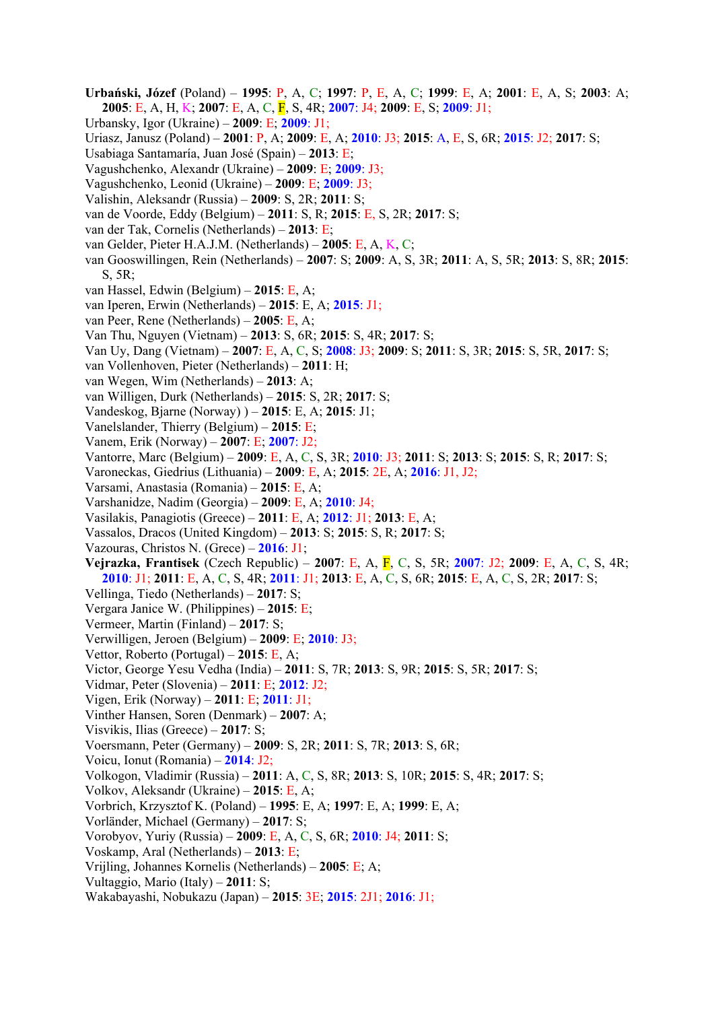- **Urbański, Józef** (Poland) **1995**: P, A, C; **1997**: P, E, A, C; **1999**: E, A; **2001**: E, A, S; **2003**: A; **2005**: E, A, H, K; **2007**: E, A, C, F, S, 4R; **2007**: J4; **2009**: E, S; **2009**: J1;
- Urbansky, Igor (Ukraine) **2009**: E; **2009**: J1;
- Uriasz, Janusz (Poland) **2001**: P, A; **2009**: E, A; **2010**: J3; **2015**: A, E, S, 6R; **2015**: J2; **2017**: S;
- Usabiaga Santamaría, Juan José (Spain) **2013**: E;
- Vagushchenko, Alexandr (Ukraine) **2009**: E; **2009**: J3;
- Vagushchenko, Leonid (Ukraine) **2009**: E; **2009**: J3;
- Valishin, Aleksandr (Russia) **2009**: S, 2R; **2011**: S;
- van de Voorde, Eddy (Belgium) **2011**: S, R; **2015**: E, S, 2R; **2017**: S;
- van der Tak, Cornelis (Netherlands) **2013**: E;
- van Gelder, Pieter H.A.J.M. (Netherlands) **2005**: E, A, K, C;
- van Gooswillingen, Rein (Netherlands) **2007**: S; **2009**: A, S, 3R; **2011**: A, S, 5R; **2013**: S, 8R; **2015**: S, 5R;
- van Hassel, Edwin (Belgium) **2015**: E, A;
- van Iperen, Erwin (Netherlands) **2015**: E, A; **2015**: J1;
- van Peer, Rene (Netherlands) **2005**: E, A;
- Van Thu, Nguyen (Vietnam) **2013**: S, 6R; **2015**: S, 4R; **2017**: S;
- Van Uy, Dang (Vietnam) **2007**: E, A, C, S; **2008**: J3; **2009**: S; **2011**: S, 3R; **2015**: S, 5R, **2017**: S;
- van Vollenhoven, Pieter (Netherlands) **2011**: H;
- van Wegen, Wim (Netherlands) **2013**: A;
- van Willigen, Durk (Netherlands) **2015**: S, 2R; **2017**: S;
- Vandeskog, Bjarne (Norway) ) **2015**: E, A; **2015**: J1;
- Vanelslander, Thierry (Belgium) **2015**: E;
- Vanem, Erik (Norway) **2007**: E; **2007**: J2;
- Vantorre, Marc (Belgium) **2009**: E, A, C, S, 3R; **2010**: J3; **2011**: S; **2013**: S; **2015**: S, R; **2017**: S;
- Varoneckas, Giedrius (Lithuania) **2009**: E, A; **2015**: 2E, A; **2016**: J1, J2;
- Varsami, Anastasia (Romania) **2015**: E, A;
- Varshanidze, Nadim (Georgia) **2009**: E, A; **2010**: J4;
- Vasilakis, Panagiotis (Greece) **2011**: E, A; **2012**: J1; **2013**: E, A;
- Vassalos, Dracos (United Kingdom) **2013**: S; **2015**: S, R; **2017**: S;
- Vazouras, Christos N. (Grece) **2016**: J1;
- **Vejrazka, Frantisek** (Czech Republic) **2007**: E, A, F, C, S, 5R; **2007**: J2; **2009**: E, A, C, S, 4R; **2010**: J1; **2011**: E, A, C, S, 4R; **2011**: J1; **2013**: E, A, C, S, 6R; **2015**: E, A, C, S, 2R; **2017**: S;
- Vellinga, Tiedo (Netherlands) **2017**: S;
- Vergara Janice W. (Philippines) **2015**: E;
- Vermeer, Martin (Finland) **2017**: S;
- Verwilligen, Jeroen (Belgium) **2009**: E; **2010**: J3;
- Vettor, Roberto (Portugal) **2015**: E, A;
- Victor, George Yesu Vedha (India) **2011**: S, 7R; **2013**: S, 9R; **2015**: S, 5R; **2017**: S;
- Vidmar, Peter (Slovenia) **2011**: E; **2012**: J2;
- Vigen, Erik (Norway) **2011**: E; **2011**: J1;
- Vinther Hansen, Soren (Denmark) **2007**: A;
- Visvikis, Ilias (Greece) **2017**: S;
- Voersmann, Peter (Germany) **2009**: S, 2R; **2011**: S, 7R; **2013**: S, 6R;
- Voicu, Ionut (Romania) **2014**: J2;
- Volkogon, Vladimir (Russia) **2011**: A, C, S, 8R; **2013**: S, 10R; **2015**: S, 4R; **2017**: S;
- Volkov, Aleksandr (Ukraine) **2015**: E, A;
- Vorbrich, Krzysztof K. (Poland) **1995**: E, A; **1997**: E, A; **1999**: E, A;
- Vorländer, Michael (Germany) **2017**: S;
- Vorobyov, Yuriy (Russia) **2009**: E, A, C, S, 6R; **2010**: J4; **2011**: S;
- Voskamp, Aral (Netherlands) **2013**: E;
- Vrijling, Johannes Kornelis (Netherlands) **2005**: E; A;
- Vultaggio, Mario (Italy) **2011**: S;
- Wakabayashi, Nobukazu (Japan) **2015**: 3E; **2015**: 2J1; **2016**: J1;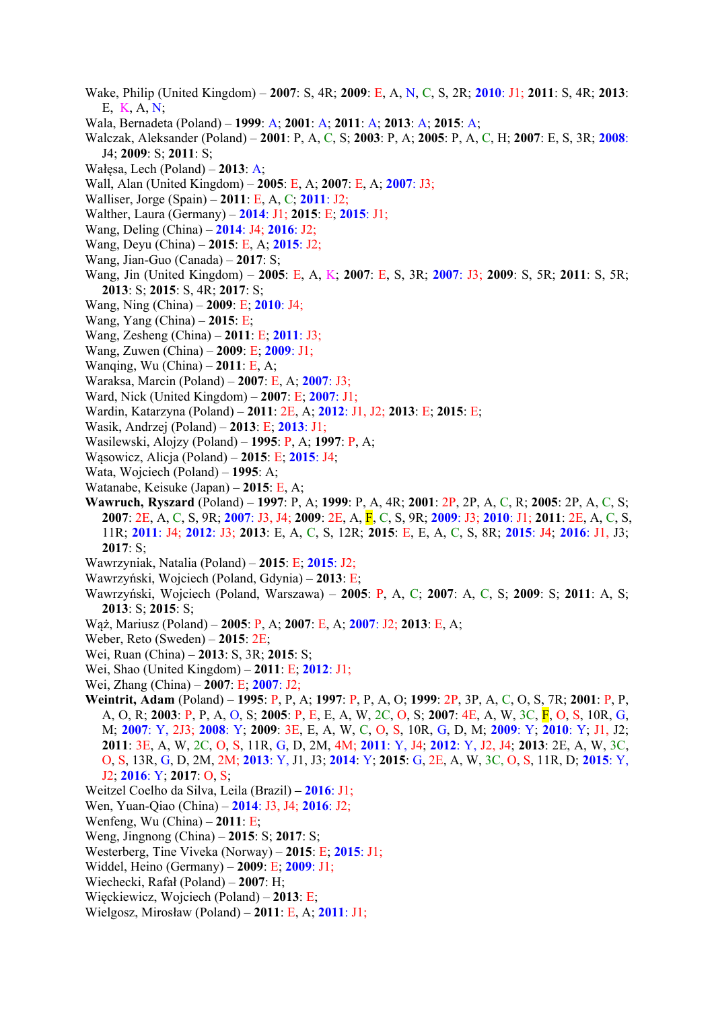- Wake, Philip (United Kingdom) **2007**: S, 4R; **2009**: E, A, N, C, S, 2R; **2010**: J1; **2011**: S, 4R; **2013**: E, K, A, N;
- Wala, Bernadeta (Poland) **1999**: A; **2001**: A; **2011**: A; **2013**: A; **2015**: A;
- Walczak, Aleksander (Poland) **2001**: P, A, C, S; **2003**: P, A; **2005**: P, A, C, H; **2007**: E, S, 3R; **2008**: J4; **2009**: S; **2011**: S;
- Wałęsa, Lech (Poland) **2013**: A;
- Wall, Alan (United Kingdom) **2005**: E, A; **2007**: E, A; **2007**: J3;
- Walliser, Jorge (Spain) **2011**: E, A, C; **2011**: J2;
- Walther, Laura (Germany) **2014**: J1; **2015**: E; **2015**: J1;
- Wang, Deling (China) **2014**: J4; **2016**: J2;
- Wang, Deyu (China) **2015**: E, A; **2015**: J2;
- Wang, Jian-Guo (Canada) **2017**: S;
- Wang, Jin (United Kingdom) **2005**: E, A, K; **2007**: E, S, 3R; **2007**: J3; **2009**: S, 5R; **2011**: S, 5R; **2013**: S; **2015**: S, 4R; **2017**: S;
- Wang, Ning (China) **2009**: E; **2010**: J4;
- Wang, Yang (China) **2015**: E;
- Wang, Zesheng (China) **2011**: E; **2011**: J3;
- Wang, Zuwen (China) **2009**: E; **2009**: J1;
- Wanqing, Wu (China) **2011**: E, A;
- Waraksa, Marcin (Poland) **2007**: E, A; **2007**: J3;
- Ward, Nick (United Kingdom) **2007**: E; **2007**: J1;
- Wardin, Katarzyna (Poland) **2011**: 2E, A; **2012**: J1, J2; **2013**: E; **2015**: E;
- Wasik, Andrzej (Poland) **2013**: E; **2013**: J1;
- Wasilewski, Alojzy (Poland) **1995**: P, A; **1997**: P, A;
- Wąsowicz, Alicja (Poland) **2015**: E; **2015**: J4;
- Wata, Wojciech (Poland) **1995**: A;
- Watanabe, Keisuke (Japan) **2015**: E, A;
- **Wawruch, Ryszard** (Poland) **1997**: P, A; **1999**: P, A, 4R; **2001**: 2P, 2P, A, C, R; **2005**: 2P, A, C, S; **2007**: 2E, A, C, S, 9R; **2007**: J3, J4; **2009**: 2E, A, F, C, S, 9R; **2009**: J3; **2010**: J1; **2011**: 2E, A, C, S, 11R; **2011**: J4; **2012**: J3; **2013**: E, A, C, S, 12R; **2015**: E, E, A, C, S, 8R; **2015**: J4; **2016**: J1, J3; **2017**: S;
- Wawrzyniak, Natalia (Poland) **2015**: E; **2015**: J2;
- Wawrzyński, Wojciech (Poland, Gdynia) **2013**: E;
- Wawrzyński, Wojciech (Poland, Warszawa) **2005**: P, A, C; **2007**: A, C, S; **2009**: S; **2011**: A, S; **2013**: S; **2015**: S;
- Wąż, Mariusz (Poland) **2005**: P, A; **2007**: E, A; **2007**: J2; **2013**: E, A;
- Weber, Reto (Sweden) **2015**: 2E;
- Wei, Ruan (China) **2013**: S, 3R; **2015**: S;
- Wei, Shao (United Kingdom) **2011**: E; **2012**: J1;
- Wei, Zhang (China) **2007**: E; **2007**: J2;
- **Weintrit, Adam** (Poland) **1995**: P, P, A; **1997**: P, P, A, O; **1999**: 2P, 3P, A, C, O, S, 7R; **2001**: P, P, A, O, R; **2003**: P, P, A, O, S; **2005**: P, E, E, A, W, 2C, O, S; **2007**: 4E, A, W, 3C, F, O, S, 10R, G, M; **2007**: Y, 2J3; **2008**: Y; **2009**: 3E, E, A, W, C, O, S, 10R, G, D, M; **2009**: Y; **2010**: Y; J1, J2; **2011**: 3E, A, W, 2C, O, S, 11R, G, D, 2M, 4M; **2011**: Y, J4; **2012**: Y, J2, J4; **2013**: 2E, A, W, 3C, O, S, 13R, G, D, 2M, 2M; **2013**: Y, J1, J3; **2014**: Y; **2015**: G, 2E, A, W, 3C, O, S, 11R, D; **2015**: Y, J2; **2016**: Y; **2017**: O, S;
- Weitzel Coelho da Silva, Leila (Brazil)**2016**: J1;
- Wen, Yuan-Qiao (China) **2014**: J3, J4; **2016**: J2;
- Wenfeng, Wu (China) **2011**: E;
- Weng, Jingnong (China) **2015**: S; **2017**: S;
- Westerberg, Tine Viveka (Norway) **2015**: E; **2015**: J1;
- Widdel, Heino (Germany) **2009**: E; **2009**: J1;
- Wiechecki, Rafał (Poland) **2007**: H;
- Więckiewicz, Wojciech (Poland) **2013**: E;
- Wielgosz, Mirosław (Poland) **2011**: E, A; **2011**: J1;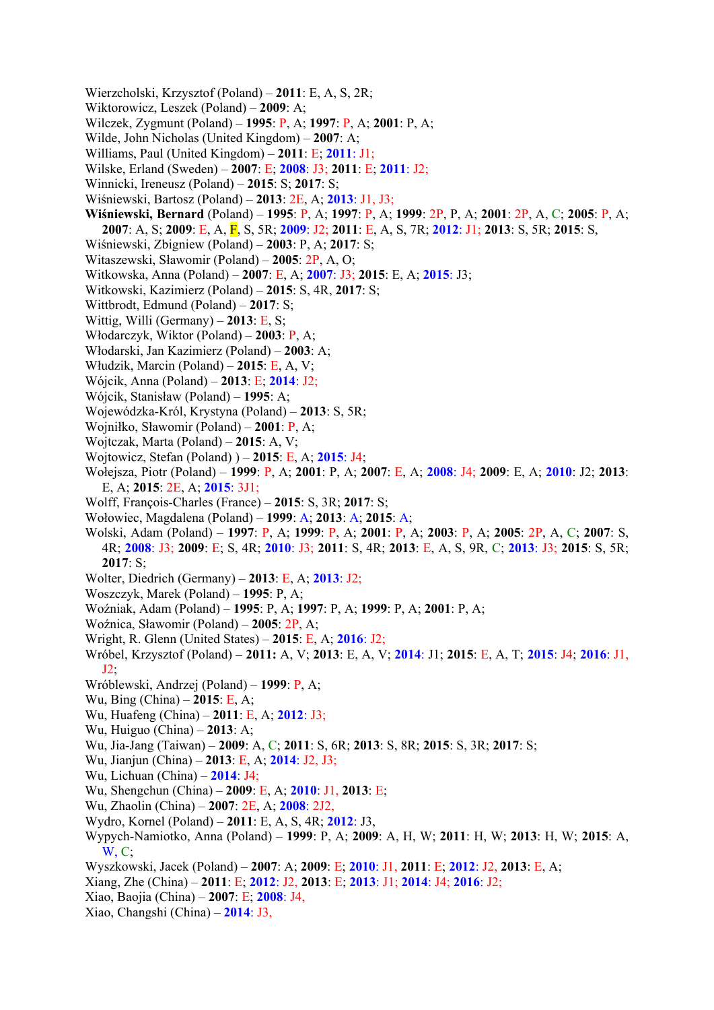- Wierzcholski, Krzysztof (Poland) **2011**: E, A, S, 2R;
- Wiktorowicz, Leszek (Poland) **2009**: A;
- Wilczek, Zygmunt (Poland) **1995**: P, A; **1997**: P, A; **2001**: P, A;
- Wilde, John Nicholas (United Kingdom) **2007**: A;
- Williams, Paul (United Kingdom) **2011**: E; **2011**: J1;
- Wilske, Erland (Sweden) **2007**: E; **2008**: J3; **2011**: E; **2011**: J2;
- Winnicki, Ireneusz (Poland) **2015**: S; **2017**: S;
- Wiśniewski, Bartosz (Poland) **2013**: 2E, A; **2013**: J1, J3;
- **Wiśniewski, Bernard** (Poland) **1995**: P, A; **1997**: P, A; **1999**: 2P, P, A; **2001**: 2P, A, C; **2005**: P, A; **2007**: A, S; **2009**: E, A, F, S, 5R; **2009**: J2; **2011**: E, A, S, 7R; **2012**: J1; **2013**: S, 5R; **2015**: S,
- Wiśniewski, Zbigniew (Poland) **2003**: P, A; **2017**: S;
- Witaszewski, Sławomir (Poland) **2005**: 2P, A, O;
- Witkowska, Anna (Poland) **2007**: E, A; **2007**: J3; **2015**: E, A; **2015**: J3;
- Witkowski, Kazimierz (Poland) **2015**: S, 4R, **2017**: S;
- Wittbrodt, Edmund (Poland) **2017**: S;
- Wittig, Willi (Germany) **2013**: E, S;
- Włodarczyk, Wiktor (Poland) **2003**: P, A;
- Włodarski, Jan Kazimierz (Poland) **2003**: A;
- Włudzik, Marcin (Poland) **2015**: E, A, V;
- Wójcik, Anna (Poland) **2013**: E; **2014**: J2;
- Wójcik, Stanisław (Poland) **1995**: A;
- Wojewódzka-Król, Krystyna (Poland) **2013**: S, 5R;
- Wojniłko, Sławomir (Poland) **2001**: P, A;
- Wojtczak, Marta (Poland) **2015**: A, V;
- Wojtowicz, Stefan (Poland) ) **2015**: E, A; **2015**: J4;
- Wołejsza, Piotr (Poland) **1999**: P, A; **2001**: P, A; **2007**: E, A; **2008**: J4; **2009**: E, A; **2010**: J2; **2013**: E, A; **2015**: 2E, A; **2015**: 3J1;
- Wolff, François-Charles (France) **2015**: S, 3R; **2017**: S;
- Wołowiec, Magdalena (Poland) **1999**: A; **2013**: A; **2015**: A;
- Wolski, Adam (Poland) **1997**: P, A; **1999**: P, A; **2001**: P, A; **2003**: P, A; **2005**: 2P, A, C; **2007**: S, 4R; **2008**: J3; **2009**: E; S, 4R; **2010**: J3; **2011**: S, 4R; **2013**: E, A, S, 9R, C; **2013**: J3; **2015**: S, 5R; **2017**: S;
- Wolter, Diedrich (Germany) **2013**: E, A; **2013**: J2;
- Woszczyk, Marek (Poland) **1995**: P, A;
- Woźniak, Adam (Poland) **1995**: P, A; **1997**: P, A; **1999**: P, A; **2001**: P, A;
- Woźnica, Sławomir (Poland) **2005**: 2P, A;
- Wright, R. Glenn (United States) **2015**: E, A; **2016**: J2;
- Wróbel, Krzysztof (Poland) **2011:** A, V; **2013**: E, A, V; **2014**: J1; **2015**: E, A, T; **2015**: J4; **2016**: J1, J2;
- Wróblewski, Andrzej (Poland) **1999**: P, A;
- Wu, Bing (China) **2015**: E, A;
- Wu, Huafeng (China) **2011**: E, A; **2012**: J3;
- Wu, Huiguo (China) **2013**: A;
- Wu, Jia-Jang (Taiwan) **2009**: A, C; **2011**: S, 6R; **2013**: S, 8R; **2015**: S, 3R; **2017**: S;
- Wu, Jianjun (China) **2013**: E, A; **2014**: J2, J3;
- Wu, Lichuan (China) **2014**: J4;
- Wu, Shengchun (China) **2009**: E, A; **2010**: J1, **2013**: E;
- Wu, Zhaolin (China) **2007**: 2E, A; **2008**: 2J2,
- Wydro, Kornel (Poland) **2011**: E, A, S, 4R; **2012**: J3,
- Wypych-Namiotko, Anna (Poland) **1999**: P, A; **2009**: A, H, W; **2011**: H, W; **2013**: H, W; **2015**: A,  $W, C$ :
- Wyszkowski, Jacek (Poland) **2007**: A; **2009**: E; **2010**: J1, **2011**: E; **2012**: J2, **2013**: E, A;
- Xiang, Zhe (China) **2011**: E; **2012**: J2, **2013**: E; **2013**: J1; **2014**: J4; **2016**: J2;
- Xiao, Baojia (China) **2007**: E; **2008**: J4,
- Xiao, Changshi (China) **2014**: J3,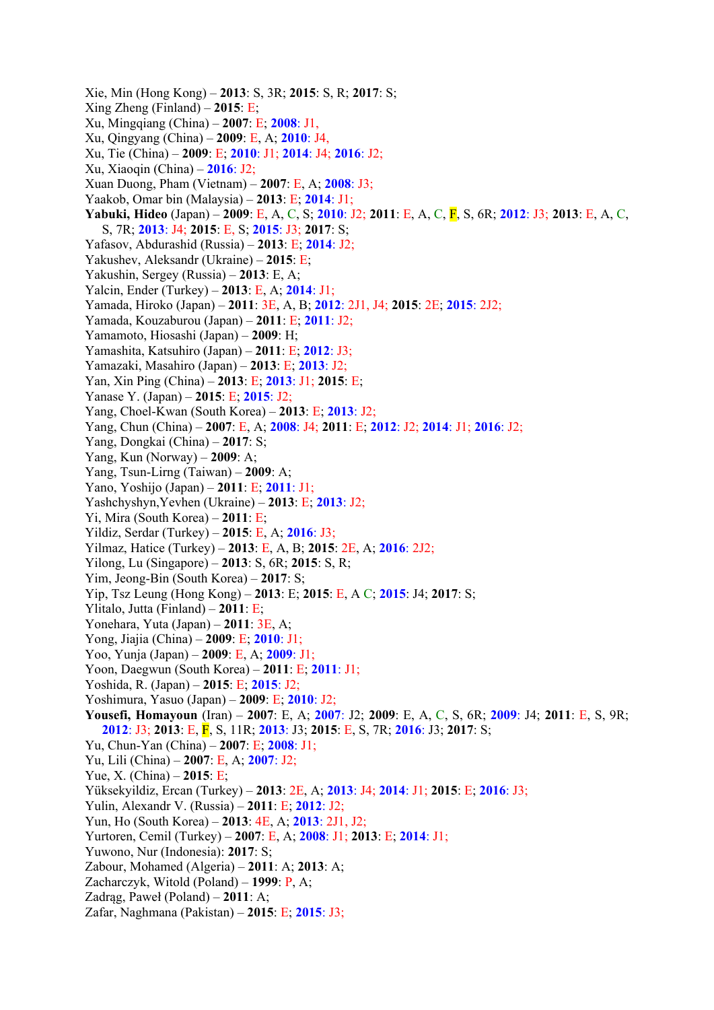Xie, Min (Hong Kong) – **2013**: S, 3R; **2015**: S, R; **2017**: S; Xing Zheng (Finland) – **2015**: E; Xu, Mingqiang (China) – **2007**: E; **2008**: J1, Xu, Qingyang (China) – **2009**: E, A; **2010**: J4, Xu, Tie (China) – **2009**: E; **2010**: J1; **2014**: J4; **2016**: J2; Xu, Xiaoqin (China) – **2016**: J2; Xuan Duong, Pham (Vietnam) – **2007**: E, A; **2008**: J3; Yaakob, Omar bin (Malaysia) – **2013**: E; **2014**: J1; **Yabuki, Hideo** (Japan) – **2009**: E, A, C, S; **2010**: J2; **2011**: E, A, C, F, S, 6R; **2012**: J3; **2013**: E, A, C, S, 7R; **2013**: J4; **2015**: E, S; **2015**: J3; **2017**: S; Yafasov, Abdurashid (Russia) – **2013**: E; **2014**: J2; Yakushev, Аleksandr (Ukraine) – **2015**: E; Yakushin, Sergey (Russia) – **2013**: E, A; Yalcin, Ender (Turkey) – **2013**: E, A; **2014**: J1; Yamada, Hiroko (Japan) – **2011**: 3E, A, B; **2012**: 2J1, J4; **2015**: 2E; **2015**: 2J2; Yamada, Kouzaburou (Japan) – **2011**: E; **2011**: J2; Yamamoto, Hiosashi (Japan) – **2009**: H; Yamashita, Katsuhiro (Japan) – **2011**: E; **2012**: J3; Yamazaki, Masahiro (Japan) – **2013**: E; **2013**: J2; Yan, Xin Ping (China) – **2013**: E; **2013**: J1; **2015**: E; Yanase Y. (Japan) – **2015**: E; **2015**: J2; Yang, Choel-Kwan (South Korea) – **2013**: E; **2013**: J2; Yang, Chun (China) – **2007**: E, A; **2008**: J4; **2011**: E; **2012**: J2; **2014**: J1; **2016**: J2; Yang, Dongkai (China) – **2017**: S; Yang, Kun (Norway) – **2009**: A; Yang, Tsun-Lirng (Taiwan) – **2009**: A; Yano, Yoshijo (Japan) – **2011**: E; **2011**: J1; Yashchyshyn,Yevhen (Ukraine) – **2013**: E; **2013**: J2; Yi, Mira (South Korea) – **2011**: E; Yildiz, Serdar (Turkey) – **2015**: E, A; **2016**: J3; Yilmaz, Hatice (Turkey) – **2013**: E, A, B; **2015**: 2E, A; **2016**: 2J2; Yilong, Lu (Singapore) – **2013**: S, 6R; **2015**: S, R; Yim, Jeong-Bin (South Korea) – **2017**: S; Yip, Tsz Leung (Hong Kong) – **2013**: E; **2015**: E, A C; **2015**: J4; **2017**: S; Ylitalo, Jutta (Finland) – **2011**: E; Yonehara, Yuta (Japan) – **2011**: 3E, A; Yong, Jiajia (China) – **2009**: E; **2010**: J1; Yoo, Yunja (Japan) – **2009**: E, A; **2009**: J1; Yoon, Daegwun (South Korea) – **2011**: E; **2011**: J1; Yoshida, R. (Japan) – **2015**: E; **2015**: J2; Yoshimura, Yasuo (Japan) – **2009**: E; **2010**: J2; **Yousefi, Homayoun** (Iran) – **2007**: E, A; **2007**: J2; **2009**: E, A, C, S, 6R; **2009**: J4; **2011**: E, S, 9R; **2012**: J3; **2013**: E, F, S, 11R; **2013**: J3; **2015**: E, S, 7R; **2016**: J3; **2017**: S; Yu, Chun-Yan (China) – **2007**: E; **2008**: J1; Yu, Lili (China) – **2007**: E, A; **2007**: J2; Yue, X. (China) – **2015**: E; Yüksekyildiz, Ercan (Turkey) – **2013**: 2E, A; **2013**: J4; **2014**: J1; **2015**: E; **2016**: J3; Yulin, Alexandr V. (Russia) – **2011**: E; **2012**: J2; Yun, Ho (South Korea) – **2013**: 4E, A; **2013**: 2J1, J2; Yurtoren, Cemil (Turkey) – **2007**: E, A; **2008**: J1; **2013**: E; **2014**: J1; Yuwono, Nur (Indonesia): **2017**: S; Zabour, Mohamed (Algeria) – **2011**: A; **2013**: A; Zacharczyk, Witold (Poland) – **1999**: P, A; Zadrąg, Paweł (Poland) – **2011**: A; Zafar, Naghmana (Pakistan) – **2015**: E; **2015**: J3;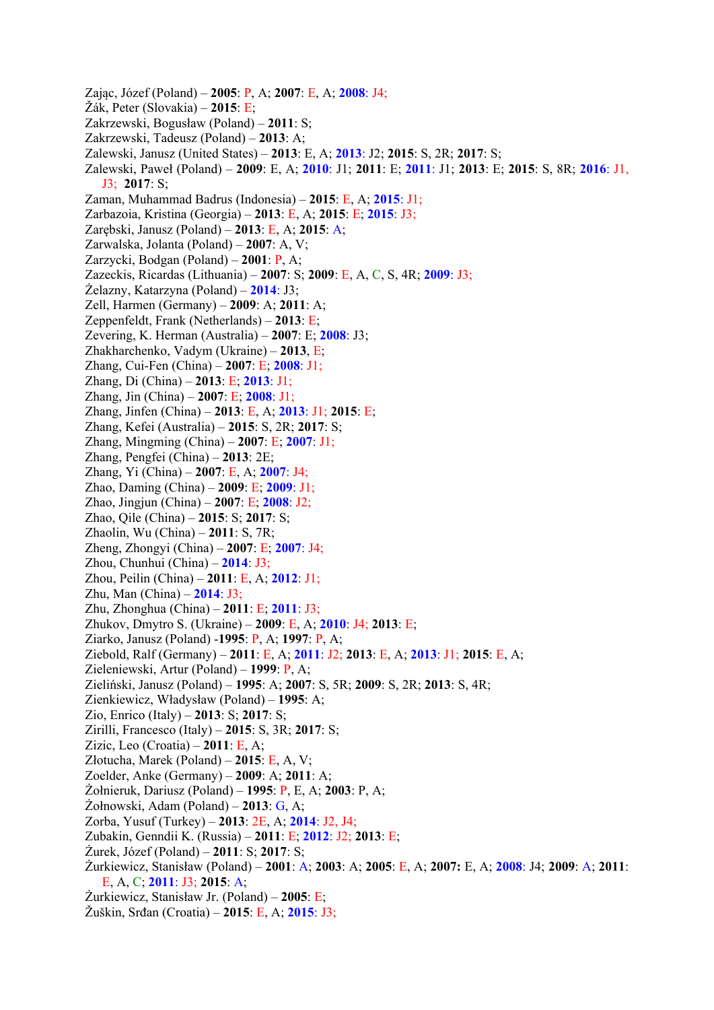Zając, Józef (Poland) – **2005**: P, A; **2007**: E, A; **2008**: J4; Žák, Peter (Slovakia) – **2015**: E; Zakrzewski, Bogusław (Poland) – **2011**: S; Zakrzewski, Tadeusz (Poland) – **2013**: A; Zalewski, Janusz (United States) – **2013**: E, A; **2013**: J2; **2015**: S, 2R; **2017**: S; Zalewski, Paweł (Poland) – **2009**: E, A; **2010**: J1; **2011**: E; **2011**: J1; **2013**: E; **2015**: S, 8R; **2016**: J1, J3; **2017**: S; Zaman, Muhammad Badrus (Indonesia) – **2015**: E, A; **2015**: J1; Zarbazoia, Kristina (Georgia) – **2013**: E, A; **2015**: E; **2015**: J3; Zarębski, Janusz (Poland) – **2013**: E, A; **2015**: A; Zarwalska, Jolanta (Poland) – **2007**: A, V; Zarzycki, Bodgan (Poland) – **2001**: P, A; Zazeckis, Ricardas (Lithuania) – **2007**: S; **2009**: E, A, C, S, 4R; **2009**: J3; Żelazny, Katarzyna (Poland) – **2014**: J3; Zell, Harmen (Germany) – **2009**: A; **2011**: A; Zeppenfeldt, Frank (Netherlands) – **2013**: E; Zevering, K. Herman (Australia) – **2007**: E; **2008**: J3; Zhakharchenko, Vadym (Ukraine) – **2013**, E; Zhang, Cui-Fen (China) – **2007**: E; **2008**: J1; Zhang, Di (China) – **2013**: E; **2013**: J1; Zhang, Jin (China) – **2007**: E; **2008**: J1; Zhang, Jinfen (China) – **2013**: E, A; **2013**: J1; **2015**: E; Zhang, Kefei (Australia) – **2015**: S, 2R; **2017**: S; Zhang, Mingming (China) – **2007**: E; **2007**: J1; Zhang, Pengfei (China) – **2013**: 2E; Zhang, Yi (China) – **2007**: E, A; **2007**: J4; Zhao, Daming (China) – **2009**: E; **2009**: J1; Zhao, Jingjun (China) – **2007**: E; **2008**: J2; Zhao, Qile (China) – **2015**: S; **2017**: S; Zhaolin, Wu (China) – **2011**: S, 7R; Zheng, Zhongyi (China) – **2007**: E; **2007**: J4; Zhou, Chunhui (China) – **2014**: J3; Zhou, Peilin (China) – **2011**: E, A; **2012**: J1; Zhu, Man (China) – **2014**: J3; Zhu, Zhonghua (China) – **2011**: E; **2011**: J3; Zhukov, Dmytro S. (Ukraine) – **2009**: E, A; **2010**: J4; **2013**: E; Ziarko, Janusz (Poland) -**1995**: P, A; **1997**: P, A; Ziebold, Ralf (Germany) – **2011**: E, A; **2011**: J2; **2013**: E, A; **2013**: J1; **2015**: E, A; Zieleniewski, Artur (Poland) – **1999**: P, A; Zieliński, Janusz (Poland) – **1995**: A; **2007**: S, 5R; **2009**: S, 2R; **2013**: S, 4R; Zienkiewicz, Władysław (Poland) – **1995**: A; Zio, Enrico (Italy) – **2013**: S; **2017**: S; Zirilli, Francesco (Italy) – **2015**: S, 3R; **2017**: S; Zizic, Leo (Croatia) – **2011**: E, A; Złotucha, Marek (Poland) – **2015**: E, A, V; Zoelder, Anke (Germany) – **2009**: A; **2011**: A; Żołnieruk, Dariusz (Poland) – **1995**: P, E, A; **2003**: P, A; Żołnowski, Adam (Poland) – **2013**: G, A; Zorba, Yusuf (Turkey) – **2013**: 2E, A; **2014**: J2, J4; Zubakin, Genndii K. (Russia) – **2011**: E; **2012**: J2; **2013**: E; Żurek, Józef (Poland) – **2011**: S; **2017**: S; Żurkiewicz, Stanisław (Poland) – **2001**: A; **2003**: A; **2005**: E, A; **2007:** E, A; **2008**: J4; **2009**: A; **2011**: E, A, C; **2011**: J3; **2015**: A; Żurkiewicz, Stanisław Jr. (Poland) – **2005**: E; Žuškin, Srđan (Croatia) – **2015**: E, A; **2015**: J3;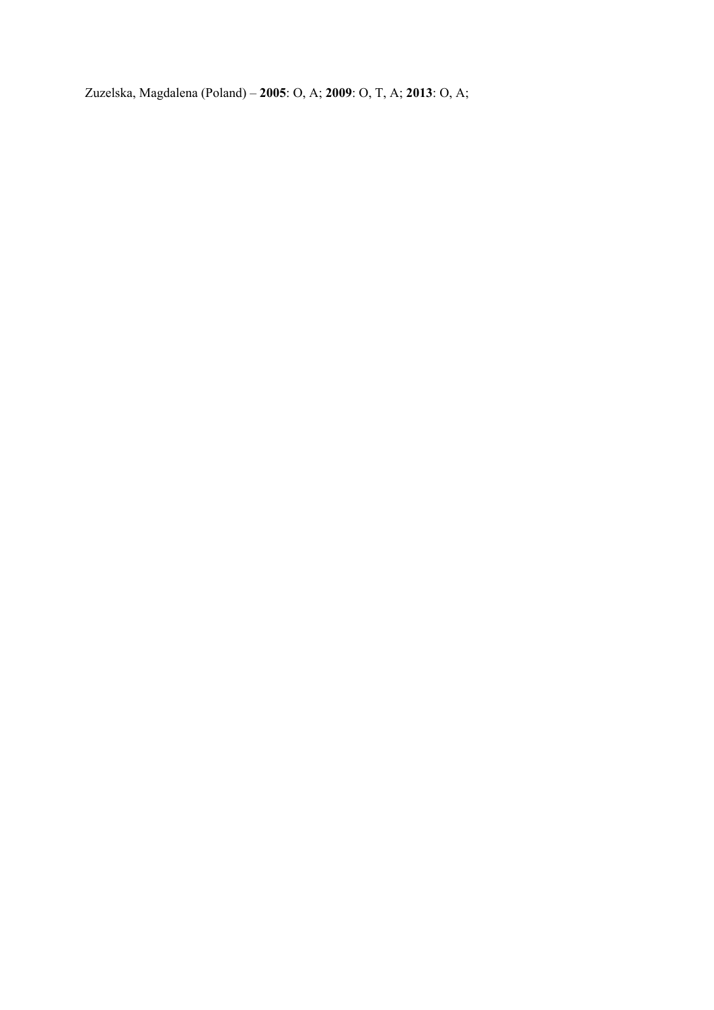Zuzelska, Magdalena (Poland) – **2005**: O, A; **2009**: O, T, A; **2013**: O, A;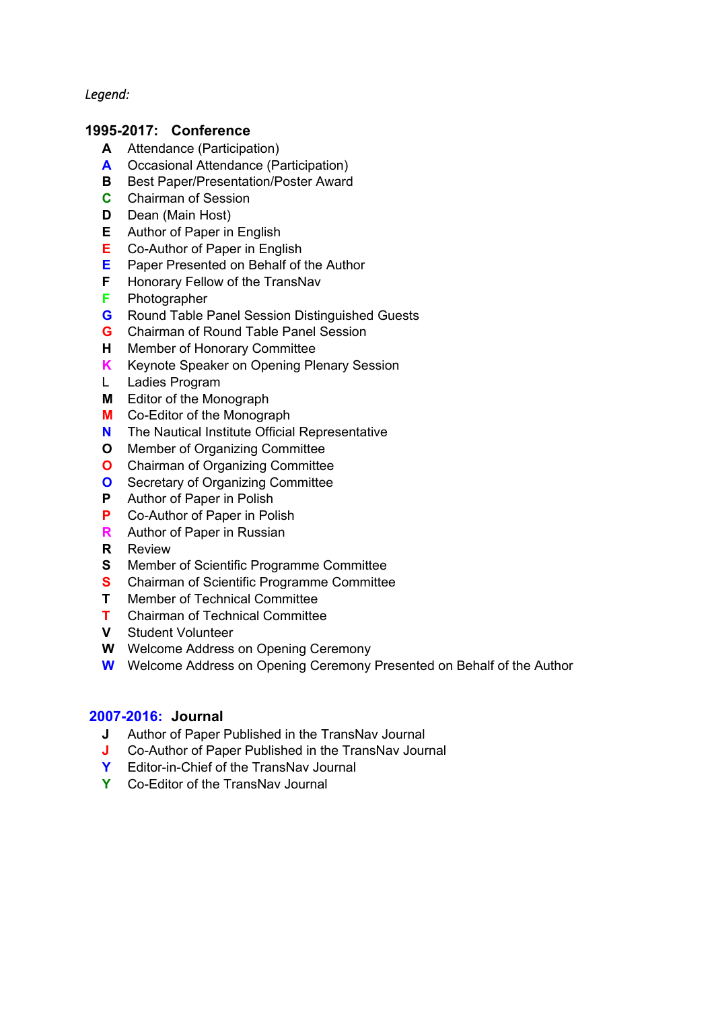*Legend:* 

## **1995-2017: Conference**

- **A** Attendance (Participation)
- **A** Occasional Attendance (Participation)
- **B** Best Paper/Presentation/Poster Award
- **C** Chairman of Session
- **D** Dean (Main Host)
- **E** Author of Paper in English
- **E** Co-Author of Paper in English
- **E** Paper Presented on Behalf of the Author
- **F** Honorary Fellow of the TransNav
- **F** Photographer
- **G** Round Table Panel Session Distinguished Guests
- **G** Chairman of Round Table Panel Session
- **H** Member of Honorary Committee
- **K** Keynote Speaker on Opening Plenary Session
- L Ladies Program
- **M** Editor of the Monograph
- **M** Co-Editor of the Monograph
- **N** The Nautical Institute Official Representative
- **O** Member of Organizing Committee
- **O** Chairman of Organizing Committee
- **O** Secretary of Organizing Committee
- **P** Author of Paper in Polish
- **P** Co-Author of Paper in Polish
- **R** Author of Paper in Russian
- **R** Review
- **S** Member of Scientific Programme Committee
- **S** Chairman of Scientific Programme Committee
- **T** Member of Technical Committee
- **T** Chairman of Technical Committee
- **V** Student Volunteer
- **W** Welcome Address on Opening Ceremony
- **W** Welcome Address on Opening Ceremony Presented on Behalf of the Author

## **2007-2016: Journal**

- **J** Author of Paper Published in the TransNav Journal
- **J** Co-Author of Paper Published in the TransNav Journal
- **Y** Editor-in-Chief of the TransNav Journal
- **Y** Co-Editor of the TransNav Journal